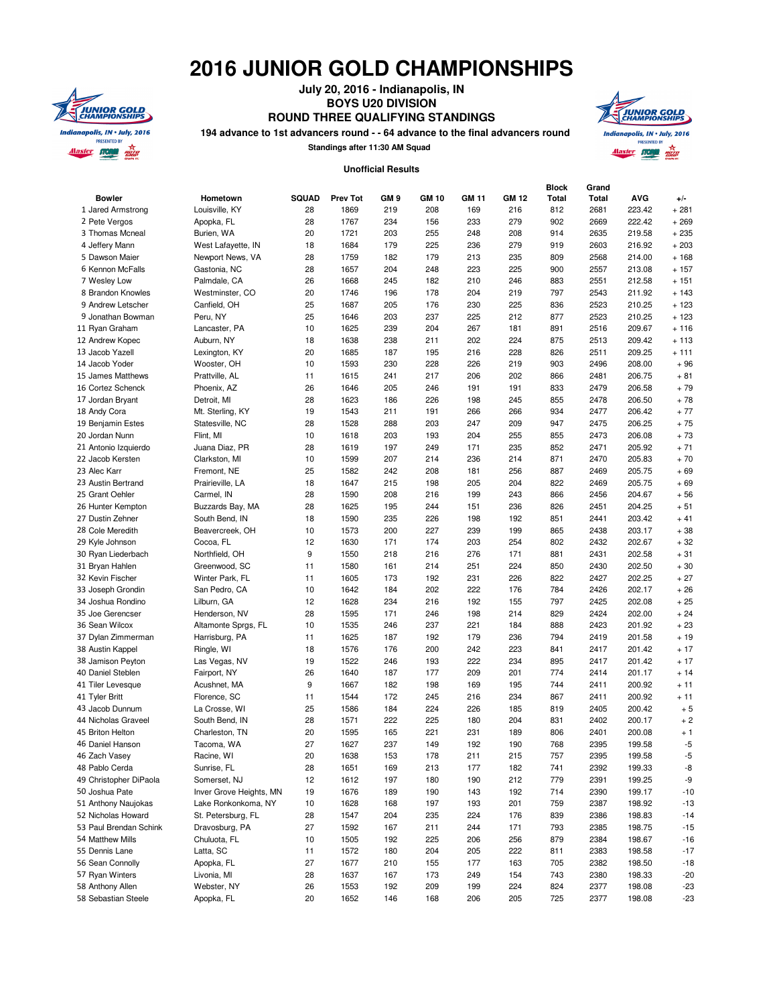## **2016 JUNIOR GOLD CHAMPIONSHIPS**



**July 20, 2016 - Indianapolis, IN BOYS U20 DIVISION ROUND THREE QUALIFYING STANDINGS**

**194 advance to 1st advancers round - - 64 advance to the final advancers round**

**Standings after 11:30 AM Squad**



## **Unofficial Results**

| <b>Bowler</b>          | Hometown                | <b>SQUAD</b> | <b>Prev Tot</b> | GM <sub>9</sub> | GM 10 | <b>GM 11</b> | <b>GM 12</b> | Block<br><b>Total</b> | Grand<br><b>Total</b> | <b>AVG</b> | $+/-$   |
|------------------------|-------------------------|--------------|-----------------|-----------------|-------|--------------|--------------|-----------------------|-----------------------|------------|---------|
| 1 Jared Armstrong      | Louisville, KY          | 28           | 1869            | 219             | 208   | 169          | 216          | 812                   | 2681                  | 223.42     | $+281$  |
| 2 Pete Vergos          | Apopka, FL              | 28           | 1767            | 234             | 156   | 233          | 279          | 902                   | 2669                  | 222.42     | $+269$  |
| 3 Thomas Mcneal        | Burien, WA              | 20           | 1721            | 203             | 255   | 248          | 208          | 914                   | 2635                  | 219.58     | $+235$  |
| 4 Jeffery Mann         | West Lafayette, IN      | 18           | 1684            | 179             | 225   | 236          | 279          | 919                   | 2603                  | 216.92     | $+203$  |
| 5 Dawson Maier         | Newport News, VA        | 28           | 1759            | 182             | 179   | 213          | 235          | 809                   | 2568                  | 214.00     | $+168$  |
| 6 Kennon McFalls       | Gastonia, NC            | 28           | 1657            | 204             | 248   | 223          | 225          | 900                   | 2557                  | 213.08     | $+157$  |
| 7 Wesley Low           | Palmdale, CA            | 26           | 1668            | 245             | 182   | 210          | 246          | 883                   | 2551                  | 212.58     | $+151$  |
| 8 Brandon Knowles      | Westminster, CO         | 20           | 1746            | 196             | 178   | 204          | 219          | 797                   | 2543                  | 211.92     | $+143$  |
| 9 Andrew Letscher      | Canfield, OH            | 25           | 1687            | 205             | 176   | 230          | 225          | 836                   | 2523                  | 210.25     | $+123$  |
| 9 Jonathan Bowman      | Peru, NY                | 25           | 1646            | 203             | 237   | 225          | 212          | 877                   | 2523                  | 210.25     | $+123$  |
| 11 Ryan Graham         | Lancaster, PA           | 10           | 1625            | 239             | 204   | 267          | 181          | 891                   | 2516                  | 209.67     | $+116$  |
| 12 Andrew Kopec        | Auburn, NY              | 18           | 1638            | 238             | 211   | 202          | 224          | 875                   | 2513                  | 209.42     | $+113$  |
| 13 Jacob Yazell        | Lexington, KY           | 20           | 1685            | 187             | 195   | 216          | 228          | 826                   | 2511                  | 209.25     | $+ 111$ |
| 14 Jacob Yoder         | Wooster, OH             | 10           | 1593            | 230             | 228   | 226          | 219          | 903                   | 2496                  | 208.00     | $+96$   |
| 15 James Matthews      | Prattville, AL          | 11           | 1615            | 241             | 217   | 206          | 202          | 866                   | 2481                  | 206.75     | $+81$   |
| 16 Cortez Schenck      | Phoenix, AZ             | 26           | 1646            | 205             | 246   | 191          | 191          | 833                   | 2479                  | 206.58     | $+79$   |
| 17 Jordan Bryant       | Detroit, MI             | 28           | 1623            | 186             | 226   | 198          | 245          | 855                   | 2478                  | 206.50     | $+78$   |
| 18 Andy Cora           | Mt. Sterling, KY        | 19           | 1543            | 211             | 191   | 266          | 266          | 934                   | 2477                  | 206.42     | $+77$   |
| 19 Benjamin Estes      | Statesville, NC         | 28           | 1528            | 288             | 203   | 247          | 209          | 947                   | 2475                  | 206.25     | $+75$   |
| 20 Jordan Nunn         | Flint, MI               | 10           | 1618            | 203             | 193   | 204          | 255          | 855                   | 2473                  | 206.08     | $+73$   |
| 21 Antonio Izquierdo   | Juana Diaz, PR          | 28           | 1619            | 197             | 249   | 171          | 235          | 852                   | 2471                  | 205.92     | $+71$   |
| 22 Jacob Kersten       | Clarkston, MI           | 10           | 1599            | 207             | 214   | 236          | 214          | 871                   | 2470                  | 205.83     | $+70$   |
| 23 Alec Karr           | Fremont, NE             | 25           | 1582            | 242             | 208   | 181          | 256          | 887                   | 2469                  | 205.75     | $+69$   |
| 23 Austin Bertrand     | Prairieville, LA        | 18           | 1647            | 215             | 198   | 205          | 204          | 822                   | 2469                  | 205.75     | $+69$   |
| 25 Grant Oehler        | Carmel, IN              | 28           | 1590            | 208             | 216   | 199          | 243          | 866                   | 2456                  | 204.67     | $+56$   |
| 26 Hunter Kempton      | Buzzards Bay, MA        | 28           | 1625            | 195             | 244   | 151          | 236          | 826                   | 2451                  | 204.25     | $+51$   |
| 27 Dustin Zehner       | South Bend, IN          | 18           | 1590            | 235             | 226   | 198          | 192          | 851                   | 2441                  | 203.42     | $+41$   |
| 28 Cole Meredith       | Beavercreek, OH         | 10           | 1573            | 200             | 227   | 239          | 199          | 865                   | 2438                  | 203.17     | $+38$   |
| 29 Kyle Johnson        | Cocoa, FL               | 12           | 1630            | 171             | 174   | 203          | 254          | 802                   | 2432                  | 202.67     | $+32$   |
| 30 Ryan Liederbach     | Northfield, OH          | 9            | 1550            | 218             | 216   | 276          | 171          | 881                   | 2431                  | 202.58     | $+31$   |
| 31 Bryan Hahlen        | Greenwood, SC           | 11           | 1580            | 161             | 214   | 251          | 224          | 850                   | 2430                  | 202.50     | $+30$   |
| 32 Kevin Fischer       | Winter Park, FL         | 11           | 1605            | 173             | 192   | 231          | 226          | 822                   | 2427                  | 202.25     | $+27$   |
| 33 Joseph Grondin      | San Pedro, CA           | 10           | 1642            | 184             | 202   | 222          | 176          | 784                   | 2426                  | 202.17     | $+26$   |
| 34 Joshua Rondino      | Lilburn, GA             | 12           | 1628            | 234             | 216   | 192          | 155          | 797                   | 2425                  | 202.08     | $+25$   |
| 35 Joe Gerencser       | Henderson, NV           | 28           | 1595            | 171             | 246   | 198          | 214          | 829                   | 2424                  | 202.00     | $+24$   |
| 36 Sean Wilcox         | Altamonte Sprgs, FL     | 10           | 1535            | 246             | 237   | 221          | 184          | 888                   | 2423                  | 201.92     | $+23$   |
| 37 Dylan Zimmerman     | Harrisburg, PA          | 11           | 1625            | 187             | 192   | 179          | 236          | 794                   | 2419                  | 201.58     | $+19$   |
| 38 Austin Kappel       | Ringle, WI              | 18           | 1576            | 176             | 200   | 242          | 223          | 841                   | 2417                  | 201.42     | $+17$   |
| 38 Jamison Peyton      | Las Vegas, NV           | 19           | 1522            | 246             | 193   | 222          | 234          | 895                   | 2417                  | 201.42     | $+17$   |
| 40 Daniel Steblen      | Fairport, NY            | 26           | 1640            | 187             | 177   | 209          | 201          | 774                   | 2414                  | 201.17     | $+14$   |
| 41 Tiler Levesque      | Acushnet, MA            | 9            | 1667            | 182             | 198   | 169          | 195          | 744                   | 2411                  | 200.92     | $+11$   |
| 41 Tyler Britt         | Florence, SC            | 11           | 1544            | 172             | 245   | 216          | 234          | 867                   | 2411                  | 200.92     | $+11$   |
| 43 Jacob Dunnum        | La Crosse, WI           | 25           | 1586            | 184             | 224   | 226          | 185          | 819                   | 2405                  | 200.42     | $+5$    |
| 44 Nicholas Graveel    | South Bend, IN          | 28           | 1571            | 222             | 225   | 180          | 204          | 831                   | 2402                  | 200.17     | $+2$    |
| 45 Briton Helton       |                         | 20           | 1595            |                 | 221   | 231          | 189          | 806                   |                       |            |         |
|                        | Charleston, TN          |              |                 | 165             |       |              |              |                       | 2401                  | 200.08     | $+1$    |
| 46 Daniel Hanson       | Tacoma, WA              | 27           | 1627            | 237             | 149   | 192          | 190          | 768                   | 2395                  | 199.58     | -5      |
| 46 Zach Vasey          | Racine, WI              | 20           | 1638            | 153             | 178   | 211          | 215          | 757                   | 2395                  | 199.58     | -5      |
| 48 Pablo Cerda         | Sunrise, FL             | 28           | 1651            | 169             | 213   | 177          | 182          | 741                   | 2392                  | 199.33     | -8      |
| 49 Christopher DiPaola | Somerset, NJ            | 12           | 1612            | 197             | 180   | 190          | 212          | 779                   | 2391                  | 199.25     | -9      |
| 50 Joshua Pate         | Inver Grove Heights, MN | 19           | 1676            | 189             | 190   | 143          | 192          | 714                   | 2390                  | 199.17     | $-10$   |
| 51 Anthony Naujokas    | Lake Ronkonkoma, NY     | 10           | 1628            | 168             | 197   | 193          | 201          | 759                   | 2387                  | 198.92     | $-13$   |
| 52 Nicholas Howard     | St. Petersburg, FL      | 28           | 1547            | 204             | 235   | 224          | 176          | 839                   | 2386                  | 198.83     | $-14$   |
| 53 Paul Brendan Schink | Dravosburg, PA          | 27           | 1592            | 167             | 211   | 244          | 171          | 793                   | 2385                  | 198.75     | $-15$   |
| 54 Matthew Mills       | Chuluota, FL            | 10           | 1505            | 192             | 225   | 206          | 256          | 879                   | 2384                  | 198.67     | $-16$   |
| 55 Dennis Lane         | Latta, SC               | 11           | 1572            | 180             | 204   | 205          | 222          | 811                   | 2383                  | 198.58     | $-17$   |
| 56 Sean Connolly       | Apopka, FL              | 27           | 1677            | 210             | 155   | 177          | 163          | 705                   | 2382                  | 198.50     | $-18$   |
| 57 Ryan Winters        | Livonia, MI             | 28           | 1637            | 167             | 173   | 249          | 154          | 743                   | 2380                  | 198.33     | $-20$   |
| 58 Anthony Allen       | Webster, NY             | 26           | 1553            | 192             | 209   | 199          | 224          | 824                   | 2377                  | 198.08     | $-23$   |
| 58 Sebastian Steele    | Apopka, FL              | 20           | 1652            | 146             | 168   | 206          | 205          | 725                   | 2377                  | 198.08     | $-23$   |
|                        |                         |              |                 |                 |       |              |              |                       |                       |            |         |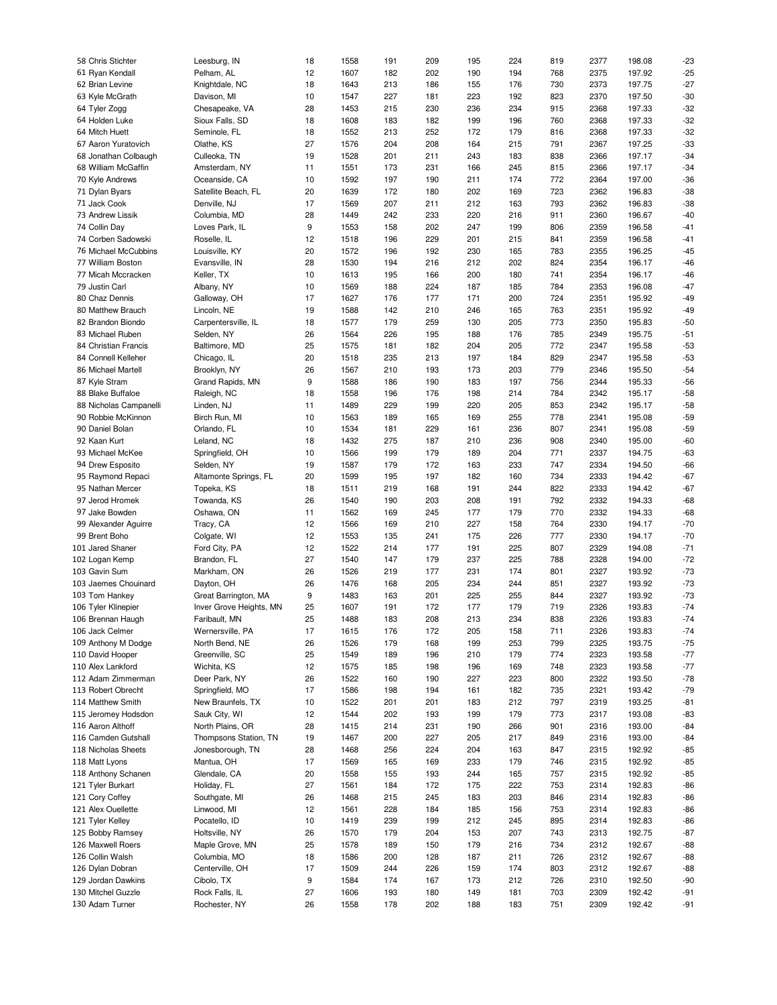| 58 Chris Stichter      | Leesburg, IN            | 18 | 1558 | 191 | 209 | 195 | 224 | 819 | 2377 | 198.08 | $-23$ |
|------------------------|-------------------------|----|------|-----|-----|-----|-----|-----|------|--------|-------|
| 61 Ryan Kendall        | Pelham, AL              | 12 | 1607 | 182 | 202 | 190 | 194 | 768 | 2375 | 197.92 | $-25$ |
| 62 Brian Levine        | Knightdale, NC          | 18 | 1643 | 213 | 186 | 155 | 176 | 730 | 2373 | 197.75 | $-27$ |
|                        |                         |    |      |     |     |     |     |     |      |        |       |
| 63 Kyle McGrath        | Davison, MI             | 10 | 1547 | 227 | 181 | 223 | 192 | 823 | 2370 | 197.50 | $-30$ |
| 64 Tyler Zogg          | Chesapeake, VA          | 28 | 1453 | 215 | 230 | 236 | 234 | 915 | 2368 | 197.33 | $-32$ |
| 64 Holden Luke         | Sioux Falls, SD         | 18 | 1608 | 183 | 182 | 199 | 196 | 760 | 2368 | 197.33 | $-32$ |
| 64 Mitch Huett         | Seminole, FL            | 18 | 1552 | 213 | 252 | 172 | 179 | 816 | 2368 | 197.33 | $-32$ |
| 67 Aaron Yuratovich    | Olathe, KS              | 27 | 1576 | 204 | 208 | 164 | 215 | 791 | 2367 | 197.25 | $-33$ |
|                        |                         |    |      |     |     |     |     |     |      |        |       |
| 68 Jonathan Colbaugh   | Culleoka, TN            | 19 | 1528 | 201 | 211 | 243 | 183 | 838 | 2366 | 197.17 | $-34$ |
| 68 William McGaffin    | Amsterdam, NY           | 11 | 1551 | 173 | 231 | 166 | 245 | 815 | 2366 | 197.17 | $-34$ |
| 70 Kyle Andrews        | Oceanside, CA           | 10 | 1592 | 197 | 190 | 211 | 174 | 772 | 2364 | 197.00 | $-36$ |
| 71 Dylan Byars         | Satellite Beach, FL     | 20 | 1639 | 172 | 180 | 202 | 169 | 723 | 2362 | 196.83 | $-38$ |
| 71 Jack Cook           | Denville, NJ            | 17 | 1569 | 207 | 211 | 212 | 163 | 793 | 2362 | 196.83 | $-38$ |
|                        |                         |    |      |     |     |     |     |     |      |        |       |
| 73 Andrew Lissik       | Columbia, MD            | 28 | 1449 | 242 | 233 | 220 | 216 | 911 | 2360 | 196.67 | $-40$ |
| 74 Collin Day          | Loves Park, IL          | 9  | 1553 | 158 | 202 | 247 | 199 | 806 | 2359 | 196.58 | $-41$ |
| 74 Corben Sadowski     | Roselle, IL             | 12 | 1518 | 196 | 229 | 201 | 215 | 841 | 2359 | 196.58 | $-41$ |
| 76 Michael McCubbins   | Louisville, KY          | 20 | 1572 | 196 | 192 | 230 | 165 | 783 | 2355 | 196.25 | $-45$ |
|                        |                         | 28 | 1530 |     |     | 212 | 202 | 824 | 2354 | 196.17 |       |
| 77 William Boston      | Evansville, IN          |    |      | 194 | 216 |     |     |     |      |        | $-46$ |
| 77 Micah Mccracken     | Keller, TX              | 10 | 1613 | 195 | 166 | 200 | 180 | 741 | 2354 | 196.17 | -46   |
| 79 Justin Carl         | Albany, NY              | 10 | 1569 | 188 | 224 | 187 | 185 | 784 | 2353 | 196.08 | $-47$ |
| 80 Chaz Dennis         | Galloway, OH            | 17 | 1627 | 176 | 177 | 171 | 200 | 724 | 2351 | 195.92 | $-49$ |
| 80 Matthew Brauch      | Lincoln, NE             | 19 | 1588 | 142 | 210 | 246 | 165 | 763 | 2351 | 195.92 | $-49$ |
|                        |                         |    |      |     |     |     |     |     |      |        |       |
| 82 Brandon Biondo      | Carpentersville, IL     | 18 | 1577 | 179 | 259 | 130 | 205 | 773 | 2350 | 195.83 | $-50$ |
| 83 Michael Ruben       | Selden, NY              | 26 | 1564 | 226 | 195 | 188 | 176 | 785 | 2349 | 195.75 | $-51$ |
| 84 Christian Francis   | Baltimore, MD           | 25 | 1575 | 181 | 182 | 204 | 205 | 772 | 2347 | 195.58 | $-53$ |
| 84 Connell Kelleher    | Chicago, IL             | 20 | 1518 | 235 | 213 | 197 | 184 | 829 | 2347 | 195.58 | $-53$ |
| 86 Michael Martell     | Brooklyn, NY            | 26 | 1567 | 210 | 193 | 173 | 203 | 779 | 2346 | 195.50 | $-54$ |
|                        |                         |    |      |     |     |     |     |     |      |        |       |
| 87 Kyle Stram          | Grand Rapids, MN        | 9  | 1588 | 186 | 190 | 183 | 197 | 756 | 2344 | 195.33 | $-56$ |
| 88 Blake Buffaloe      | Raleigh, NC             | 18 | 1558 | 196 | 176 | 198 | 214 | 784 | 2342 | 195.17 | $-58$ |
| 88 Nicholas Campanelli | Linden, NJ              | 11 | 1489 | 229 | 199 | 220 | 205 | 853 | 2342 | 195.17 | $-58$ |
| 90 Robbie McKinnon     | Birch Run, MI           | 10 | 1563 | 189 | 165 | 169 | 255 | 778 | 2341 | 195.08 | $-59$ |
|                        |                         |    |      |     |     |     |     |     |      |        |       |
| 90 Daniel Bolan        | Orlando, FL             | 10 | 1534 | 181 | 229 | 161 | 236 | 807 | 2341 | 195.08 | $-59$ |
| 92 Kaan Kurt           | Leland, NC              | 18 | 1432 | 275 | 187 | 210 | 236 | 908 | 2340 | 195.00 | $-60$ |
| 93 Michael McKee       | Springfield, OH         | 10 | 1566 | 199 | 179 | 189 | 204 | 771 | 2337 | 194.75 | $-63$ |
| 94 Drew Esposito       | Selden, NY              | 19 | 1587 | 179 | 172 | 163 | 233 | 747 | 2334 | 194.50 | -66   |
|                        |                         |    | 1599 |     | 197 | 182 |     |     |      | 194.42 |       |
| 95 Raymond Repaci      | Altamonte Springs, FL   | 20 |      | 195 |     |     | 160 | 734 | 2333 |        | $-67$ |
| 95 Nathan Mercer       | Topeka, KS              | 18 | 1511 | 219 | 168 | 191 | 244 | 822 | 2333 | 194.42 | $-67$ |
| 97 Jerod Hromek        | Towanda, KS             | 26 | 1540 | 190 | 203 | 208 | 191 | 792 | 2332 | 194.33 | $-68$ |
| 97 Jake Bowden         | Oshawa, ON              | 11 | 1562 | 169 | 245 | 177 | 179 | 770 | 2332 | 194.33 | $-68$ |
| 99 Alexander Aguirre   | Tracy, CA               | 12 | 1566 | 169 | 210 | 227 | 158 | 764 | 2330 | 194.17 | $-70$ |
|                        |                         |    |      |     |     |     |     |     |      |        |       |
| 99 Brent Boho          | Colgate, WI             | 12 | 1553 | 135 | 241 | 175 | 226 | 777 | 2330 | 194.17 | $-70$ |
| 101 Jared Shaner       | Ford City, PA           | 12 | 1522 | 214 | 177 | 191 | 225 | 807 | 2329 | 194.08 | $-71$ |
| 102 Logan Kemp         | Brandon, FL             | 27 | 1540 | 147 | 179 | 237 | 225 | 788 | 2328 | 194.00 | $-72$ |
| 103 Gavin Sum          | Markham, ON             | 26 | 1526 | 219 | 177 | 231 | 174 | 801 | 2327 | 193.92 | $-73$ |
|                        |                         |    |      |     |     |     |     |     |      |        |       |
| 103 Jaemes Chouinard   | Dayton, OH              | 26 | 1476 | 168 | 205 | 234 | 244 | 851 | 2327 | 193.92 | $-73$ |
| 103 Tom Hankey         | Great Barrington, MA    | 9  | 1483 | 163 | 201 | 225 | 255 | 844 | 2327 | 193.92 | $-73$ |
| 106 Tyler Klinepier    | Inver Grove Heights, MN | 25 | 1607 | 191 | 172 | 177 | 179 | 719 | 2326 | 193.83 | $-74$ |
| 106 Brennan Haugh      | Faribault, MN           | 25 | 1488 | 183 | 208 | 213 | 234 | 838 | 2326 | 193.83 | $-74$ |
| 106 Jack Celmer        | Wernersville, PA        | 17 | 1615 | 176 | 172 | 205 | 158 | 711 | 2326 | 193.83 | -74   |
|                        |                         |    |      |     |     |     |     |     |      |        |       |
| 109 Anthony M Dodge    | North Bend, NE          | 26 | 1526 | 179 | 168 | 199 | 253 | 799 | 2325 | 193.75 | $-75$ |
| 110 David Hooper       | Greenville, SC          | 25 | 1549 | 189 | 196 | 210 | 179 | 774 | 2323 | 193.58 | -77   |
| 110 Alex Lankford      | Wichita, KS             | 12 | 1575 | 185 | 198 | 196 | 169 | 748 | 2323 | 193.58 | -77   |
| 112 Adam Zimmerman     | Deer Park, NY           | 26 | 1522 | 160 | 190 | 227 | 223 | 800 | 2322 | 193.50 | $-78$ |
| 113 Robert Obrecht     |                         |    |      |     |     |     |     |     |      |        |       |
|                        | Springfield, MO         | 17 | 1586 | 198 | 194 | 161 | 182 | 735 | 2321 | 193.42 | $-79$ |
| 114 Matthew Smith      | New Braunfels, TX       | 10 | 1522 | 201 | 201 | 183 | 212 | 797 | 2319 | 193.25 | $-81$ |
| 115 Jeromey Hodsdon    | Sauk City, WI           | 12 | 1544 | 202 | 193 | 199 | 179 | 773 | 2317 | 193.08 | -83   |
| 116 Aaron Althoff      | North Plains, OR        | 28 | 1415 | 214 | 231 | 190 | 266 | 901 | 2316 | 193.00 | $-84$ |
| 116 Camden Gutshall    | Thompsons Station, TN   | 19 | 1467 | 200 | 227 | 205 | 217 | 849 | 2316 | 193.00 | -84   |
|                        |                         |    |      |     |     |     |     |     |      |        |       |
| 118 Nicholas Sheets    | Jonesborough, TN        | 28 | 1468 | 256 | 224 | 204 | 163 | 847 | 2315 | 192.92 | $-85$ |
| 118 Matt Lyons         | Mantua, OH              | 17 | 1569 | 165 | 169 | 233 | 179 | 746 | 2315 | 192.92 | -85   |
| 118 Anthony Schanen    | Glendale, CA            | 20 | 1558 | 155 | 193 | 244 | 165 | 757 | 2315 | 192.92 | -85   |
| 121 Tyler Burkart      |                         | 27 | 1561 | 184 | 172 | 175 | 222 | 753 | 2314 | 192.83 |       |
|                        | Holiday, FL             |    |      |     |     |     |     |     |      |        | -86   |
| 121 Cory Coffey        | Southgate, MI           | 26 | 1468 | 215 | 245 | 183 | 203 | 846 | 2314 | 192.83 | $-86$ |
| 121 Alex Ouellette     | Linwood, MI             | 12 | 1561 | 228 | 184 | 185 | 156 | 753 | 2314 | 192.83 | $-86$ |
| 121 Tyler Kelley       | Pocatello, ID           | 10 | 1419 | 239 | 199 | 212 | 245 | 895 | 2314 | 192.83 | -86   |
|                        |                         |    |      |     |     |     |     |     |      |        |       |
| 125 Bobby Ramsey       | Holtsville, NY          | 26 | 1570 | 179 | 204 | 153 | 207 | 743 | 2313 | 192.75 | $-87$ |
| 126 Maxwell Roers      | Maple Grove, MN         | 25 | 1578 | 189 | 150 | 179 | 216 | 734 | 2312 | 192.67 | -88   |
| 126 Collin Walsh       | Columbia, MO            | 18 | 1586 | 200 | 128 | 187 | 211 | 726 | 2312 | 192.67 | -88   |
| 126 Dylan Dobran       | Centerville, OH         | 17 | 1509 | 244 | 226 | 159 | 174 | 803 | 2312 | 192.67 | $-88$ |
|                        |                         |    |      |     |     |     |     |     |      |        |       |
| 129 Jordan Dawkins     | Cibolo, TX              | 9  | 1584 | 174 | 167 | 173 | 212 | 726 | 2310 | 192.50 | $-90$ |
| 130 Mitchel Guzzle     | Rock Falls, IL          | 27 | 1606 | 193 | 180 | 149 | 181 | 703 | 2309 | 192.42 | $-91$ |
| 130 Adam Turner        | Rochester, NY           | 26 | 1558 | 178 | 202 | 188 | 183 | 751 | 2309 | 192.42 | -91   |
|                        |                         |    |      |     |     |     |     |     |      |        |       |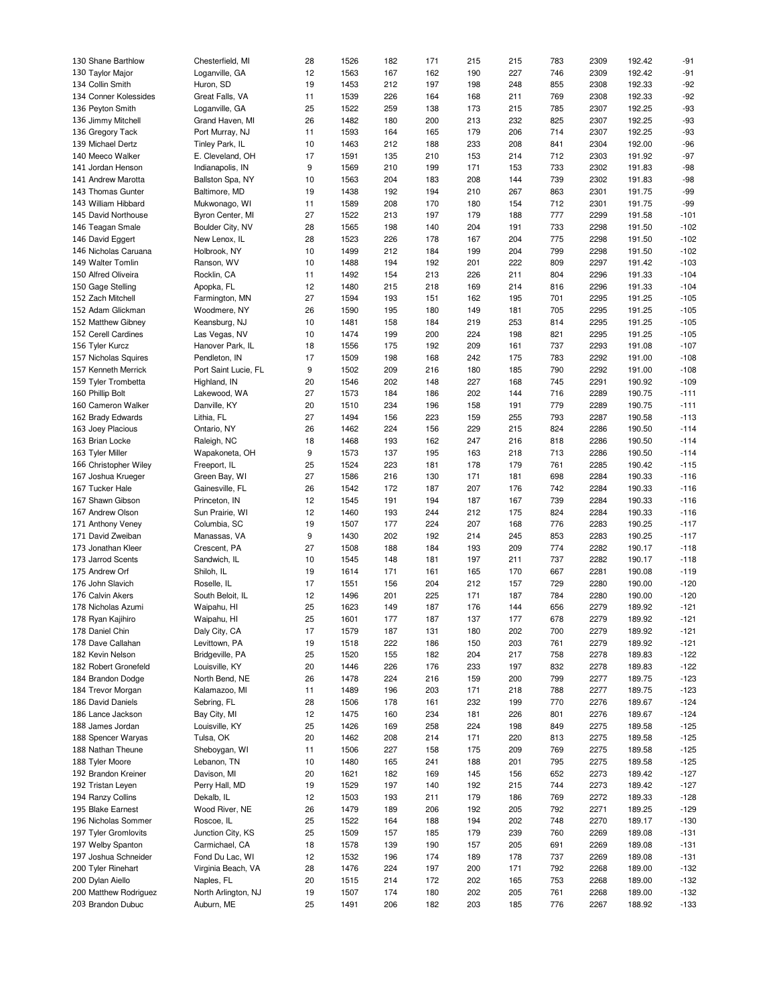| 130 Shane Barthlow    | Chesterfield, MI     | 28 | 1526 | 182 | 171 | 215 | 215 | 783 | 2309 | 192.42 | $-91$  |
|-----------------------|----------------------|----|------|-----|-----|-----|-----|-----|------|--------|--------|
| 130 Taylor Major      | Loganville, GA       | 12 | 1563 | 167 | 162 | 190 | 227 | 746 | 2309 | 192.42 | $-91$  |
| 134 Collin Smith      | Huron, SD            | 19 | 1453 | 212 | 197 | 198 | 248 | 855 | 2308 | 192.33 | $-92$  |
| 134 Conner Kolessides | Great Falls, VA      | 11 | 1539 | 226 | 164 | 168 | 211 | 769 | 2308 | 192.33 | $-92$  |
| 136 Peyton Smith      | Loganville, GA       | 25 | 1522 | 259 | 138 | 173 | 215 | 785 | 2307 | 192.25 | $-93$  |
|                       |                      |    |      |     |     |     |     |     |      |        |        |
| 136 Jimmy Mitchell    | Grand Haven, MI      | 26 | 1482 | 180 | 200 | 213 | 232 | 825 | 2307 | 192.25 | $-93$  |
| 136 Gregory Tack      | Port Murray, NJ      | 11 | 1593 | 164 | 165 | 179 | 206 | 714 | 2307 | 192.25 | $-93$  |
| 139 Michael Dertz     | Tinley Park, IL      | 10 | 1463 | 212 | 188 | 233 | 208 | 841 | 2304 | 192.00 | $-96$  |
| 140 Meeco Walker      | E. Cleveland, OH     | 17 | 1591 | 135 | 210 | 153 | 214 | 712 | 2303 | 191.92 | $-97$  |
| 141 Jordan Henson     | Indianapolis, IN     | 9  | 1569 | 210 | 199 | 171 | 153 | 733 | 2302 | 191.83 | $-98$  |
| 141 Andrew Marotta    | Ballston Spa, NY     | 10 | 1563 | 204 | 183 | 208 | 144 | 739 | 2302 | 191.83 | $-98$  |
| 143 Thomas Gunter     | Baltimore, MD        | 19 | 1438 | 192 | 194 | 210 | 267 | 863 | 2301 | 191.75 | $-99$  |
| 143 William Hibbard   | Mukwonago, WI        | 11 | 1589 | 208 | 170 | 180 | 154 | 712 | 2301 | 191.75 | $-99$  |
| 145 David Northouse   | Byron Center, MI     | 27 | 1522 | 213 | 197 | 179 | 188 | 777 | 2299 | 191.58 | $-101$ |
| 146 Teagan Smale      | Boulder City, NV     | 28 | 1565 | 198 | 140 | 204 | 191 | 733 | 2298 | 191.50 | $-102$ |
|                       |                      |    |      |     |     |     |     | 775 |      |        |        |
| 146 David Eggert      | New Lenox, IL        | 28 | 1523 | 226 | 178 | 167 | 204 |     | 2298 | 191.50 | $-102$ |
| 146 Nicholas Caruana  | Holbrook, NY         | 10 | 1499 | 212 | 184 | 199 | 204 | 799 | 2298 | 191.50 | $-102$ |
| 149 Walter Tomlin     | Ranson, WV           | 10 | 1488 | 194 | 192 | 201 | 222 | 809 | 2297 | 191.42 | $-103$ |
| 150 Alfred Oliveira   | Rocklin, CA          | 11 | 1492 | 154 | 213 | 226 | 211 | 804 | 2296 | 191.33 | $-104$ |
| 150 Gage Stelling     | Apopka, FL           | 12 | 1480 | 215 | 218 | 169 | 214 | 816 | 2296 | 191.33 | $-104$ |
| 152 Zach Mitchell     | Farmington, MN       | 27 | 1594 | 193 | 151 | 162 | 195 | 701 | 2295 | 191.25 | $-105$ |
| 152 Adam Glickman     | Woodmere, NY         | 26 | 1590 | 195 | 180 | 149 | 181 | 705 | 2295 | 191.25 | $-105$ |
| 152 Matthew Gibney    | Keansburg, NJ        | 10 | 1481 | 158 | 184 | 219 | 253 | 814 | 2295 | 191.25 | $-105$ |
| 152 Cerell Cardines   | Las Vegas, NV        | 10 | 1474 | 199 | 200 | 224 | 198 | 821 | 2295 | 191.25 | $-105$ |
| 156 Tyler Kurcz       | Hanover Park, IL     | 18 | 1556 | 175 | 192 | 209 | 161 | 737 | 2293 | 191.08 | $-107$ |
| 157 Nicholas Squires  | Pendleton, IN        | 17 | 1509 | 198 | 168 | 242 | 175 | 783 | 2292 | 191.00 | $-108$ |
|                       |                      |    |      |     |     |     |     |     |      |        |        |
| 157 Kenneth Merrick   | Port Saint Lucie, FL | 9  | 1502 | 209 | 216 | 180 | 185 | 790 | 2292 | 191.00 | $-108$ |
| 159 Tyler Trombetta   | Highland, IN         | 20 | 1546 | 202 | 148 | 227 | 168 | 745 | 2291 | 190.92 | $-109$ |
| 160 Phillip Bolt      | Lakewood, WA         | 27 | 1573 | 184 | 186 | 202 | 144 | 716 | 2289 | 190.75 | $-111$ |
| 160 Cameron Walker    | Danville, KY         | 20 | 1510 | 234 | 196 | 158 | 191 | 779 | 2289 | 190.75 | $-111$ |
| 162 Brady Edwards     | Lithia, FL           | 27 | 1494 | 156 | 223 | 159 | 255 | 793 | 2287 | 190.58 | $-113$ |
| 163 Joey Placious     | Ontario, NY          | 26 | 1462 | 224 | 156 | 229 | 215 | 824 | 2286 | 190.50 | $-114$ |
| 163 Brian Locke       | Raleigh, NC          | 18 | 1468 | 193 | 162 | 247 | 216 | 818 | 2286 | 190.50 | $-114$ |
| 163 Tyler Miller      | Wapakoneta, OH       | 9  | 1573 | 137 | 195 | 163 | 218 | 713 | 2286 | 190.50 | $-114$ |
| 166 Christopher Wiley | Freeport, IL         | 25 | 1524 | 223 | 181 | 178 | 179 | 761 | 2285 | 190.42 | $-115$ |
| 167 Joshua Krueger    | Green Bay, WI        | 27 | 1586 | 216 | 130 | 171 | 181 | 698 | 2284 | 190.33 | $-116$ |
| 167 Tucker Hale       | Gainesville, FL      | 26 | 1542 | 172 | 187 | 207 | 176 | 742 | 2284 | 190.33 | $-116$ |
| 167 Shawn Gibson      |                      |    |      |     |     |     |     |     |      |        |        |
|                       | Princeton, IN        | 12 | 1545 | 191 | 194 | 187 | 167 | 739 | 2284 | 190.33 | $-116$ |
| 167 Andrew Olson      | Sun Prairie, WI      | 12 | 1460 | 193 | 244 | 212 | 175 | 824 | 2284 | 190.33 | $-116$ |
| 171 Anthony Veney     | Columbia, SC         | 19 | 1507 | 177 | 224 | 207 | 168 | 776 | 2283 | 190.25 | $-117$ |
| 171 David Zweiban     | Manassas, VA         | 9  | 1430 | 202 | 192 | 214 | 245 | 853 | 2283 | 190.25 | $-117$ |
| 173 Jonathan Kleer    | Crescent, PA         | 27 | 1508 | 188 | 184 | 193 | 209 | 774 | 2282 | 190.17 | $-118$ |
| 173 Jarrod Scents     | Sandwich, IL         | 10 | 1545 | 148 | 181 | 197 | 211 | 737 | 2282 | 190.17 | $-118$ |
| 175 Andrew Orf        | Shiloh, IL           | 19 | 1614 | 171 | 161 | 165 | 170 | 667 | 2281 | 190.08 | $-119$ |
| 176 John Slavich      | Roselle, IL          | 17 | 1551 | 156 | 204 | 212 | 157 | 729 | 2280 | 190.00 | $-120$ |
| 176 Calvin Akers      | South Beloit, IL     | 12 | 1496 | 201 | 225 | 171 | 187 | 784 | 2280 | 190.00 | $-120$ |
| 178 Nicholas Azumi    | Waipahu, HI          | 25 | 1623 | 149 | 187 | 176 | 144 | 656 | 2279 | 189.92 | $-121$ |
| 178 Ryan Kajihiro     | Waipahu, HI          | 25 | 1601 | 177 | 187 | 137 | 177 | 678 | 2279 | 189.92 | $-121$ |
|                       | Daly City, CA        | 17 |      |     |     |     |     |     |      |        |        |
| 178 Daniel Chin       |                      |    | 1579 | 187 | 131 | 180 | 202 | 700 | 2279 | 189.92 | $-121$ |
| 178 Dave Callahan     | Levittown, PA        | 19 | 1518 | 222 | 186 | 150 | 203 | 761 | 2279 | 189.92 | $-121$ |
| 182 Kevin Nelson      | Bridgeville, PA      | 25 | 1520 | 155 | 182 | 204 | 217 | 758 | 2278 | 189.83 | $-122$ |
| 182 Robert Gronefeld  | Louisville, KY       | 20 | 1446 | 226 | 176 | 233 | 197 | 832 | 2278 | 189.83 | $-122$ |
| 184 Brandon Dodge     | North Bend, NE       | 26 | 1478 | 224 | 216 | 159 | 200 | 799 | 2277 | 189.75 | $-123$ |
| 184 Trevor Morgan     | Kalamazoo, MI        | 11 | 1489 | 196 | 203 | 171 | 218 | 788 | 2277 | 189.75 | $-123$ |
| 186 David Daniels     | Sebring, FL          | 28 | 1506 | 178 | 161 | 232 | 199 | 770 | 2276 | 189.67 | $-124$ |
| 186 Lance Jackson     | Bay City, MI         | 12 | 1475 | 160 | 234 | 181 | 226 | 801 | 2276 | 189.67 | $-124$ |
| 188 James Jordan      | Louisville, KY       | 25 | 1426 | 169 | 258 | 224 | 198 | 849 | 2275 | 189.58 | $-125$ |
| 188 Spencer Waryas    | Tulsa, OK            | 20 | 1462 | 208 | 214 | 171 | 220 | 813 | 2275 | 189.58 | $-125$ |
| 188 Nathan Theune     | Sheboygan, WI        | 11 | 1506 | 227 | 158 | 175 | 209 | 769 | 2275 | 189.58 | $-125$ |
|                       |                      |    |      |     |     |     |     |     |      |        |        |
| 188 Tyler Moore       | Lebanon, TN          | 10 | 1480 | 165 | 241 | 188 | 201 | 795 | 2275 | 189.58 | $-125$ |
| 192 Brandon Kreiner   | Davison, MI          | 20 | 1621 | 182 | 169 | 145 | 156 | 652 | 2273 | 189.42 | $-127$ |
| 192 Tristan Leyen     | Perry Hall, MD       | 19 | 1529 | 197 | 140 | 192 | 215 | 744 | 2273 | 189.42 | $-127$ |
| 194 Ranzy Collins     | Dekalb, IL           | 12 | 1503 | 193 | 211 | 179 | 186 | 769 | 2272 | 189.33 | $-128$ |
| 195 Blake Earnest     | Wood River, NE       | 26 | 1479 | 189 | 206 | 192 | 205 | 792 | 2271 | 189.25 | $-129$ |
| 196 Nicholas Sommer   | Roscoe, IL           | 25 | 1522 | 164 | 188 | 194 | 202 | 748 | 2270 | 189.17 | $-130$ |
| 197 Tyler Gromlovits  | Junction City, KS    | 25 | 1509 | 157 | 185 | 179 | 239 | 760 | 2269 | 189.08 | $-131$ |
| 197 Welby Spanton     | Carmichael, CA       | 18 | 1578 | 139 | 190 | 157 | 205 | 691 | 2269 | 189.08 | $-131$ |
| 197 Joshua Schneider  | Fond Du Lac, WI      | 12 | 1532 | 196 | 174 | 189 | 178 | 737 | 2269 | 189.08 | $-131$ |
| 200 Tyler Rinehart    | Virginia Beach, VA   |    |      |     |     |     |     | 792 |      | 189.00 |        |
|                       |                      | 28 | 1476 | 224 | 197 | 200 | 171 |     | 2268 |        | $-132$ |
| 200 Dylan Aiello      | Naples, FL           | 20 | 1515 | 214 | 172 | 202 | 165 | 753 | 2268 | 189.00 | $-132$ |
| 200 Matthew Rodriguez | North Arlington, NJ  | 19 | 1507 | 174 | 180 | 202 | 205 | 761 | 2268 | 189.00 | $-132$ |
| 203 Brandon Dubuc     | Auburn, ME           | 25 | 1491 | 206 | 182 | 203 | 185 | 776 | 2267 | 188.92 | $-133$ |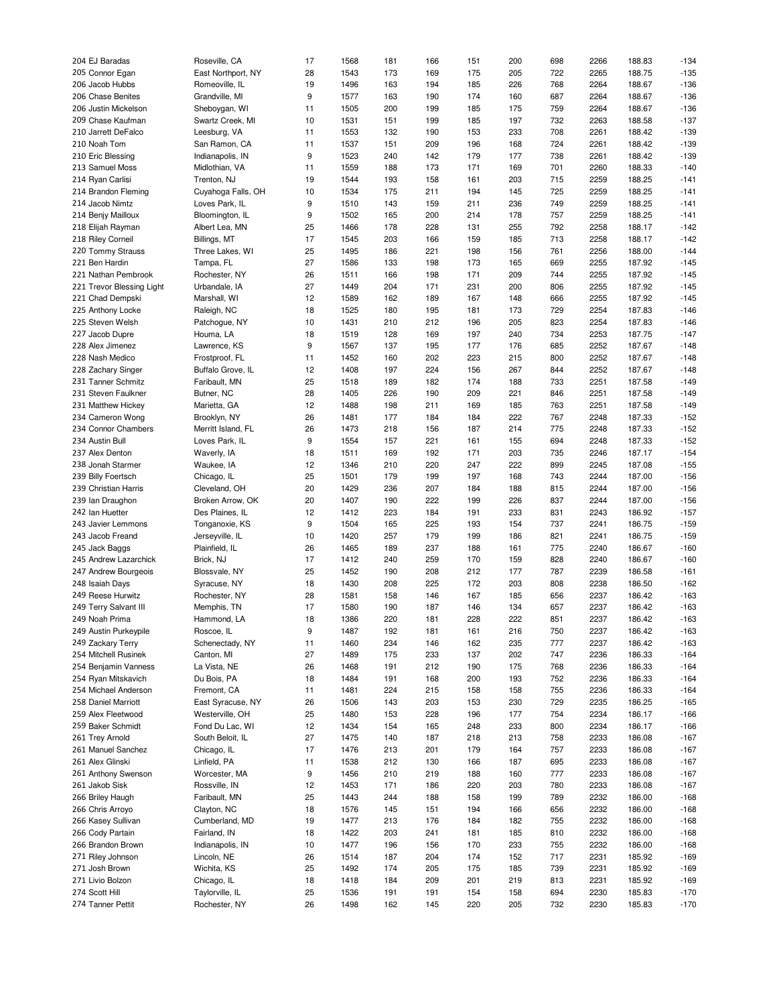| 204 EJ Baradas            | Roseville, CA      | 17 | 1568 | 181 | 166 | 151 | 200 | 698 | 2266 | 188.83 | $-134$ |
|---------------------------|--------------------|----|------|-----|-----|-----|-----|-----|------|--------|--------|
| 205 Connor Egan           | East Northport, NY | 28 | 1543 | 173 | 169 | 175 | 205 | 722 | 2265 | 188.75 | $-135$ |
| 206 Jacob Hubbs           | Romeoville, IL     | 19 | 1496 | 163 | 194 | 185 | 226 | 768 | 2264 | 188.67 | $-136$ |
| 206 Chase Benites         | Grandville, MI     | 9  | 1577 | 163 | 190 | 174 | 160 | 687 | 2264 | 188.67 | $-136$ |
| 206 Justin Mickelson      | Sheboygan, WI      | 11 | 1505 | 200 | 199 | 185 | 175 | 759 | 2264 | 188.67 | $-136$ |
|                           |                    |    |      |     |     |     |     |     |      |        |        |
| 209 Chase Kaufman         | Swartz Creek, MI   | 10 | 1531 | 151 | 199 | 185 | 197 | 732 | 2263 | 188.58 | $-137$ |
| 210 Jarrett DeFalco       | Leesburg, VA       | 11 | 1553 | 132 | 190 | 153 | 233 | 708 | 2261 | 188.42 | $-139$ |
| 210 Noah Tom              | San Ramon, CA      | 11 | 1537 | 151 | 209 | 196 | 168 | 724 | 2261 | 188.42 | $-139$ |
| 210 Eric Blessing         | Indianapolis, IN   | 9  | 1523 | 240 | 142 | 179 | 177 | 738 | 2261 | 188.42 | $-139$ |
| 213 Samuel Moss           | Midlothian, VA     | 11 | 1559 | 188 | 173 | 171 | 169 | 701 | 2260 | 188.33 | $-140$ |
| 214 Ryan Carlisi          | Trenton, NJ        | 19 | 1544 | 193 | 158 | 161 | 203 | 715 | 2259 | 188.25 | $-141$ |
| 214 Brandon Fleming       | Cuyahoga Falls, OH | 10 | 1534 | 175 | 211 | 194 | 145 | 725 | 2259 | 188.25 | $-141$ |
| 214 Jacob Nimtz           | Loves Park, IL     | 9  | 1510 | 143 | 159 | 211 | 236 | 749 | 2259 | 188.25 | $-141$ |
| 214 Benjy Mailloux        | Bloomington, IL    | 9  | 1502 |     |     | 214 |     |     |      |        | $-141$ |
|                           |                    |    |      | 165 | 200 |     | 178 | 757 | 2259 | 188.25 |        |
| 218 Elijah Rayman         | Albert Lea, MN     | 25 | 1466 | 178 | 228 | 131 | 255 | 792 | 2258 | 188.17 | $-142$ |
| 218 Riley Corneil         | Billings, MT       | 17 | 1545 | 203 | 166 | 159 | 185 | 713 | 2258 | 188.17 | $-142$ |
| 220 Tommy Strauss         | Three Lakes, WI    | 25 | 1495 | 186 | 221 | 198 | 156 | 761 | 2256 | 188.00 | $-144$ |
| 221 Ben Hardin            | Tampa, FL          | 27 | 1586 | 133 | 198 | 173 | 165 | 669 | 2255 | 187.92 | $-145$ |
| 221 Nathan Pembrook       | Rochester, NY      | 26 | 1511 | 166 | 198 | 171 | 209 | 744 | 2255 | 187.92 | $-145$ |
| 221 Trevor Blessing Light | Urbandale, IA      | 27 | 1449 | 204 | 171 | 231 | 200 | 806 | 2255 | 187.92 | $-145$ |
| 221 Chad Dempski          | Marshall, WI       | 12 | 1589 | 162 | 189 | 167 | 148 | 666 | 2255 | 187.92 | $-145$ |
| 225 Anthony Locke         | Raleigh, NC        | 18 | 1525 | 180 | 195 | 181 | 173 | 729 | 2254 | 187.83 | $-146$ |
|                           |                    |    |      |     |     |     |     |     |      |        |        |
| 225 Steven Welsh          | Patchogue, NY      | 10 | 1431 | 210 | 212 | 196 | 205 | 823 | 2254 | 187.83 | $-146$ |
| 227 Jacob Dupre           | Houma, LA          | 18 | 1519 | 128 | 169 | 197 | 240 | 734 | 2253 | 187.75 | $-147$ |
| 228 Alex Jimenez          | Lawrence, KS       | 9  | 1567 | 137 | 195 | 177 | 176 | 685 | 2252 | 187.67 | $-148$ |
| 228 Nash Medico           | Frostproof, FL     | 11 | 1452 | 160 | 202 | 223 | 215 | 800 | 2252 | 187.67 | $-148$ |
| 228 Zachary Singer        | Buffalo Grove, IL  | 12 | 1408 | 197 | 224 | 156 | 267 | 844 | 2252 | 187.67 | $-148$ |
| 231 Tanner Schmitz        | Faribault, MN      | 25 | 1518 | 189 | 182 | 174 | 188 | 733 | 2251 | 187.58 | $-149$ |
| 231 Steven Faulkner       | Butner, NC         | 28 | 1405 | 226 | 190 | 209 | 221 | 846 | 2251 | 187.58 | $-149$ |
| 231 Matthew Hickey        | Marietta, GA       | 12 | 1488 | 198 | 211 | 169 | 185 | 763 | 2251 | 187.58 | $-149$ |
|                           |                    |    |      |     |     |     |     |     |      |        |        |
| 234 Cameron Wong          | Brooklyn, NY       | 26 | 1481 | 177 | 184 | 184 | 222 | 767 | 2248 | 187.33 | $-152$ |
| 234 Connor Chambers       | Merritt Island, FL | 26 | 1473 | 218 | 156 | 187 | 214 | 775 | 2248 | 187.33 | $-152$ |
| 234 Austin Bull           | Loves Park, IL     | 9  | 1554 | 157 | 221 | 161 | 155 | 694 | 2248 | 187.33 | $-152$ |
| 237 Alex Denton           | Waverly, IA        | 18 | 1511 | 169 | 192 | 171 | 203 | 735 | 2246 | 187.17 | $-154$ |
| 238 Jonah Starmer         | Waukee, IA         | 12 | 1346 | 210 | 220 | 247 | 222 | 899 | 2245 | 187.08 | $-155$ |
| 239 Billy Foertsch        | Chicago, IL        | 25 | 1501 | 179 | 199 | 197 | 168 | 743 | 2244 | 187.00 | $-156$ |
| 239 Christian Harris      | Cleveland, OH      | 20 | 1429 | 236 | 207 | 184 | 188 | 815 | 2244 | 187.00 | $-156$ |
| 239 Ian Draughon          | Broken Arrow, OK   | 20 | 1407 | 190 | 222 | 199 | 226 | 837 | 2244 | 187.00 | $-156$ |
|                           |                    |    |      |     |     |     |     |     |      |        |        |
| 242 Ian Huetter           | Des Plaines, IL    | 12 | 1412 | 223 | 184 | 191 | 233 | 831 | 2243 | 186.92 | $-157$ |
| 243 Javier Lemmons        | Tonganoxie, KS     | 9  | 1504 | 165 | 225 | 193 | 154 | 737 | 2241 | 186.75 | $-159$ |
| 243 Jacob Freand          | Jerseyville, IL    | 10 | 1420 | 257 | 179 | 199 | 186 | 821 | 2241 | 186.75 | $-159$ |
| 245 Jack Baggs            | Plainfield, IL     | 26 | 1465 | 189 | 237 | 188 | 161 | 775 | 2240 | 186.67 | $-160$ |
| 245 Andrew Lazarchick     | Brick, NJ          | 17 | 1412 | 240 | 259 | 170 | 159 | 828 | 2240 | 186.67 | $-160$ |
| 247 Andrew Bourgeois      | Blossvale, NY      | 25 | 1452 | 190 | 208 | 212 | 177 | 787 | 2239 | 186.58 | $-161$ |
| 248 Isaiah Days           | Syracuse, NY       | 18 | 1430 | 208 | 225 | 172 | 203 | 808 | 2238 | 186.50 | $-162$ |
| 249 Reese Hurwitz         | Rochester, NY      | 28 | 1581 | 158 | 146 | 167 | 185 | 656 | 2237 | 186.42 | $-163$ |
| 249 Terry Salvant III     | Memphis, TN        | 17 | 1580 | 190 | 187 | 146 | 134 | 657 | 2237 | 186.42 | $-163$ |
|                           |                    |    |      |     |     |     |     |     |      |        |        |
| 249 Noah Prima            | Hammond, LA        | 18 | 1386 | 220 | 181 | 228 | 222 | 851 | 2237 | 186.42 | $-163$ |
| 249 Austin Purkeypile     | Roscoe, IL         | 9  | 1487 | 192 | 181 | 161 | 216 | 750 | 2237 | 186.42 | $-163$ |
| 249 Zackary Terry         | Schenectady, NY    | 11 | 1460 | 234 | 146 | 162 | 235 | 777 | 2237 | 186.42 | $-163$ |
| 254 Mitchell Rusinek      | Canton, MI         | 27 | 1489 | 175 | 233 | 137 | 202 | 747 | 2236 | 186.33 | $-164$ |
| 254 Benjamin Vanness      | La Vista, NE       | 26 | 1468 | 191 | 212 | 190 | 175 | 768 | 2236 | 186.33 | $-164$ |
| 254 Ryan Mitskavich       | Du Bois, PA        | 18 | 1484 | 191 | 168 | 200 | 193 | 752 | 2236 | 186.33 | $-164$ |
| 254 Michael Anderson      | Fremont, CA        | 11 | 1481 | 224 | 215 | 158 | 158 | 755 | 2236 | 186.33 | $-164$ |
| 258 Daniel Marriott       | East Syracuse, NY  | 26 | 1506 | 143 | 203 | 153 | 230 | 729 | 2235 | 186.25 | $-165$ |
| 259 Alex Fleetwood        | Westerville, OH    | 25 | 1480 | 153 | 228 | 196 | 177 | 754 | 2234 | 186.17 | $-166$ |
|                           |                    |    |      |     |     |     |     |     |      |        |        |
| 259 Baker Schmidt         | Fond Du Lac, WI    | 12 | 1434 | 154 | 165 | 248 | 233 | 800 | 2234 | 186.17 | $-166$ |
| 261 Trey Arnold           | South Beloit, IL   | 27 | 1475 | 140 | 187 | 218 | 213 | 758 | 2233 | 186.08 | $-167$ |
| 261 Manuel Sanchez        | Chicago, IL        | 17 | 1476 | 213 | 201 | 179 | 164 | 757 | 2233 | 186.08 | $-167$ |
| 261 Alex Glinski          | Linfield, PA       | 11 | 1538 | 212 | 130 | 166 | 187 | 695 | 2233 | 186.08 | $-167$ |
| 261 Anthony Swenson       | Worcester, MA      | 9  | 1456 | 210 | 219 | 188 | 160 | 777 | 2233 | 186.08 | $-167$ |
| 261 Jakob Sisk            | Rossville, IN      | 12 | 1453 | 171 | 186 | 220 | 203 | 780 | 2233 | 186.08 | $-167$ |
| 266 Briley Haugh          | Faribault, MN      | 25 | 1443 | 244 | 188 | 158 | 199 | 789 | 2232 | 186.00 | $-168$ |
| 266 Chris Arroyo          | Clayton, NC        |    |      |     |     |     |     |     | 2232 | 186.00 | $-168$ |
|                           |                    | 18 | 1576 | 145 | 151 | 194 | 166 | 656 |      |        |        |
| 266 Kasey Sullivan        | Cumberland, MD     | 19 | 1477 | 213 | 176 | 184 | 182 | 755 | 2232 | 186.00 | $-168$ |
| 266 Cody Partain          | Fairland, IN       | 18 | 1422 | 203 | 241 | 181 | 185 | 810 | 2232 | 186.00 | $-168$ |
| 266 Brandon Brown         | Indianapolis, IN   | 10 | 1477 | 196 | 156 | 170 | 233 | 755 | 2232 | 186.00 | $-168$ |
| 271 Riley Johnson         | Lincoln, NE        | 26 | 1514 | 187 | 204 | 174 | 152 | 717 | 2231 | 185.92 | $-169$ |
| 271 Josh Brown            | Wichita, KS        | 25 | 1492 | 174 | 205 | 175 | 185 | 739 | 2231 | 185.92 | $-169$ |
| 271 Livio Bolzon          | Chicago, IL        | 18 | 1418 | 184 | 209 | 201 | 219 | 813 | 2231 | 185.92 | $-169$ |
| 274 Scott Hill            | Taylorville, IL    | 25 | 1536 | 191 | 191 | 154 | 158 | 694 | 2230 | 185.83 | $-170$ |
| 274 Tanner Pettit         | Rochester, NY      |    | 1498 |     |     | 220 | 205 |     | 2230 | 185.83 |        |
|                           |                    | 26 |      | 162 | 145 |     |     | 732 |      |        | $-170$ |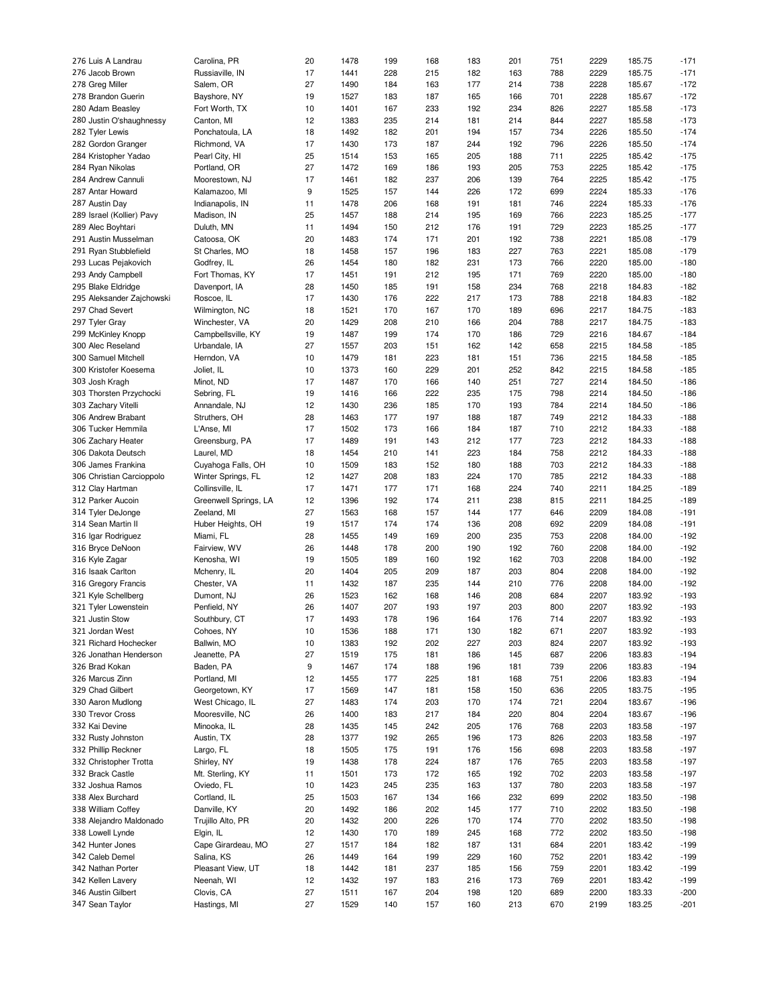| 276 Luis A Landrau        | Carolina, PR          | 20 | 1478 | 199 | 168 | 183 | 201 | 751 | 2229 | 185.75 | $-171$ |
|---------------------------|-----------------------|----|------|-----|-----|-----|-----|-----|------|--------|--------|
| 276 Jacob Brown           | Russiaville, IN       | 17 | 1441 | 228 | 215 | 182 | 163 | 788 | 2229 | 185.75 | $-171$ |
|                           |                       | 27 | 1490 | 184 | 163 | 177 | 214 | 738 | 2228 | 185.67 | $-172$ |
| 278 Greg Miller           | Salem, OR             |    |      |     |     |     |     |     |      |        |        |
| 278 Brandon Guerin        | Bayshore, NY          | 19 | 1527 | 183 | 187 | 165 | 166 | 701 | 2228 | 185.67 | $-172$ |
| 280 Adam Beasley          | Fort Worth, TX        | 10 | 1401 | 167 | 233 | 192 | 234 | 826 | 2227 | 185.58 | $-173$ |
| 280 Justin O'shaughnessy  | Canton, MI            | 12 | 1383 | 235 | 214 | 181 | 214 | 844 | 2227 | 185.58 | $-173$ |
| 282 Tyler Lewis           | Ponchatoula, LA       | 18 | 1492 | 182 | 201 | 194 | 157 | 734 | 2226 | 185.50 | $-174$ |
| 282 Gordon Granger        | Richmond, VA          | 17 | 1430 | 173 | 187 | 244 | 192 | 796 | 2226 | 185.50 | $-174$ |
|                           |                       |    |      |     |     |     |     |     |      |        |        |
| 284 Kristopher Yadao      | Pearl City, HI        | 25 | 1514 | 153 | 165 | 205 | 188 | 711 | 2225 | 185.42 | $-175$ |
| 284 Ryan Nikolas          | Portland, OR          | 27 | 1472 | 169 | 186 | 193 | 205 | 753 | 2225 | 185.42 | $-175$ |
| 284 Andrew Cannuli        | Moorestown, NJ        | 17 | 1461 | 182 | 237 | 206 | 139 | 764 | 2225 | 185.42 | $-175$ |
| 287 Antar Howard          | Kalamazoo, MI         | 9  | 1525 | 157 | 144 | 226 | 172 | 699 | 2224 | 185.33 | $-176$ |
|                           |                       |    |      |     |     |     |     |     |      |        |        |
| 287 Austin Day            | Indianapolis, IN      | 11 | 1478 | 206 | 168 | 191 | 181 | 746 | 2224 | 185.33 | $-176$ |
| 289 Israel (Kollier) Pavy | Madison, IN           | 25 | 1457 | 188 | 214 | 195 | 169 | 766 | 2223 | 185.25 | $-177$ |
| 289 Alec Boyhtari         | Duluth, MN            | 11 | 1494 | 150 | 212 | 176 | 191 | 729 | 2223 | 185.25 | $-177$ |
| 291 Austin Musselman      | Catoosa, OK           | 20 | 1483 | 174 | 171 | 201 | 192 | 738 | 2221 | 185.08 | $-179$ |
| 291 Ryan Stubblefield     | St Charles, MO        | 18 | 1458 | 157 | 196 | 183 | 227 | 763 | 2221 | 185.08 | $-179$ |
|                           |                       |    |      |     |     |     |     |     |      |        |        |
| 293 Lucas Pejakovich      | Godfrey, IL           | 26 | 1454 | 180 | 182 | 231 | 173 | 766 | 2220 | 185.00 | $-180$ |
| 293 Andy Campbell         | Fort Thomas, KY       | 17 | 1451 | 191 | 212 | 195 | 171 | 769 | 2220 | 185.00 | $-180$ |
| 295 Blake Eldridge        | Davenport, IA         | 28 | 1450 | 185 | 191 | 158 | 234 | 768 | 2218 | 184.83 | $-182$ |
| 295 Aleksander Zajchowski | Roscoe, IL            | 17 | 1430 | 176 | 222 | 217 | 173 | 788 | 2218 | 184.83 | $-182$ |
|                           |                       |    | 1521 |     |     | 170 |     |     | 2217 |        |        |
| 297 Chad Severt           | Wilmington, NC        | 18 |      | 170 | 167 |     | 189 | 696 |      | 184.75 | $-183$ |
| 297 Tyler Gray            | Winchester, VA        | 20 | 1429 | 208 | 210 | 166 | 204 | 788 | 2217 | 184.75 | $-183$ |
| 299 McKinley Knopp        | Campbellsville, KY    | 19 | 1487 | 199 | 174 | 170 | 186 | 729 | 2216 | 184.67 | $-184$ |
| 300 Alec Reseland         | Urbandale, IA         | 27 | 1557 | 203 | 151 | 162 | 142 | 658 | 2215 | 184.58 | $-185$ |
| 300 Samuel Mitchell       | Herndon, VA           | 10 | 1479 | 181 | 223 | 181 | 151 | 736 | 2215 | 184.58 | $-185$ |
|                           | Joliet, IL            |    | 1373 |     | 229 | 201 | 252 | 842 | 2215 | 184.58 | $-185$ |
| 300 Kristofer Koesema     |                       | 10 |      | 160 |     |     |     |     |      |        |        |
| 303 Josh Kragh            | Minot, ND             | 17 | 1487 | 170 | 166 | 140 | 251 | 727 | 2214 | 184.50 | $-186$ |
| 303 Thorsten Przychocki   | Sebring, FL           | 19 | 1416 | 166 | 222 | 235 | 175 | 798 | 2214 | 184.50 | $-186$ |
| 303 Zachary Vitelli       | Annandale, NJ         | 12 | 1430 | 236 | 185 | 170 | 193 | 784 | 2214 | 184.50 | $-186$ |
| 306 Andrew Brabant        | Struthers, OH         | 28 | 1463 | 177 | 197 | 188 | 187 | 749 | 2212 | 184.33 | $-188$ |
|                           |                       | 17 | 1502 |     |     |     |     |     | 2212 | 184.33 |        |
| 306 Tucker Hemmila        | L'Anse, MI            |    |      | 173 | 166 | 184 | 187 | 710 |      |        | $-188$ |
| 306 Zachary Heater        | Greensburg, PA        | 17 | 1489 | 191 | 143 | 212 | 177 | 723 | 2212 | 184.33 | $-188$ |
| 306 Dakota Deutsch        | Laurel, MD            | 18 | 1454 | 210 | 141 | 223 | 184 | 758 | 2212 | 184.33 | $-188$ |
| 306 James Frankina        | Cuyahoga Falls, OH    | 10 | 1509 | 183 | 152 | 180 | 188 | 703 | 2212 | 184.33 | $-188$ |
| 306 Christian Carcioppolo | Winter Springs, FL    | 12 | 1427 | 208 | 183 | 224 | 170 | 785 | 2212 | 184.33 | $-188$ |
|                           |                       |    |      |     |     |     |     |     |      |        |        |
| 312 Clay Hartman          | Collinsville, IL      | 17 | 1471 | 177 | 171 | 168 | 224 | 740 | 2211 | 184.25 | $-189$ |
| 312 Parker Aucoin         | Greenwell Springs, LA | 12 | 1396 | 192 | 174 | 211 | 238 | 815 | 2211 | 184.25 | $-189$ |
| 314 Tyler DeJonge         | Zeeland, MI           | 27 | 1563 | 168 | 157 | 144 | 177 | 646 | 2209 | 184.08 | $-191$ |
| 314 Sean Martin II        | Huber Heights, OH     | 19 | 1517 | 174 | 174 | 136 | 208 | 692 | 2209 | 184.08 | $-191$ |
| 316 Igar Rodriguez        | Miami, FL             | 28 | 1455 | 149 | 169 | 200 | 235 | 753 | 2208 | 184.00 | $-192$ |
|                           |                       |    |      |     |     |     |     |     |      |        |        |
| 316 Bryce DeNoon          | Fairview, WV          | 26 | 1448 | 178 | 200 | 190 | 192 | 760 | 2208 | 184.00 | $-192$ |
| 316 Kyle Zagar            | Kenosha, WI           | 19 | 1505 | 189 | 160 | 192 | 162 | 703 | 2208 | 184.00 | $-192$ |
| 316 Isaak Carlton         | Mchenry, IL           | 20 | 1404 | 205 | 209 | 187 | 203 | 804 | 2208 | 184.00 | $-192$ |
| 316 Gregory Francis       | Chester, VA           | 11 | 1432 | 187 | 235 | 144 | 210 | 776 | 2208 | 184.00 | $-192$ |
| 321 Kyle Schellberg       | Dumont, NJ            | 26 | 1523 | 162 | 168 | 146 | 208 | 684 | 2207 | 183.92 | $-193$ |
|                           |                       |    |      |     |     |     |     |     |      |        |        |
| 321 Tyler Lowenstein      | Penfield, NY          | 26 | 1407 | 207 | 193 | 197 | 203 | 800 | 2207 | 183.92 | $-193$ |
| 321 Justin Stow           | Southbury, CT         | 17 | 1493 | 178 | 196 | 164 | 176 | 714 | 2207 | 183.92 | $-193$ |
| 321 Jordan West           | Cohoes, NY            | 10 | 1536 | 188 | 171 | 130 | 182 | 671 | 2207 | 183.92 | $-193$ |
| 321 Richard Hochecker     | Ballwin, MO           | 10 | 1383 | 192 | 202 | 227 | 203 | 824 | 2207 | 183.92 | $-193$ |
| 326 Jonathan Henderson    | Jeanette, PA          | 27 | 1519 | 175 | 181 | 186 | 145 | 687 | 2206 | 183.83 | $-194$ |
|                           |                       |    |      |     |     |     |     |     |      |        |        |
| 326 Brad Kokan            | Baden, PA             | 9  | 1467 | 174 | 188 | 196 | 181 | 739 | 2206 | 183.83 | $-194$ |
| 326 Marcus Zinn           | Portland, MI          | 12 | 1455 | 177 | 225 | 181 | 168 | 751 | 2206 | 183.83 | $-194$ |
| 329 Chad Gilbert          | Georgetown, KY        | 17 | 1569 | 147 | 181 | 158 | 150 | 636 | 2205 | 183.75 | $-195$ |
| 330 Aaron Mudlong         | West Chicago, IL      | 27 | 1483 | 174 | 203 | 170 | 174 | 721 | 2204 | 183.67 | $-196$ |
| 330 Trevor Cross          | Mooresville, NC       |    |      |     |     |     |     |     |      | 183.67 | $-196$ |
|                           |                       | 26 | 1400 | 183 | 217 | 184 | 220 | 804 | 2204 |        |        |
| 332 Kai Devine            | Minooka, IL           | 28 | 1435 | 145 | 242 | 205 | 176 | 768 | 2203 | 183.58 | $-197$ |
| 332 Rusty Johnston        | Austin, TX            | 28 | 1377 | 192 | 265 | 196 | 173 | 826 | 2203 | 183.58 | $-197$ |
| 332 Phillip Reckner       | Largo, FL             | 18 | 1505 | 175 | 191 | 176 | 156 | 698 | 2203 | 183.58 | $-197$ |
| 332 Christopher Trotta    | Shirley, NY           | 19 | 1438 | 178 | 224 | 187 | 176 | 765 | 2203 | 183.58 | $-197$ |
|                           |                       |    |      |     |     |     |     |     |      |        |        |
| 332 Brack Castle          | Mt. Sterling, KY      | 11 | 1501 | 173 | 172 | 165 | 192 | 702 | 2203 | 183.58 | $-197$ |
| 332 Joshua Ramos          | Oviedo, FL            | 10 | 1423 | 245 | 235 | 163 | 137 | 780 | 2203 | 183.58 | $-197$ |
| 338 Alex Burchard         | Cortland, IL          | 25 | 1503 | 167 | 134 | 166 | 232 | 699 | 2202 | 183.50 | $-198$ |
| 338 William Coffey        | Danville, KY          | 20 | 1492 | 186 | 202 | 145 | 177 | 710 | 2202 | 183.50 | $-198$ |
| 338 Alejandro Maldonado   | Trujillo Alto, PR     | 20 | 1432 | 200 | 226 | 170 | 174 | 770 | 2202 | 183.50 | $-198$ |
|                           |                       |    |      |     |     |     |     |     |      |        |        |
| 338 Lowell Lynde          | Elgin, IL             | 12 | 1430 | 170 | 189 | 245 | 168 | 772 | 2202 | 183.50 | $-198$ |
| 342 Hunter Jones          | Cape Girardeau, MO    | 27 | 1517 | 184 | 182 | 187 | 131 | 684 | 2201 | 183.42 | $-199$ |
| 342 Caleb Demel           | Salina, KS            | 26 | 1449 | 164 | 199 | 229 | 160 | 752 | 2201 | 183.42 | $-199$ |
| 342 Nathan Porter         | Pleasant View, UT     | 18 | 1442 | 181 | 237 | 185 | 156 | 759 | 2201 | 183.42 | $-199$ |
|                           |                       |    |      |     |     |     |     | 769 |      |        |        |
| 342 Kellen Lavery         | Neenah, WI            | 12 | 1432 | 197 | 183 | 216 | 173 |     | 2201 | 183.42 | $-199$ |
| 346 Austin Gilbert        | Clovis, CA            | 27 | 1511 | 167 | 204 | 198 | 120 | 689 | 2200 | 183.33 | $-200$ |
| 347 Sean Taylor           | Hastings, MI          | 27 | 1529 | 140 | 157 | 160 | 213 | 670 | 2199 | 183.25 | $-201$ |
|                           |                       |    |      |     |     |     |     |     |      |        |        |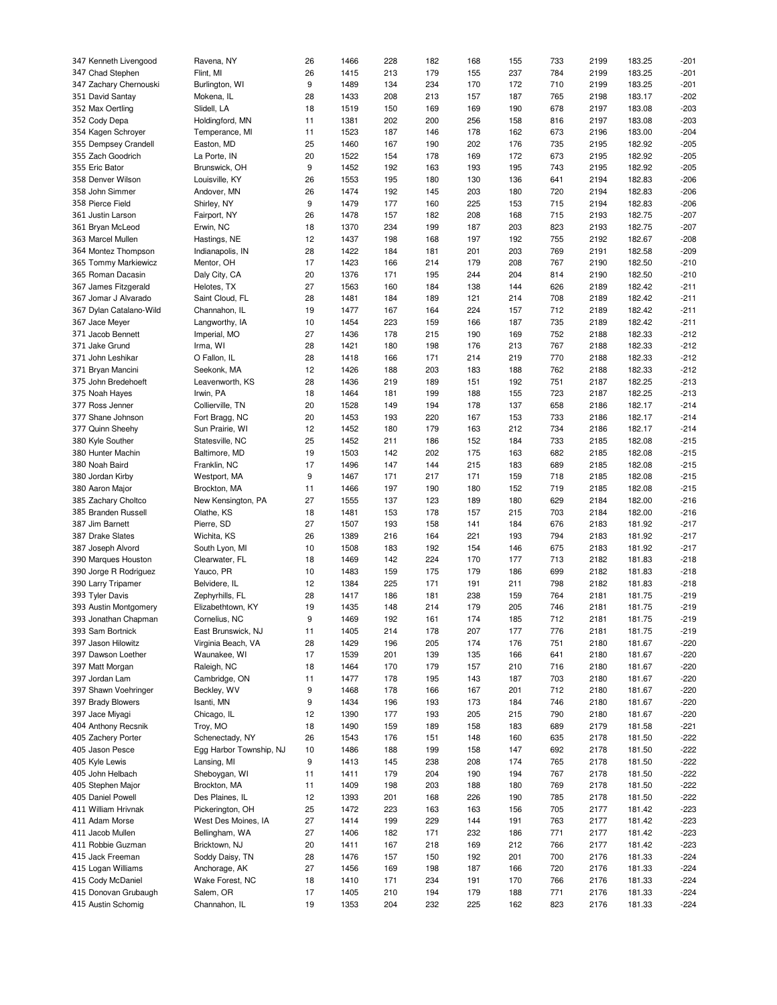| 347 Kenneth Livengood   | Ravena, NY              | 26 | 1466 | 228 | 182 | 168 | 155 | 733 | 2199 | 183.25 | $-201$ |
|-------------------------|-------------------------|----|------|-----|-----|-----|-----|-----|------|--------|--------|
| 347 Chad Stephen        | Flint, MI               | 26 | 1415 | 213 | 179 | 155 | 237 | 784 | 2199 | 183.25 | $-201$ |
|                         |                         |    |      |     |     |     |     |     |      |        |        |
| 347 Zachary Chernouski  | Burlington, WI          | 9  | 1489 | 134 | 234 | 170 | 172 | 710 | 2199 | 183.25 | $-201$ |
| 351 David Santay        | Mokena, IL              | 28 | 1433 | 208 | 213 | 157 | 187 | 765 | 2198 | 183.17 | $-202$ |
| 352 Max Oertling        | Slidell, LA             | 18 | 1519 | 150 | 169 | 169 | 190 | 678 | 2197 | 183.08 | $-203$ |
| 352 Cody Depa           | Holdingford, MN         | 11 | 1381 | 202 | 200 | 256 | 158 | 816 | 2197 | 183.08 | $-203$ |
| 354 Kagen Schroyer      | Temperance, MI          | 11 | 1523 | 187 | 146 | 178 | 162 | 673 | 2196 | 183.00 | $-204$ |
|                         |                         |    |      |     |     |     |     |     |      |        |        |
| 355 Dempsey Crandell    | Easton, MD              | 25 | 1460 | 167 | 190 | 202 | 176 | 735 | 2195 | 182.92 | $-205$ |
| 355 Zach Goodrich       | La Porte, IN            | 20 | 1522 | 154 | 178 | 169 | 172 | 673 | 2195 | 182.92 | $-205$ |
| 355 Eric Bator          | Brunswick, OH           | 9  | 1452 | 192 | 163 | 193 | 195 | 743 | 2195 | 182.92 | $-205$ |
| 358 Denver Wilson       | Louisville, KY          | 26 | 1553 | 195 | 180 | 130 | 136 | 641 | 2194 | 182.83 | $-206$ |
| 358 John Simmer         |                         |    |      |     |     |     |     |     |      |        |        |
|                         | Andover, MN             | 26 | 1474 | 192 | 145 | 203 | 180 | 720 | 2194 | 182.83 | $-206$ |
| 358 Pierce Field        | Shirley, NY             | 9  | 1479 | 177 | 160 | 225 | 153 | 715 | 2194 | 182.83 | $-206$ |
| 361 Justin Larson       | Fairport, NY            | 26 | 1478 | 157 | 182 | 208 | 168 | 715 | 2193 | 182.75 | $-207$ |
| 361 Bryan McLeod        | Erwin, NC               | 18 | 1370 | 234 | 199 | 187 | 203 | 823 | 2193 | 182.75 | $-207$ |
| 363 Marcel Mullen       | Hastings, NE            | 12 | 1437 | 198 | 168 | 197 | 192 | 755 | 2192 | 182.67 | $-208$ |
|                         |                         |    |      |     |     |     |     |     |      |        |        |
| 364 Montez Thompson     | Indianapolis, IN        | 28 | 1422 | 184 | 181 | 201 | 203 | 769 | 2191 | 182.58 | $-209$ |
| 365 Tommy Markiewicz    | Mentor, OH              | 17 | 1423 | 166 | 214 | 179 | 208 | 767 | 2190 | 182.50 | $-210$ |
| 365 Roman Dacasin       | Daly City, CA           | 20 | 1376 | 171 | 195 | 244 | 204 | 814 | 2190 | 182.50 | $-210$ |
| 367 James Fitzgerald    | Helotes, TX             | 27 | 1563 | 160 | 184 | 138 | 144 | 626 | 2189 | 182.42 | $-211$ |
|                         |                         |    |      |     |     |     |     |     |      |        |        |
| 367 Jomar J Alvarado    | Saint Cloud, FL         | 28 | 1481 | 184 | 189 | 121 | 214 | 708 | 2189 | 182.42 | $-211$ |
| 367 Dylan Catalano-Wild | Channahon, IL           | 19 | 1477 | 167 | 164 | 224 | 157 | 712 | 2189 | 182.42 | $-211$ |
| 367 Jace Meyer          | Langworthy, IA          | 10 | 1454 | 223 | 159 | 166 | 187 | 735 | 2189 | 182.42 | $-211$ |
| 371 Jacob Bennett       | Imperial, MO            | 27 | 1436 | 178 | 215 | 190 | 169 | 752 | 2188 | 182.33 | $-212$ |
| 371 Jake Grund          | Irma, WI                | 28 | 1421 | 180 | 198 | 176 | 213 | 767 | 2188 | 182.33 | $-212$ |
|                         |                         |    |      |     |     |     |     |     |      |        |        |
| 371 John Leshikar       | O Fallon, IL            | 28 | 1418 | 166 | 171 | 214 | 219 | 770 | 2188 | 182.33 | $-212$ |
| 371 Bryan Mancini       | Seekonk, MA             | 12 | 1426 | 188 | 203 | 183 | 188 | 762 | 2188 | 182.33 | $-212$ |
| 375 John Bredehoeft     | Leavenworth, KS         | 28 | 1436 | 219 | 189 | 151 | 192 | 751 | 2187 | 182.25 | $-213$ |
| 375 Noah Hayes          | Irwin, PA               | 18 | 1464 | 181 | 199 | 188 | 155 | 723 | 2187 | 182.25 | $-213$ |
|                         |                         |    |      |     |     |     |     |     |      |        |        |
| 377 Ross Jenner         | Collierville, TN        | 20 | 1528 | 149 | 194 | 178 | 137 | 658 | 2186 | 182.17 | $-214$ |
| 377 Shane Johnson       | Fort Bragg, NC          | 20 | 1453 | 193 | 220 | 167 | 153 | 733 | 2186 | 182.17 | $-214$ |
| 377 Quinn Sheehy        | Sun Prairie, WI         | 12 | 1452 | 180 | 179 | 163 | 212 | 734 | 2186 | 182.17 | $-214$ |
| 380 Kyle Souther        | Statesville, NC         | 25 | 1452 | 211 | 186 | 152 | 184 | 733 | 2185 | 182.08 | $-215$ |
|                         |                         | 19 | 1503 |     |     | 175 |     | 682 |      |        | $-215$ |
| 380 Hunter Machin       | Baltimore, MD           |    |      | 142 | 202 |     | 163 |     | 2185 | 182.08 |        |
| 380 Noah Baird          | Franklin, NC            | 17 | 1496 | 147 | 144 | 215 | 183 | 689 | 2185 | 182.08 | $-215$ |
| 380 Jordan Kirby        | Westport, MA            | 9  | 1467 | 171 | 217 | 171 | 159 | 718 | 2185 | 182.08 | $-215$ |
| 380 Aaron Major         | Brockton, MA            | 11 | 1466 | 197 | 190 | 180 | 152 | 719 | 2185 | 182.08 | $-215$ |
| 385 Zachary Choltco     | New Kensington, PA      | 27 | 1555 | 137 | 123 | 189 | 180 | 629 | 2184 | 182.00 | $-216$ |
|                         |                         |    |      |     |     |     |     |     |      |        |        |
| 385 Branden Russell     | Olathe, KS              | 18 | 1481 | 153 | 178 | 157 | 215 | 703 | 2184 | 182.00 | $-216$ |
| 387 Jim Barnett         | Pierre, SD              | 27 | 1507 | 193 | 158 | 141 | 184 | 676 | 2183 | 181.92 | $-217$ |
| 387 Drake Slates        | Wichita, KS             | 26 | 1389 | 216 | 164 | 221 | 193 | 794 | 2183 | 181.92 | $-217$ |
| 387 Joseph Alvord       | South Lyon, MI          | 10 | 1508 | 183 | 192 | 154 | 146 | 675 | 2183 | 181.92 | $-217$ |
|                         |                         |    |      |     |     |     |     |     |      |        |        |
| 390 Marques Houston     | Clearwater, FL          | 18 | 1469 | 142 | 224 | 170 | 177 | 713 | 2182 | 181.83 | $-218$ |
| 390 Jorge R Rodriguez   | Yauco, PR               | 10 | 1483 | 159 | 175 | 179 | 186 | 699 | 2182 | 181.83 | $-218$ |
| 390 Larry Tripamer      | Belvidere, IL           | 12 | 1384 | 225 | 171 | 191 | 211 | 798 | 2182 | 181.83 | $-218$ |
| 393 Tyler Davis         | Zephyrhills, FL         | 28 | 1417 | 186 | 181 | 238 | 159 | 764 | 2181 | 181.75 | $-219$ |
| 393 Austin Montgomery   | Elizabethtown, KY       | 19 | 1435 | 148 | 214 | 179 | 205 | 746 | 2181 | 181.75 | $-219$ |
|                         |                         |    |      |     |     |     |     |     |      |        |        |
| 393 Jonathan Chapman    | Cornelius, NC           | 9  | 1469 | 192 | 161 | 174 | 185 | 712 | 2181 | 181.75 | $-219$ |
| 393 Sam Bortnick        | East Brunswick, NJ      | 11 | 1405 | 214 | 178 | 207 | 177 | 776 | 2181 | 181.75 | $-219$ |
| 397 Jason Hilowitz      | Virginia Beach, VA      | 28 | 1429 | 196 | 205 | 174 | 176 | 751 | 2180 | 181.67 | $-220$ |
| 397 Dawson Loether      | Waunakee, WI            | 17 | 1539 | 201 | 139 | 135 | 166 | 641 | 2180 | 181.67 | $-220$ |
|                         |                         |    |      |     |     |     |     |     |      |        |        |
| 397 Matt Morgan         | Raleigh, NC             | 18 | 1464 | 170 | 179 | 157 | 210 | 716 | 2180 | 181.67 | $-220$ |
| 397 Jordan Lam          | Cambridge, ON           | 11 | 1477 | 178 | 195 | 143 | 187 | 703 | 2180 | 181.67 | $-220$ |
| 397 Shawn Voehringer    | Beckley, WV             | 9  | 1468 | 178 | 166 | 167 | 201 | 712 | 2180 | 181.67 | $-220$ |
| 397 Brady Blowers       | Isanti, MN              | 9  | 1434 | 196 | 193 | 173 | 184 | 746 | 2180 | 181.67 | $-220$ |
| 397 Jace Miyagi         | Chicago, IL             | 12 | 1390 | 177 | 193 | 205 | 215 | 790 | 2180 | 181.67 | $-220$ |
|                         |                         |    |      |     |     |     |     |     |      |        |        |
| 404 Anthony Recsnik     | Troy, MO                | 18 | 1490 | 159 | 189 | 158 | 183 | 689 | 2179 | 181.58 | $-221$ |
| 405 Zachery Porter      | Schenectady, NY         | 26 | 1543 | 176 | 151 | 148 | 160 | 635 | 2178 | 181.50 | $-222$ |
| 405 Jason Pesce         | Egg Harbor Township, NJ | 10 | 1486 | 188 | 199 | 158 | 147 | 692 | 2178 | 181.50 | $-222$ |
| 405 Kyle Lewis          | Lansing, MI             | 9  | 1413 | 145 | 238 | 208 | 174 | 765 | 2178 | 181.50 | $-222$ |
|                         |                         |    |      |     |     |     |     |     |      |        |        |
| 405 John Helbach        | Sheboygan, WI           | 11 | 1411 | 179 | 204 | 190 | 194 | 767 | 2178 | 181.50 | $-222$ |
| 405 Stephen Major       | Brockton, MA            | 11 | 1409 | 198 | 203 | 188 | 180 | 769 | 2178 | 181.50 | $-222$ |
| 405 Daniel Powell       | Des Plaines, IL         | 12 | 1393 | 201 | 168 | 226 | 190 | 785 | 2178 | 181.50 | $-222$ |
| 411 William Hrivnak     | Pickerington, OH        | 25 | 1472 | 223 | 163 | 163 | 156 | 705 | 2177 | 181.42 | $-223$ |
|                         |                         |    |      |     |     |     |     |     |      |        |        |
| 411 Adam Morse          | West Des Moines, IA     | 27 | 1414 | 199 | 229 | 144 | 191 | 763 | 2177 | 181.42 | $-223$ |
| 411 Jacob Mullen        | Bellingham, WA          | 27 | 1406 | 182 | 171 | 232 | 186 | 771 | 2177 | 181.42 | $-223$ |
| 411 Robbie Guzman       | Bricktown, NJ           | 20 | 1411 | 167 | 218 | 169 | 212 | 766 | 2177 | 181.42 | $-223$ |
| 415 Jack Freeman        | Soddy Daisy, TN         | 28 | 1476 | 157 | 150 | 192 | 201 | 700 | 2176 | 181.33 | $-224$ |
|                         |                         |    |      |     |     |     |     |     |      |        |        |
| 415 Logan Williams      | Anchorage, AK           | 27 | 1456 | 169 | 198 | 187 | 166 | 720 | 2176 | 181.33 | $-224$ |
| 415 Cody McDaniel       | Wake Forest, NC         | 18 | 1410 | 171 | 234 | 191 | 170 | 766 | 2176 | 181.33 | $-224$ |
| 415 Donovan Grubaugh    | Salem, OR               | 17 | 1405 | 210 | 194 | 179 | 188 | 771 | 2176 | 181.33 | $-224$ |
| 415 Austin Schomig      | Channahon, IL           | 19 | 1353 | 204 | 232 | 225 | 162 | 823 | 2176 | 181.33 | $-224$ |
|                         |                         |    |      |     |     |     |     |     |      |        |        |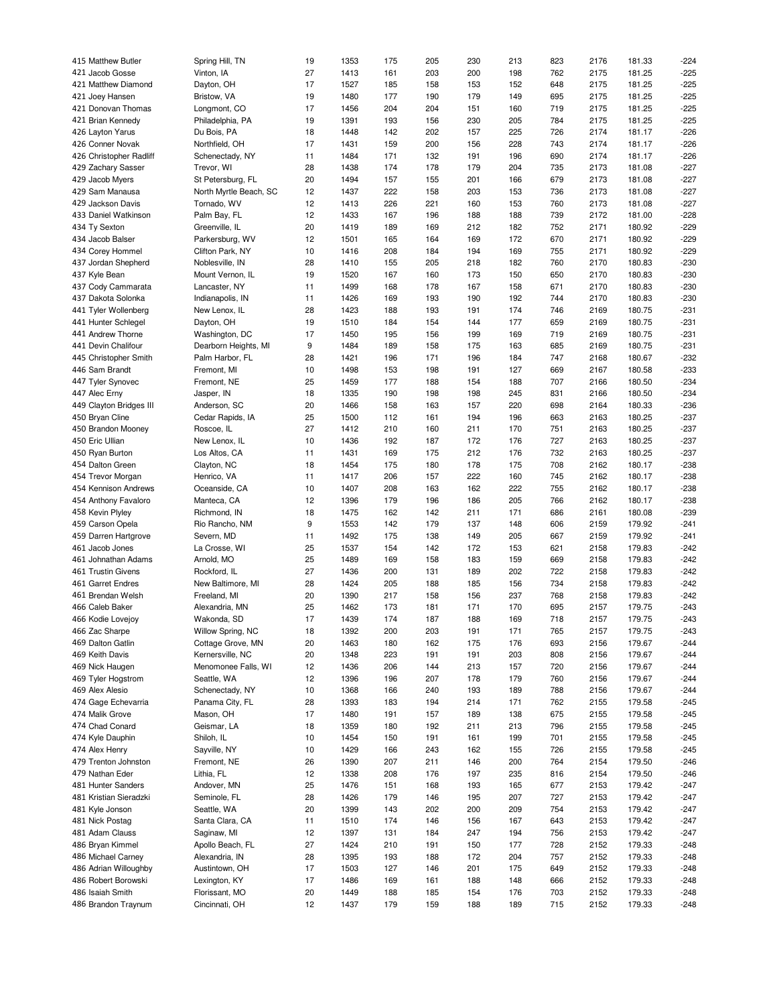| 415 Matthew Butler      | Spring Hill, TN        | 19 | 1353 | 175 | 205 | 230 | 213 | 823 | 2176 | 181.33 | $-224$ |
|-------------------------|------------------------|----|------|-----|-----|-----|-----|-----|------|--------|--------|
| 421 Jacob Gosse         | Vinton, IA             | 27 | 1413 | 161 | 203 | 200 | 198 | 762 | 2175 | 181.25 | $-225$ |
| 421 Matthew Diamond     | Dayton, OH             | 17 | 1527 | 185 | 158 | 153 | 152 | 648 | 2175 | 181.25 | $-225$ |
|                         |                        |    |      |     |     |     |     |     |      |        |        |
| 421 Joey Hansen         | Bristow, VA            | 19 | 1480 | 177 | 190 | 179 | 149 | 695 | 2175 | 181.25 | $-225$ |
| 421 Donovan Thomas      | Longmont, CO           | 17 | 1456 | 204 | 204 | 151 | 160 | 719 | 2175 | 181.25 | $-225$ |
| 421 Brian Kennedy       | Philadelphia, PA       | 19 | 1391 | 193 | 156 | 230 | 205 | 784 | 2175 | 181.25 | $-225$ |
| 426 Layton Yarus        | Du Bois, PA            | 18 | 1448 | 142 | 202 | 157 | 225 | 726 | 2174 | 181.17 | $-226$ |
| 426 Conner Novak        | Northfield, OH         | 17 | 1431 | 159 | 200 | 156 | 228 | 743 | 2174 | 181.17 | $-226$ |
| 426 Christopher Radliff | Schenectady, NY        | 11 | 1484 | 171 | 132 | 191 | 196 | 690 | 2174 | 181.17 | $-226$ |
|                         |                        |    |      |     |     |     |     |     |      |        |        |
| 429 Zachary Sasser      | Trevor, WI             | 28 | 1438 | 174 | 178 | 179 | 204 | 735 | 2173 | 181.08 | $-227$ |
| 429 Jacob Myers         | St Petersburg, FL      | 20 | 1494 | 157 | 155 | 201 | 166 | 679 | 2173 | 181.08 | $-227$ |
| 429 Sam Manausa         | North Myrtle Beach, SC | 12 | 1437 | 222 | 158 | 203 | 153 | 736 | 2173 | 181.08 | $-227$ |
| 429 Jackson Davis       | Tornado, WV            | 12 | 1413 | 226 | 221 | 160 | 153 | 760 | 2173 | 181.08 | $-227$ |
| 433 Daniel Watkinson    | Palm Bay, FL           | 12 | 1433 | 167 | 196 | 188 | 188 | 739 | 2172 | 181.00 | $-228$ |
| 434 Ty Sexton           | Greenville, IL         | 20 | 1419 | 189 | 169 | 212 | 182 | 752 | 2171 | 180.92 | $-229$ |
|                         |                        | 12 | 1501 | 165 |     | 169 | 172 | 670 | 2171 | 180.92 | $-229$ |
| 434 Jacob Balser        | Parkersburg, WV        |    |      |     | 164 |     |     |     |      |        |        |
| 434 Corey Hommel        | Clifton Park, NY       | 10 | 1416 | 208 | 184 | 194 | 169 | 755 | 2171 | 180.92 | $-229$ |
| 437 Jordan Shepherd     | Noblesville, IN        | 28 | 1410 | 155 | 205 | 218 | 182 | 760 | 2170 | 180.83 | $-230$ |
| 437 Kyle Bean           | Mount Vernon, IL       | 19 | 1520 | 167 | 160 | 173 | 150 | 650 | 2170 | 180.83 | $-230$ |
| 437 Cody Cammarata      | Lancaster, NY          | 11 | 1499 | 168 | 178 | 167 | 158 | 671 | 2170 | 180.83 | $-230$ |
| 437 Dakota Solonka      | Indianapolis, IN       | 11 | 1426 | 169 | 193 | 190 | 192 | 744 | 2170 | 180.83 | $-230$ |
| 441 Tyler Wollenberg    | New Lenox, IL          | 28 | 1423 | 188 | 193 | 191 | 174 | 746 | 2169 | 180.75 | $-231$ |
|                         |                        |    |      |     |     |     |     |     |      |        |        |
| 441 Hunter Schlegel     | Dayton, OH             | 19 | 1510 | 184 | 154 | 144 | 177 | 659 | 2169 | 180.75 | $-231$ |
| 441 Andrew Thorne       | Washington, DC         | 17 | 1450 | 195 | 156 | 199 | 169 | 719 | 2169 | 180.75 | $-231$ |
| 441 Devin Chalifour     | Dearborn Heights, MI   | 9  | 1484 | 189 | 158 | 175 | 163 | 685 | 2169 | 180.75 | $-231$ |
| 445 Christopher Smith   | Palm Harbor, FL        | 28 | 1421 | 196 | 171 | 196 | 184 | 747 | 2168 | 180.67 | $-232$ |
| 446 Sam Brandt          | Fremont, MI            | 10 | 1498 | 153 | 198 | 191 | 127 | 669 | 2167 | 180.58 | $-233$ |
| 447 Tyler Synovec       | Fremont, NE            | 25 | 1459 | 177 | 188 | 154 | 188 | 707 | 2166 | 180.50 | $-234$ |
|                         |                        |    |      |     |     |     |     |     |      |        |        |
| 447 Alec Erny           | Jasper, IN             | 18 | 1335 | 190 | 198 | 198 | 245 | 831 | 2166 | 180.50 | $-234$ |
| 449 Clayton Bridges III | Anderson, SC           | 20 | 1466 | 158 | 163 | 157 | 220 | 698 | 2164 | 180.33 | $-236$ |
| 450 Bryan Cline         | Cedar Rapids, IA       | 25 | 1500 | 112 | 161 | 194 | 196 | 663 | 2163 | 180.25 | $-237$ |
| 450 Brandon Mooney      | Roscoe, IL             | 27 | 1412 | 210 | 160 | 211 | 170 | 751 | 2163 | 180.25 | $-237$ |
| 450 Eric Ullian         | New Lenox, IL          | 10 | 1436 | 192 | 187 | 172 | 176 | 727 | 2163 | 180.25 | $-237$ |
| 450 Ryan Burton         | Los Altos, CA          | 11 | 1431 | 169 | 175 | 212 | 176 | 732 | 2163 | 180.25 | $-237$ |
|                         |                        |    |      |     |     |     |     |     |      |        |        |
| 454 Dalton Green        | Clayton, NC            | 18 | 1454 | 175 | 180 | 178 | 175 | 708 | 2162 | 180.17 | $-238$ |
| 454 Trevor Morgan       | Henrico, VA            | 11 | 1417 | 206 | 157 | 222 | 160 | 745 | 2162 | 180.17 | $-238$ |
| 454 Kennison Andrews    | Oceanside, CA          | 10 | 1407 | 208 | 163 | 162 | 222 | 755 | 2162 | 180.17 | $-238$ |
| 454 Anthony Favaloro    | Manteca, CA            | 12 | 1396 | 179 | 196 | 186 | 205 | 766 | 2162 | 180.17 | $-238$ |
| 458 Kevin Plyley        | Richmond, IN           | 18 | 1475 | 162 | 142 | 211 | 171 | 686 | 2161 | 180.08 | $-239$ |
| 459 Carson Opela        | Rio Rancho, NM         | 9  | 1553 | 142 | 179 | 137 | 148 | 606 | 2159 | 179.92 | $-241$ |
| 459 Darren Hartgrove    | Severn, MD             | 11 | 1492 | 175 | 138 | 149 | 205 | 667 | 2159 | 179.92 | $-241$ |
|                         |                        |    |      |     |     |     |     |     |      |        |        |
| 461 Jacob Jones         | La Crosse, WI          | 25 | 1537 | 154 | 142 | 172 | 153 | 621 | 2158 | 179.83 | $-242$ |
| 461 Johnathan Adams     | Arnold, MO             | 25 | 1489 | 169 | 158 | 183 | 159 | 669 | 2158 | 179.83 | $-242$ |
| 461 Trustin Givens      | Rockford, IL           | 27 | 1436 | 200 | 131 | 189 | 202 | 722 | 2158 | 179.83 | $-242$ |
| 461 Garret Endres       | New Baltimore, MI      | 28 | 1424 | 205 | 188 | 185 | 156 | 734 | 2158 | 179.83 | $-242$ |
| 461 Brendan Welsh       | Freeland, MI           | 20 | 1390 | 217 | 158 | 156 | 237 | 768 | 2158 | 179.83 | $-242$ |
| 466 Caleb Baker         | Alexandria, MN         | 25 | 1462 | 173 | 181 | 171 | 170 | 695 | 2157 | 179.75 | $-243$ |
|                         |                        |    |      |     |     |     |     |     |      |        |        |
| 466 Kodie Lovejoy       | Wakonda, SD            | 17 | 1439 | 174 | 187 | 188 | 169 | 718 | 2157 | 179.75 | $-243$ |
| 466 Zac Sharpe          | Willow Spring, NC      | 18 | 1392 | 200 | 203 | 191 | 171 | 765 | 2157 | 179.75 | $-243$ |
| 469 Dalton Gatlin       | Cottage Grove, MN      | 20 | 1463 | 180 | 162 | 175 | 176 | 693 | 2156 | 179.67 | $-244$ |
| 469 Keith Davis         | Kernersville, NC       | 20 | 1348 | 223 | 191 | 191 | 203 | 808 | 2156 | 179.67 | $-244$ |
| 469 Nick Haugen         | Menomonee Falls, WI    | 12 | 1436 | 206 | 144 | 213 | 157 | 720 | 2156 | 179.67 | $-244$ |
| 469 Tyler Hogstrom      | Seattle, WA            | 12 | 1396 | 196 | 207 | 178 | 179 | 760 | 2156 | 179.67 | $-244$ |
| 469 Alex Alesio         | Schenectady, NY        | 10 | 1368 | 166 | 240 | 193 | 189 | 788 | 2156 | 179.67 | $-244$ |
|                         |                        |    |      |     |     |     |     |     |      |        |        |
| 474 Gage Echevarria     | Panama City, FL        | 28 | 1393 | 183 | 194 | 214 | 171 | 762 | 2155 | 179.58 | $-245$ |
| 474 Malik Grove         | Mason, OH              | 17 | 1480 | 191 | 157 | 189 | 138 | 675 | 2155 | 179.58 | $-245$ |
| 474 Chad Conard         | Geismar, LA            | 18 | 1359 | 180 | 192 | 211 | 213 | 796 | 2155 | 179.58 | $-245$ |
| 474 Kyle Dauphin        | Shiloh, IL             | 10 | 1454 | 150 | 191 | 161 | 199 | 701 | 2155 | 179.58 | $-245$ |
| 474 Alex Henry          | Sayville, NY           | 10 | 1429 | 166 | 243 | 162 | 155 | 726 | 2155 | 179.58 | $-245$ |
| 479 Trenton Johnston    | Fremont, NE            | 26 | 1390 | 207 | 211 | 146 | 200 | 764 | 2154 | 179.50 | $-246$ |
|                         |                        |    |      |     |     |     |     |     |      |        |        |
| 479 Nathan Eder         | Lithia, FL             | 12 | 1338 | 208 | 176 | 197 | 235 | 816 | 2154 | 179.50 | $-246$ |
| 481 Hunter Sanders      | Andover, MN            | 25 | 1476 | 151 | 168 | 193 | 165 | 677 | 2153 | 179.42 | $-247$ |
| 481 Kristian Sieradzki  | Seminole, FL           | 28 | 1426 | 179 | 146 | 195 | 207 | 727 | 2153 | 179.42 | $-247$ |
| 481 Kyle Jonson         | Seattle, WA            | 20 | 1399 | 143 | 202 | 200 | 209 | 754 | 2153 | 179.42 | $-247$ |
| 481 Nick Postag         | Santa Clara, CA        | 11 | 1510 | 174 | 146 | 156 | 167 | 643 | 2153 | 179.42 | $-247$ |
| 481 Adam Clauss         | Saginaw, MI            | 12 | 1397 | 131 | 184 | 247 | 194 | 756 | 2153 | 179.42 | $-247$ |
| 486 Bryan Kimmel        | Apollo Beach, FL       | 27 | 1424 | 210 | 191 | 150 | 177 | 728 | 2152 | 179.33 | $-248$ |
|                         |                        |    |      |     |     |     |     |     |      |        |        |
| 486 Michael Carney      | Alexandria, IN         | 28 | 1395 | 193 | 188 | 172 | 204 | 757 | 2152 | 179.33 | $-248$ |
| 486 Adrian Willoughby   | Austintown, OH         | 17 | 1503 | 127 | 146 | 201 | 175 | 649 | 2152 | 179.33 | $-248$ |
| 486 Robert Borowski     | Lexington, KY          | 17 | 1486 | 169 | 161 | 188 | 148 | 666 | 2152 | 179.33 | $-248$ |
| 486 Isaiah Smith        | Florissant, MO         | 20 | 1449 | 188 | 185 | 154 | 176 | 703 | 2152 | 179.33 | $-248$ |
| 486 Brandon Traynum     | Cincinnati, OH         | 12 | 1437 | 179 | 159 | 188 | 189 | 715 | 2152 | 179.33 | $-248$ |
|                         |                        |    |      |     |     |     |     |     |      |        |        |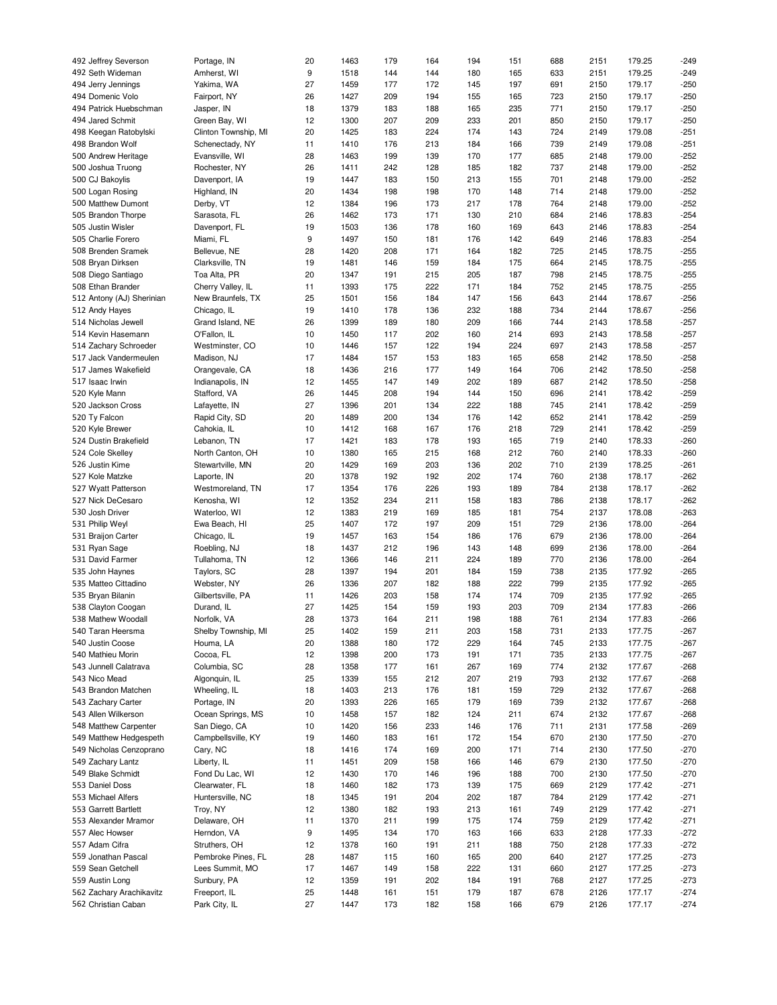| 492 Jeffrey Severson      | Portage, IN          | 20 | 1463 | 179 | 164 | 194 | 151 | 688 | 2151 | 179.25 | $-249$ |
|---------------------------|----------------------|----|------|-----|-----|-----|-----|-----|------|--------|--------|
| 492 Seth Wideman          | Amherst, WI          | 9  | 1518 | 144 | 144 | 180 | 165 | 633 | 2151 | 179.25 | $-249$ |
|                           |                      |    |      |     |     |     |     |     |      |        |        |
| 494 Jerry Jennings        | Yakima, WA           | 27 | 1459 | 177 | 172 | 145 | 197 | 691 | 2150 | 179.17 | $-250$ |
| 494 Domenic Volo          | Fairport, NY         | 26 | 1427 | 209 | 194 | 155 | 165 | 723 | 2150 | 179.17 | $-250$ |
| 494 Patrick Huebschman    | Jasper, IN           | 18 | 1379 | 183 | 188 | 165 | 235 | 771 | 2150 | 179.17 | $-250$ |
| 494 Jared Schmit          | Green Bay, WI        | 12 | 1300 | 207 | 209 | 233 | 201 | 850 | 2150 | 179.17 | $-250$ |
|                           |                      |    |      |     |     |     |     |     |      |        |        |
| 498 Keegan Ratobylski     | Clinton Township, MI | 20 | 1425 | 183 | 224 | 174 | 143 | 724 | 2149 | 179.08 | $-251$ |
| 498 Brandon Wolf          | Schenectady, NY      | 11 | 1410 | 176 | 213 | 184 | 166 | 739 | 2149 | 179.08 | $-251$ |
| 500 Andrew Heritage       | Evansville, WI       | 28 | 1463 | 199 | 139 | 170 | 177 | 685 | 2148 | 179.00 | $-252$ |
|                           |                      |    |      |     |     |     |     |     |      |        |        |
| 500 Joshua Truong         | Rochester, NY        | 26 | 1411 | 242 | 128 | 185 | 182 | 737 | 2148 | 179.00 | $-252$ |
| 500 CJ Bakoylis           | Davenport, IA        | 19 | 1447 | 183 | 150 | 213 | 155 | 701 | 2148 | 179.00 | $-252$ |
| 500 Logan Rosing          | Highland, IN         | 20 | 1434 | 198 | 198 | 170 | 148 | 714 | 2148 | 179.00 | $-252$ |
| 500 Matthew Dumont        | Derby, VT            | 12 | 1384 | 196 | 173 | 217 | 178 | 764 | 2148 | 179.00 | $-252$ |
|                           |                      |    |      |     |     |     |     |     |      |        |        |
| 505 Brandon Thorpe        | Sarasota, FL         | 26 | 1462 | 173 | 171 | 130 | 210 | 684 | 2146 | 178.83 | $-254$ |
| 505 Justin Wisler         | Davenport, FL        | 19 | 1503 | 136 | 178 | 160 | 169 | 643 | 2146 | 178.83 | $-254$ |
| 505 Charlie Forero        | Miami, FL            | 9  | 1497 | 150 | 181 | 176 | 142 | 649 | 2146 | 178.83 | $-254$ |
|                           |                      |    |      |     |     |     |     |     |      |        |        |
| 508 Brenden Sramek        | Bellevue, NE         | 28 | 1420 | 208 | 171 | 164 | 182 | 725 | 2145 | 178.75 | $-255$ |
| 508 Bryan Dirksen         | Clarksville, TN      | 19 | 1481 | 146 | 159 | 184 | 175 | 664 | 2145 | 178.75 | $-255$ |
| 508 Diego Santiago        | Toa Alta, PR         | 20 | 1347 | 191 | 215 | 205 | 187 | 798 | 2145 | 178.75 | $-255$ |
| 508 Ethan Brander         | Cherry Valley, IL    | 11 | 1393 | 175 | 222 | 171 | 184 | 752 | 2145 | 178.75 | $-255$ |
|                           |                      |    |      |     |     |     |     |     |      |        |        |
| 512 Antony (AJ) Sherinian | New Braunfels, TX    | 25 | 1501 | 156 | 184 | 147 | 156 | 643 | 2144 | 178.67 | $-256$ |
| 512 Andy Hayes            | Chicago, IL          | 19 | 1410 | 178 | 136 | 232 | 188 | 734 | 2144 | 178.67 | $-256$ |
| 514 Nicholas Jewell       | Grand Island, NE     | 26 | 1399 | 189 | 180 | 209 | 166 | 744 | 2143 | 178.58 | $-257$ |
| 514 Kevin Hasemann        |                      |    |      |     |     |     |     |     |      |        |        |
|                           | O'Fallon, IL         | 10 | 1450 | 117 | 202 | 160 | 214 | 693 | 2143 | 178.58 | $-257$ |
| 514 Zachary Schroeder     | Westminster, CO      | 10 | 1446 | 157 | 122 | 194 | 224 | 697 | 2143 | 178.58 | $-257$ |
| 517 Jack Vandermeulen     | Madison, NJ          | 17 | 1484 | 157 | 153 | 183 | 165 | 658 | 2142 | 178.50 | $-258$ |
| 517 James Wakefield       | Orangevale, CA       | 18 | 1436 | 216 | 177 | 149 | 164 | 706 | 2142 | 178.50 | $-258$ |
|                           |                      |    |      |     |     |     |     |     |      |        |        |
| 517 Isaac Irwin           | Indianapolis, IN     | 12 | 1455 | 147 | 149 | 202 | 189 | 687 | 2142 | 178.50 | $-258$ |
| 520 Kyle Mann             | Stafford, VA         | 26 | 1445 | 208 | 194 | 144 | 150 | 696 | 2141 | 178.42 | $-259$ |
| 520 Jackson Cross         | Lafayette, IN        | 27 | 1396 | 201 | 134 | 222 | 188 | 745 | 2141 | 178.42 | $-259$ |
|                           |                      |    |      |     |     |     |     |     |      |        |        |
| 520 Ty Falcon             | Rapid City, SD       | 20 | 1489 | 200 | 134 | 176 | 142 | 652 | 2141 | 178.42 | $-259$ |
| 520 Kyle Brewer           | Cahokia, IL          | 10 | 1412 | 168 | 167 | 176 | 218 | 729 | 2141 | 178.42 | $-259$ |
| 524 Dustin Brakefield     | Lebanon, TN          | 17 | 1421 | 183 | 178 | 193 | 165 | 719 | 2140 | 178.33 | $-260$ |
|                           |                      |    | 1380 |     |     |     |     | 760 |      |        | $-260$ |
| 524 Cole Skelley          | North Canton, OH     | 10 |      | 165 | 215 | 168 | 212 |     | 2140 | 178.33 |        |
| 526 Justin Kime           | Stewartville, MN     | 20 | 1429 | 169 | 203 | 136 | 202 | 710 | 2139 | 178.25 | $-261$ |
| 527 Kole Matzke           | Laporte, IN          | 20 | 1378 | 192 | 192 | 202 | 174 | 760 | 2138 | 178.17 | $-262$ |
| 527 Wyatt Patterson       | Westmoreland, TN     | 17 | 1354 | 176 | 226 | 193 | 189 | 784 | 2138 | 178.17 | $-262$ |
|                           |                      |    |      |     |     |     |     |     |      |        |        |
| 527 Nick DeCesaro         | Kenosha, WI          | 12 | 1352 | 234 | 211 | 158 | 183 | 786 | 2138 | 178.17 | $-262$ |
| 530 Josh Driver           | Waterloo, WI         | 12 | 1383 | 219 | 169 | 185 | 181 | 754 | 2137 | 178.08 | $-263$ |
| 531 Philip Weyl           | Ewa Beach, HI        | 25 | 1407 | 172 | 197 | 209 | 151 | 729 | 2136 | 178.00 | $-264$ |
| 531 Braijon Carter        | Chicago, IL          | 19 | 1457 | 163 | 154 | 186 | 176 | 679 | 2136 | 178.00 | $-264$ |
|                           |                      |    |      |     |     |     |     |     |      |        |        |
| 531 Ryan Sage             | Roebling, NJ         | 18 | 1437 | 212 | 196 | 143 | 148 | 699 | 2136 | 178.00 | $-264$ |
| 531 David Farmer          | Tullahoma, TN        | 12 | 1366 | 146 | 211 | 224 | 189 | 770 | 2136 | 178.00 | $-264$ |
| 535 John Haynes           | Taylors, SC          | 28 | 1397 | 194 | 201 | 184 | 159 | 738 | 2135 | 177.92 | $-265$ |
|                           | Webster, NY          |    |      | 207 |     |     |     | 799 |      |        |        |
| 535 Matteo Cittadino      |                      | 26 | 1336 |     | 182 | 188 | 222 |     | 2135 | 177.92 | $-265$ |
| 535 Bryan Bilanin         | Gilbertsville, PA    | 11 | 1426 | 203 | 158 | 174 | 174 | 709 | 2135 | 177.92 | $-265$ |
| 538 Clayton Coogan        | Durand, IL           | 27 | 1425 | 154 | 159 | 193 | 203 | 709 | 2134 | 177.83 | $-266$ |
| 538 Mathew Woodall        | Norfolk, VA          | 28 | 1373 | 164 | 211 | 198 | 188 | 761 | 2134 | 177.83 | $-266$ |
|                           |                      |    |      |     |     |     |     |     |      |        |        |
| 540 Taran Heersma         | Shelby Township, MI  | 25 | 1402 | 159 | 211 | 203 | 158 | 731 | 2133 | 177.75 | -267   |
| 540 Justin Coose          | Houma, LA            | 20 | 1388 | 180 | 172 | 229 | 164 | 745 | 2133 | 177.75 | $-267$ |
| 540 Mathieu Morin         | Cocoa, FL            | 12 | 1398 | 200 | 173 | 191 | 171 | 735 | 2133 | 177.75 | $-267$ |
| 543 Junnell Calatrava     | Columbia, SC         | 28 | 1358 | 177 | 161 | 267 | 169 | 774 | 2132 | 177.67 | $-268$ |
|                           |                      |    |      |     |     |     |     |     |      |        |        |
| 543 Nico Mead             | Algonquin, IL        | 25 | 1339 | 155 | 212 | 207 | 219 | 793 | 2132 | 177.67 | $-268$ |
| 543 Brandon Matchen       | Wheeling, IL         | 18 | 1403 | 213 | 176 | 181 | 159 | 729 | 2132 | 177.67 | $-268$ |
| 543 Zachary Carter        | Portage, IN          | 20 | 1393 | 226 | 165 | 179 | 169 | 739 | 2132 | 177.67 | $-268$ |
|                           |                      |    |      |     |     |     |     |     |      |        |        |
| 543 Allen Wilkerson       | Ocean Springs, MS    | 10 | 1458 | 157 | 182 | 124 | 211 | 674 | 2132 | 177.67 | $-268$ |
| 548 Matthew Carpenter     | San Diego, CA        | 10 | 1420 | 156 | 233 | 146 | 176 | 711 | 2131 | 177.58 | $-269$ |
| 549 Matthew Hedgespeth    | Campbellsville, KY   | 19 | 1460 | 183 | 161 | 172 | 154 | 670 | 2130 | 177.50 | $-270$ |
| 549 Nicholas Cenzoprano   | Cary, NC             | 18 | 1416 | 174 | 169 | 200 | 171 | 714 | 2130 | 177.50 | $-270$ |
|                           |                      |    |      |     |     |     |     |     |      |        |        |
| 549 Zachary Lantz         | Liberty, IL          | 11 | 1451 | 209 | 158 | 166 | 146 | 679 | 2130 | 177.50 | $-270$ |
| 549 Blake Schmidt         | Fond Du Lac, WI      | 12 | 1430 | 170 | 146 | 196 | 188 | 700 | 2130 | 177.50 | $-270$ |
| 553 Daniel Doss           | Clearwater, FL       | 18 | 1460 | 182 | 173 | 139 | 175 | 669 | 2129 | 177.42 | $-271$ |
|                           |                      |    |      |     |     |     |     |     |      |        |        |
| 553 Michael Alfers        | Huntersville, NC     | 18 | 1345 | 191 | 204 | 202 | 187 | 784 | 2129 | 177.42 | $-271$ |
| 553 Garrett Bartlett      | Troy, NY             | 12 | 1380 | 182 | 193 | 213 | 161 | 749 | 2129 | 177.42 | $-271$ |
| 553 Alexander Mramor      | Delaware, OH         | 11 | 1370 | 211 | 199 | 175 | 174 | 759 | 2129 | 177.42 | $-271$ |
| 557 Alec Howser           | Herndon, VA          | 9  | 1495 | 134 | 170 | 163 | 166 | 633 | 2128 | 177.33 | $-272$ |
|                           |                      |    |      |     |     |     |     |     |      |        |        |
| 557 Adam Cifra            | Struthers, OH        | 12 | 1378 | 160 | 191 | 211 | 188 | 750 | 2128 | 177.33 | $-272$ |
| 559 Jonathan Pascal       | Pembroke Pines, FL   | 28 | 1487 | 115 | 160 | 165 | 200 | 640 | 2127 | 177.25 | $-273$ |
| 559 Sean Getchell         | Lees Summit, MO      | 17 | 1467 | 149 | 158 | 222 | 131 | 660 | 2127 | 177.25 | $-273$ |
|                           |                      |    |      |     |     |     |     |     |      |        |        |
| 559 Austin Long           | Sunbury, PA          | 12 | 1359 | 191 | 202 | 184 | 191 | 768 | 2127 | 177.25 | $-273$ |
| 562 Zachary Arachikavitz  | Freeport, IL         | 25 | 1448 | 161 | 151 | 179 | 187 | 678 | 2126 | 177.17 | $-274$ |
| 562 Christian Caban       | Park City, IL        | 27 | 1447 | 173 | 182 | 158 | 166 | 679 | 2126 | 177.17 | $-274$ |
|                           |                      |    |      |     |     |     |     |     |      |        |        |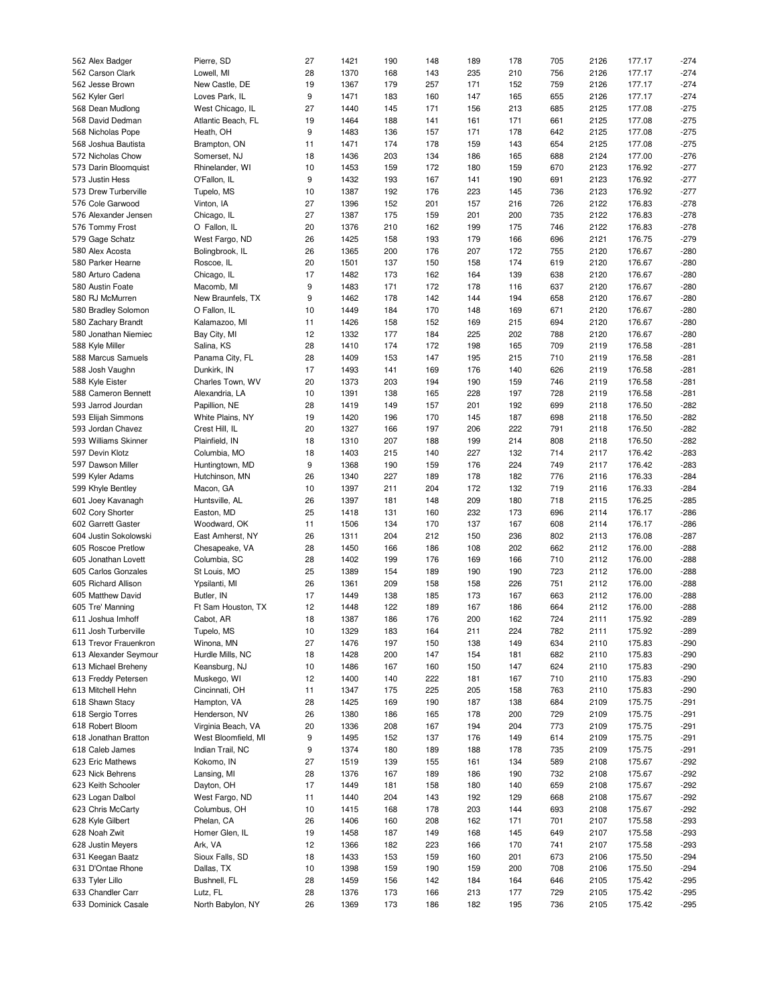| 562 Alex Badger       | Pierre, SD          | 27 | 1421 | 190 | 148 | 189 | 178 | 705 | 2126 | 177.17 | $-274$ |
|-----------------------|---------------------|----|------|-----|-----|-----|-----|-----|------|--------|--------|
| 562 Carson Clark      | Lowell, MI          | 28 | 1370 | 168 | 143 | 235 | 210 | 756 | 2126 | 177.17 | $-274$ |
| 562 Jesse Brown       | New Castle, DE      | 19 | 1367 | 179 | 257 | 171 | 152 | 759 | 2126 | 177.17 | $-274$ |
|                       |                     |    |      |     |     |     |     |     |      |        |        |
| 562 Kyler Gerl        | Loves Park, IL      | 9  | 1471 | 183 | 160 | 147 | 165 | 655 | 2126 | 177.17 | $-274$ |
| 568 Dean Mudlong      | West Chicago, IL    | 27 | 1440 | 145 | 171 | 156 | 213 | 685 | 2125 | 177.08 | $-275$ |
| 568 David Dedman      | Atlantic Beach, FL  | 19 | 1464 | 188 | 141 | 161 | 171 | 661 | 2125 | 177.08 | $-275$ |
| 568 Nicholas Pope     | Heath, OH           | 9  | 1483 | 136 | 157 | 171 | 178 | 642 | 2125 | 177.08 | $-275$ |
| 568 Joshua Bautista   | Brampton, ON        | 11 | 1471 | 174 | 178 | 159 | 143 | 654 | 2125 | 177.08 | $-275$ |
| 572 Nicholas Chow     | Somerset, NJ        | 18 | 1436 | 203 | 134 | 186 | 165 | 688 | 2124 | 177.00 | $-276$ |
|                       |                     |    |      |     |     |     |     |     |      |        |        |
| 573 Darin Bloomquist  | Rhinelander, WI     | 10 | 1453 | 159 | 172 | 180 | 159 | 670 | 2123 | 176.92 | $-277$ |
| 573 Justin Hess       | O'Fallon, IL        | 9  | 1432 | 193 | 167 | 141 | 190 | 691 | 2123 | 176.92 | $-277$ |
| 573 Drew Turberville  | Tupelo, MS          | 10 | 1387 | 192 | 176 | 223 | 145 | 736 | 2123 | 176.92 | $-277$ |
| 576 Cole Garwood      | Vinton, IA          | 27 | 1396 | 152 | 201 | 157 | 216 | 726 | 2122 | 176.83 | $-278$ |
| 576 Alexander Jensen  | Chicago, IL         | 27 | 1387 | 175 | 159 | 201 | 200 | 735 | 2122 | 176.83 | $-278$ |
|                       |                     |    |      |     |     |     |     |     |      | 176.83 |        |
| 576 Tommy Frost       | O Fallon, IL        | 20 | 1376 | 210 | 162 | 199 | 175 | 746 | 2122 |        | $-278$ |
| 579 Gage Schatz       | West Fargo, ND      | 26 | 1425 | 158 | 193 | 179 | 166 | 696 | 2121 | 176.75 | $-279$ |
| 580 Alex Acosta       | Bolingbrook, IL     | 26 | 1365 | 200 | 176 | 207 | 172 | 755 | 2120 | 176.67 | $-280$ |
| 580 Parker Hearne     | Roscoe, IL          | 20 | 1501 | 137 | 150 | 158 | 174 | 619 | 2120 | 176.67 | $-280$ |
| 580 Arturo Cadena     | Chicago, IL         | 17 | 1482 | 173 | 162 | 164 | 139 | 638 | 2120 | 176.67 | $-280$ |
| 580 Austin Foate      | Macomb, MI          | 9  | 1483 | 171 | 172 | 178 | 116 | 637 | 2120 | 176.67 | $-280$ |
|                       |                     |    |      |     |     |     |     |     |      |        |        |
| 580 RJ McMurren       | New Braunfels, TX   | 9  | 1462 | 178 | 142 | 144 | 194 | 658 | 2120 | 176.67 | $-280$ |
| 580 Bradley Solomon   | O Fallon, IL        | 10 | 1449 | 184 | 170 | 148 | 169 | 671 | 2120 | 176.67 | $-280$ |
| 580 Zachary Brandt    | Kalamazoo, MI       | 11 | 1426 | 158 | 152 | 169 | 215 | 694 | 2120 | 176.67 | $-280$ |
| 580 Jonathan Niemiec  | Bay City, MI        | 12 | 1332 | 177 | 184 | 225 | 202 | 788 | 2120 | 176.67 | $-280$ |
| 588 Kyle Miller       | Salina, KS          | 28 | 1410 | 174 | 172 | 198 | 165 | 709 | 2119 | 176.58 | $-281$ |
|                       |                     |    |      |     |     |     |     | 710 |      |        |        |
| 588 Marcus Samuels    | Panama City, FL     | 28 | 1409 | 153 | 147 | 195 | 215 |     | 2119 | 176.58 | $-281$ |
| 588 Josh Vaughn       | Dunkirk, IN         | 17 | 1493 | 141 | 169 | 176 | 140 | 626 | 2119 | 176.58 | $-281$ |
| 588 Kyle Eister       | Charles Town, WV    | 20 | 1373 | 203 | 194 | 190 | 159 | 746 | 2119 | 176.58 | $-281$ |
| 588 Cameron Bennett   | Alexandria, LA      | 10 | 1391 | 138 | 165 | 228 | 197 | 728 | 2119 | 176.58 | $-281$ |
| 593 Jarrod Jourdan    | Papillion, NE       | 28 | 1419 | 149 | 157 | 201 | 192 | 699 | 2118 | 176.50 | $-282$ |
| 593 Elijah Simmons    | White Plains, NY    | 19 | 1420 | 196 | 170 | 145 | 187 | 698 | 2118 | 176.50 | $-282$ |
|                       |                     |    |      |     |     |     |     |     |      |        |        |
| 593 Jordan Chavez     | Crest Hill, IL      | 20 | 1327 | 166 | 197 | 206 | 222 | 791 | 2118 | 176.50 | $-282$ |
| 593 Williams Skinner  | Plainfield, IN      | 18 | 1310 | 207 | 188 | 199 | 214 | 808 | 2118 | 176.50 | $-282$ |
| 597 Devin Klotz       | Columbia, MO        | 18 | 1403 | 215 | 140 | 227 | 132 | 714 | 2117 | 176.42 | $-283$ |
| 597 Dawson Miller     | Huntingtown, MD     | 9  | 1368 | 190 | 159 | 176 | 224 | 749 | 2117 | 176.42 | $-283$ |
| 599 Kyler Adams       | Hutchinson, MN      | 26 | 1340 | 227 | 189 | 178 | 182 | 776 | 2116 | 176.33 | $-284$ |
|                       |                     | 10 | 1397 | 211 |     |     |     | 719 |      | 176.33 | $-284$ |
| 599 Khyle Bentley     | Macon, GA           |    |      |     | 204 | 172 | 132 |     | 2116 |        |        |
| 601 Joey Kavanagh     | Huntsville, AL      | 26 | 1397 | 181 | 148 | 209 | 180 | 718 | 2115 | 176.25 | $-285$ |
| 602 Cory Shorter      | Easton, MD          | 25 | 1418 | 131 | 160 | 232 | 173 | 696 | 2114 | 176.17 | $-286$ |
| 602 Garrett Gaster    | Woodward, OK        | 11 | 1506 | 134 | 170 | 137 | 167 | 608 | 2114 | 176.17 | $-286$ |
| 604 Justin Sokolowski | East Amherst, NY    | 26 | 1311 | 204 | 212 | 150 | 236 | 802 | 2113 | 176.08 | $-287$ |
| 605 Roscoe Pretlow    | Chesapeake, VA      | 28 | 1450 | 166 | 186 | 108 | 202 | 662 | 2112 | 176.00 | $-288$ |
|                       |                     |    |      |     |     |     |     |     |      |        |        |
| 605 Jonathan Lovett   | Columbia, SC        | 28 | 1402 | 199 | 176 | 169 | 166 | 710 | 2112 | 176.00 | $-288$ |
| 605 Carlos Gonzales   | St Louis, MO        | 25 | 1389 | 154 | 189 | 190 | 190 | 723 | 2112 | 176.00 | $-288$ |
| 605 Richard Allison   | Ypsilanti, MI       | 26 | 1361 | 209 | 158 | 158 | 226 | 751 | 2112 | 176.00 | $-288$ |
| 605 Matthew David     | Butler, IN          | 17 | 1449 | 138 | 185 | 173 | 167 | 663 | 2112 | 176.00 | $-288$ |
| 605 Tre' Manning      | Ft Sam Houston, TX  | 12 | 1448 | 122 | 189 | 167 | 186 | 664 | 2112 | 176.00 | $-288$ |
|                       |                     |    |      |     |     |     |     |     |      |        |        |
| 611 Joshua Imhoff     | Cabot, AR           | 18 | 1387 | 186 | 176 | 200 | 162 | 724 | 2111 | 175.92 | $-289$ |
| 611 Josh Turberville  | Tupelo, MS          | 10 | 1329 | 183 | 164 | 211 | 224 | 782 | 2111 | 175.92 | -289   |
| 613 Trevor Frauenkron | Winona, MN          | 27 | 1476 | 197 | 150 | 138 | 149 | 634 | 2110 | 175.83 | $-290$ |
| 613 Alexander Seymour | Hurdle Mills, NC    | 18 | 1428 | 200 | 147 | 154 | 181 | 682 | 2110 | 175.83 | $-290$ |
| 613 Michael Breheny   | Keansburg, NJ       | 10 | 1486 | 167 | 160 | 150 | 147 | 624 | 2110 | 175.83 | $-290$ |
| 613 Freddy Petersen   | Muskego, WI         | 12 | 1400 | 140 | 222 | 181 | 167 | 710 | 2110 | 175.83 | $-290$ |
|                       |                     |    |      |     |     |     |     |     |      |        |        |
| 613 Mitchell Hehn     | Cincinnati, OH      | 11 | 1347 | 175 | 225 | 205 | 158 | 763 | 2110 | 175.83 | $-290$ |
| 618 Shawn Stacy       | Hampton, VA         | 28 | 1425 | 169 | 190 | 187 | 138 | 684 | 2109 | 175.75 | $-291$ |
| 618 Sergio Torres     | Henderson, NV       | 26 | 1380 | 186 | 165 | 178 | 200 | 729 | 2109 | 175.75 | $-291$ |
| 618 Robert Bloom      | Virginia Beach, VA  | 20 | 1336 | 208 | 167 | 194 | 204 | 773 | 2109 | 175.75 | $-291$ |
| 618 Jonathan Bratton  | West Bloomfield, MI | 9  | 1495 | 152 | 137 | 176 | 149 | 614 | 2109 | 175.75 | $-291$ |
|                       |                     |    |      |     |     |     |     |     |      |        |        |
| 618 Caleb James       | Indian Trail, NC    | 9  | 1374 | 180 | 189 | 188 | 178 | 735 | 2109 | 175.75 | $-291$ |
| 623 Eric Mathews      | Kokomo, IN          | 27 | 1519 | 139 | 155 | 161 | 134 | 589 | 2108 | 175.67 | $-292$ |
| 623 Nick Behrens      | Lansing, MI         | 28 | 1376 | 167 | 189 | 186 | 190 | 732 | 2108 | 175.67 | $-292$ |
| 623 Keith Schooler    | Dayton, OH          | 17 | 1449 | 181 | 158 | 180 | 140 | 659 | 2108 | 175.67 | $-292$ |
| 623 Logan Dalbol      | West Fargo, ND      | 11 | 1440 | 204 | 143 | 192 | 129 | 668 | 2108 | 175.67 | $-292$ |
|                       |                     |    |      |     |     |     |     |     |      |        |        |
| 623 Chris McCarty     | Columbus, OH        | 10 | 1415 | 168 | 178 | 203 | 144 | 693 | 2108 | 175.67 | $-292$ |
| 628 Kyle Gilbert      | Phelan, CA          | 26 | 1406 | 160 | 208 | 162 | 171 | 701 | 2107 | 175.58 | $-293$ |
| 628 Noah Zwit         | Homer Glen, IL      | 19 | 1458 | 187 | 149 | 168 | 145 | 649 | 2107 | 175.58 | $-293$ |
| 628 Justin Meyers     | Ark, VA             | 12 | 1366 | 182 | 223 | 166 | 170 | 741 | 2107 | 175.58 | $-293$ |
| 631 Keegan Baatz      | Sioux Falls, SD     | 18 | 1433 | 153 | 159 | 160 | 201 | 673 | 2106 | 175.50 | $-294$ |
| 631 D'Ontae Rhone     | Dallas, TX          | 10 | 1398 | 159 | 190 | 159 | 200 | 708 | 2106 | 175.50 | $-294$ |
|                       |                     |    |      |     |     |     |     |     |      |        |        |
| 633 Tyler Lillo       | Bushnell, FL        | 28 | 1459 | 156 | 142 | 184 | 164 | 646 | 2105 | 175.42 | $-295$ |
| 633 Chandler Carr     | Lutz, FL            | 28 | 1376 | 173 | 166 | 213 | 177 | 729 | 2105 | 175.42 | $-295$ |
| 633 Dominick Casale   | North Babylon, NY   | 26 | 1369 | 173 | 186 | 182 | 195 | 736 | 2105 | 175.42 | $-295$ |
|                       |                     |    |      |     |     |     |     |     |      |        |        |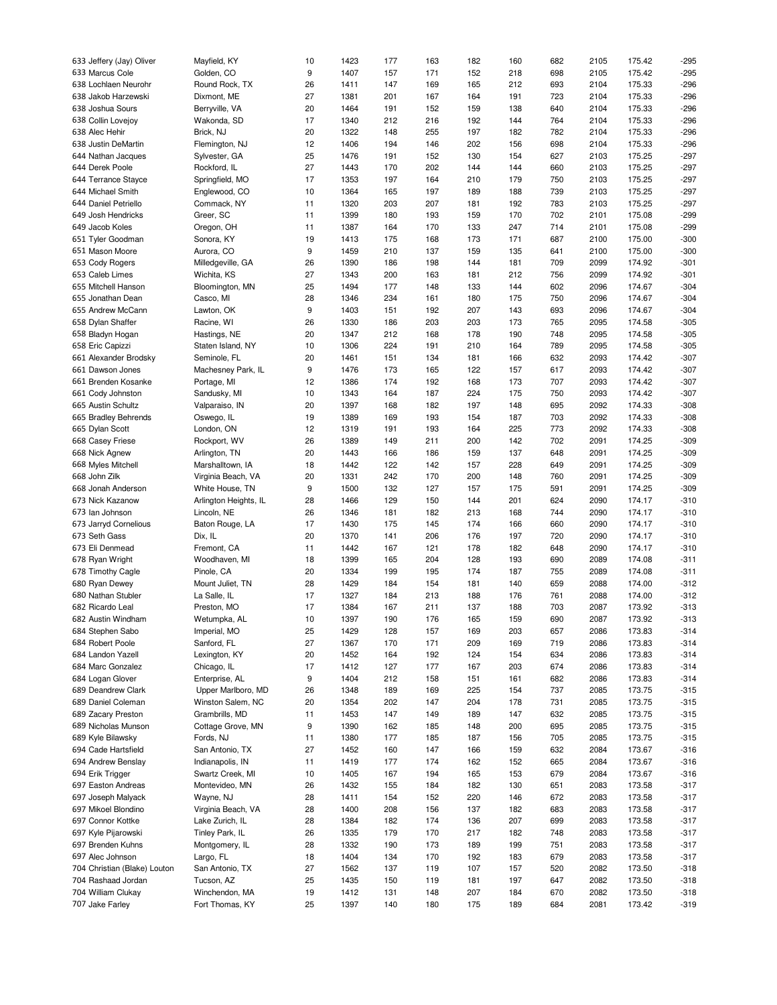| 633 Jeffery (Jay) Oliver                 | Mayfield, KY                      | 10       | 1423         | 177        | 163        | 182        | 160        | 682        | 2105         | 175.42           | $-295$           |
|------------------------------------------|-----------------------------------|----------|--------------|------------|------------|------------|------------|------------|--------------|------------------|------------------|
| 633 Marcus Cole                          | Golden, CO                        | 9        | 1407         | 157        | 171        | 152        | 218        | 698        | 2105         | 175.42           | $-295$           |
|                                          |                                   |          |              |            |            |            |            |            |              |                  |                  |
| 638 Lochlaen Neurohr                     | Round Rock, TX                    | 26       | 1411         | 147        | 169        | 165        | 212        | 693        | 2104         | 175.33           | $-296$           |
| 638 Jakob Harzewski                      | Dixmont, ME                       | 27       | 1381         | 201        | 167        | 164        | 191        | 723        | 2104         | 175.33           | $-296$           |
| 638 Joshua Sours                         | Berryville, VA                    | 20       | 1464         | 191        | 152        | 159        | 138        | 640        | 2104         | 175.33           | $-296$           |
|                                          |                                   | 17       | 1340         | 212        |            | 192        |            | 764        | 2104         | 175.33           | $-296$           |
| 638 Collin Lovejoy                       | Wakonda, SD                       |          |              |            | 216        |            | 144        |            |              |                  |                  |
| 638 Alec Hehir                           | Brick, NJ                         | 20       | 1322         | 148        | 255        | 197        | 182        | 782        | 2104         | 175.33           | $-296$           |
| 638 Justin DeMartin                      | Flemington, NJ                    | 12       | 1406         | 194        | 146        | 202        | 156        | 698        | 2104         | 175.33           | $-296$           |
| 644 Nathan Jacques                       | Sylvester, GA                     | 25       | 1476         | 191        | 152        | 130        | 154        | 627        | 2103         | 175.25           | $-297$           |
|                                          |                                   |          |              |            |            |            |            |            |              |                  |                  |
| 644 Derek Poole                          | Rockford, IL                      | 27       | 1443         | 170        | 202        | 144        | 144        | 660        | 2103         | 175.25           | $-297$           |
| 644 Terrance Stayce                      | Springfield, MO                   | 17       | 1353         | 197        | 164        | 210        | 179        | 750        | 2103         | 175.25           | $-297$           |
| 644 Michael Smith                        | Englewood, CO                     | 10       | 1364         | 165        | 197        | 189        | 188        | 739        | 2103         | 175.25           | $-297$           |
|                                          |                                   |          |              |            |            |            |            |            |              |                  |                  |
| 644 Daniel Petriello                     | Commack, NY                       | 11       | 1320         | 203        | 207        | 181        | 192        | 783        | 2103         | 175.25           | $-297$           |
| 649 Josh Hendricks                       | Greer, SC                         | 11       | 1399         | 180        | 193        | 159        | 170        | 702        | 2101         | 175.08           | $-299$           |
| 649 Jacob Koles                          | Oregon, OH                        | 11       | 1387         | 164        | 170        | 133        | 247        | 714        | 2101         | 175.08           | $-299$           |
| 651 Tyler Goodman                        | Sonora, KY                        | 19       | 1413         | 175        | 168        | 173        | 171        | 687        | 2100         | 175.00           | $-300$           |
|                                          |                                   |          |              |            |            |            |            |            |              |                  |                  |
| 651 Mason Moore                          | Aurora, CO                        | 9        | 1459         | 210        | 137        | 159        | 135        | 641        | 2100         | 175.00           | $-300$           |
| 653 Cody Rogers                          | Milledgeville, GA                 | 26       | 1390         | 186        | 198        | 144        | 181        | 709        | 2099         | 174.92           | $-301$           |
| 653 Caleb Limes                          | Wichita, KS                       | 27       | 1343         | 200        | 163        | 181        | 212        | 756        | 2099         | 174.92           | $-301$           |
|                                          |                                   |          |              |            |            |            |            |            |              |                  |                  |
| 655 Mitchell Hanson                      | Bloomington, MN                   | 25       | 1494         | 177        | 148        | 133        | 144        | 602        | 2096         | 174.67           | $-304$           |
| 655 Jonathan Dean                        | Casco, MI                         | 28       | 1346         | 234        | 161        | 180        | 175        | 750        | 2096         | 174.67           | $-304$           |
| 655 Andrew McCann                        | Lawton, OK                        | 9        | 1403         | 151        | 192        | 207        | 143        | 693        | 2096         | 174.67           | $-304$           |
|                                          |                                   | 26       | 1330         |            |            | 203        |            | 765        | 2095         | 174.58           | $-305$           |
| 658 Dylan Shaffer                        | Racine, WI                        |          |              | 186        | 203        |            | 173        |            |              |                  |                  |
| 658 Bladyn Hogan                         | Hastings, NE                      | 20       | 1347         | 212        | 168        | 178        | 190        | 748        | 2095         | 174.58           | $-305$           |
| 658 Eric Capizzi                         | Staten Island, NY                 | 10       | 1306         | 224        | 191        | 210        | 164        | 789        | 2095         | 174.58           | $-305$           |
| 661 Alexander Brodsky                    | Seminole, FL                      | 20       | 1461         | 151        | 134        | 181        | 166        | 632        | 2093         | 174.42           | $-307$           |
|                                          |                                   |          |              |            |            |            |            |            |              |                  |                  |
| 661 Dawson Jones                         | Machesney Park, IL                | 9        | 1476         | 173        | 165        | 122        | 157        | 617        | 2093         | 174.42           | $-307$           |
| 661 Brenden Kosanke                      | Portage, MI                       | 12       | 1386         | 174        | 192        | 168        | 173        | 707        | 2093         | 174.42           | $-307$           |
| 661 Cody Johnston                        | Sandusky, MI                      | 10       | 1343         | 164        | 187        | 224        | 175        | 750        | 2093         | 174.42           | $-307$           |
|                                          |                                   |          |              |            |            |            |            |            |              |                  |                  |
| 665 Austin Schultz                       | Valparaiso, IN                    | 20       | 1397         | 168        | 182        | 197        | 148        | 695        | 2092         | 174.33           | $-308$           |
| 665 Bradley Behrends                     | Oswego, IL                        | 19       | 1389         | 169        | 193        | 154        | 187        | 703        | 2092         | 174.33           | $-308$           |
| 665 Dylan Scott                          | London, ON                        | 12       | 1319         | 191        | 193        | 164        | 225        | 773        | 2092         | 174.33           | $-308$           |
| 668 Casey Friese                         | Rockport, WV                      | 26       | 1389         | 149        | 211        | 200        | 142        | 702        | 2091         | 174.25           | $-309$           |
|                                          |                                   |          |              |            |            |            |            |            |              |                  |                  |
| 668 Nick Agnew                           | Arlington, TN                     | 20       | 1443         | 166        | 186        | 159        | 137        | 648        | 2091         | 174.25           | $-309$           |
| 668 Myles Mitchell                       | Marshalltown, IA                  | 18       | 1442         | 122        | 142        | 157        | 228        | 649        | 2091         | 174.25           | $-309$           |
| 668 John Zilk                            | Virginia Beach, VA                | 20       | 1331         | 242        | 170        | 200        | 148        | 760        | 2091         | 174.25           | $-309$           |
|                                          |                                   |          |              |            |            |            |            |            |              |                  |                  |
| 668 Jonah Anderson                       | White House, TN                   | 9        | 1500         | 132        | 127        | 157        | 175        | 591        | 2091         | 174.25           | $-309$           |
| 673 Nick Kazanow                         | Arlington Heights, IL             | 28       | 1466         | 129        | 150        | 144        | 201        | 624        | 2090         | 174.17           | $-310$           |
| 673 Ian Johnson                          | Lincoln, NE                       | 26       | 1346         | 181        | 182        | 213        | 168        | 744        | 2090         | 174.17           | $-310$           |
|                                          |                                   |          | 1430         | 175        |            | 174        |            | 660        | 2090         | 174.17           | $-310$           |
| 673 Jarryd Cornelious                    | Baton Rouge, LA                   | 17       |              |            | 145        |            | 166        |            |              |                  |                  |
| 673 Seth Gass                            | Dix, IL                           | 20       | 1370         | 141        | 206        | 176        | 197        | 720        | 2090         | 174.17           | $-310$           |
| 673 Eli Denmead                          | Fremont, CA                       | 11       | 1442         | 167        | 121        | 178        | 182        | 648        | 2090         | 174.17           | $-310$           |
| 678 Ryan Wright                          | Woodhaven, MI                     | 18       | 1399         | 165        | 204        | 128        | 193        | 690        | 2089         | 174.08           | $-311$           |
|                                          |                                   |          |              |            |            |            |            |            |              |                  |                  |
| 678 Timothy Cagle                        | Pinole, CA                        | 20       | 1334         | 199        | 195        | 174        | 187        | 755        | 2089         | 174.08           | $-311$           |
| 680 Ryan Dewey                           | Mount Juliet, TN                  | 28       | 1429         | 184        | 154        | 181        | 140        | 659        | 2088         | 174.00           | $-312$           |
| 680 Nathan Stubler                       | La Salle, IL                      | 17       | 1327         | 184        | 213        | 188        | 176        | 761        | 2088         | 174.00           | $-312$           |
|                                          |                                   |          |              | 167        | 211        |            |            | 703        |              |                  |                  |
| 682 Ricardo Leal                         | Preston, MO                       | 17       | 1384         |            |            | 137        | 188        |            | 2087         | 173.92           | $-313$           |
| 682 Austin Windham                       | Wetumpka, AL                      | 10       | 1397         | 190        | 176        | 165        | 159        | 690        | 2087         | 173.92           | $-313$           |
| 684 Stephen Sabo                         | Imperial, MO                      | 25       | 1429         | 128        | 157        | 169        | 203        | 657        | 2086         | 173.83           | $-314$           |
| 684 Robert Poole                         | Sanford, FL                       | 27       | 1367         | 170        | 171        | 209        | 169        | 719        | 2086         | 173.83           | $-314$           |
|                                          |                                   |          |              |            |            |            |            |            |              |                  |                  |
| 684 Landon Yazell                        | Lexington, KY                     | 20       | 1452         | 164        | 192        | 124        | 154        | 634        | 2086         | 173.83           | $-314$           |
|                                          |                                   | 17       | 1412         | 127        | 177        | 167        | 203        | 674        | 2086         | 173.83           | $-314$           |
| 684 Marc Gonzalez                        | Chicago, IL                       |          |              |            |            |            |            |            |              |                  |                  |
| 684 Logan Glover                         | Enterprise, AL                    | 9        | 1404         | 212        | 158        | 151        | 161        | 682        | 2086         | 173.83           | $-314$           |
|                                          |                                   |          |              |            |            |            |            |            |              |                  |                  |
| 689 Deandrew Clark                       | Upper Marlboro, MD                | 26       | 1348         | 189        | 169        | 225        | 154        | 737        | 2085         | 173.75           | $-315$           |
| 689 Daniel Coleman                       | Winston Salem, NC                 | 20       | 1354         | 202        | 147        | 204        | 178        | 731        | 2085         | 173.75           | $-315$           |
| 689 Zacary Preston                       | Grambrills, MD                    | 11       | 1453         | 147        | 149        | 189        | 147        | 632        | 2085         | 173.75           | $-315$           |
|                                          |                                   |          |              |            |            |            |            |            |              |                  |                  |
| 689 Nicholas Munson                      | Cottage Grove, MN                 | 9        | 1390         | 162        | 185        | 148        | 200        | 695        | 2085         | 173.75           | $-315$           |
| 689 Kyle Bilawsky                        | Fords, NJ                         | 11       | 1380         | 177        | 185        | 187        | 156        | 705        | 2085         | 173.75           | $-315$           |
| 694 Cade Hartsfield                      | San Antonio, TX                   | 27       | 1452         | 160        | 147        | 166        | 159        | 632        | 2084         | 173.67           | $-316$           |
|                                          | Indianapolis, IN                  |          |              |            |            |            |            |            |              |                  |                  |
| 694 Andrew Benslay                       |                                   | 11       | 1419         | 177        | 174        | 162        | 152        | 665        | 2084         | 173.67           | $-316$           |
|                                          | Swartz Creek, MI                  | 10       | 1405         | 167        | 194        | 165        | 153        | 679        | 2084         | 173.67           | $-316$           |
| 694 Erik Trigger<br>697 Easton Andreas   | Montevideo, MN                    | 26       | 1432         | 155        | 184        | 182        | 130        | 651        | 2083         | 173.58           | $-317$           |
| 697 Joseph Malyack                       | Wayne, NJ                         | 28       | 1411         | 154        | 152        | 220        | 146        | 672        | 2083         | 173.58           | $-317$           |
|                                          |                                   |          |              |            |            |            |            |            |              |                  |                  |
| 697 Mikoel Blondino                      | Virginia Beach, VA                | 28       | 1400         | 208        | 156        | 137        | 182        | 683        | 2083         | 173.58           | $-317$           |
|                                          | Lake Zurich, IL                   | 28       | 1384         | 182        | 174        | 136        | 207        | 699        | 2083         | 173.58           | $-317$           |
| 697 Connor Kottke<br>697 Kyle Pijarowski | Tinley Park, IL                   | 26       | 1335         | 179        | 170        | 217        | 182        | 748        | 2083         | 173.58           | $-317$           |
|                                          |                                   |          |              |            |            |            |            |            |              |                  |                  |
| 697 Brenden Kuhns                        | Montgomery, IL                    | 28       | 1332         | 190        | 173        | 189        | 199        | 751        | 2083         | 173.58           | $-317$           |
| 697 Alec Johnson                         | Largo, FL                         | 18       | 1404         | 134        | 170        | 192        | 183        | 679        | 2083         | 173.58           | $-317$           |
| 704 Christian (Blake) Louton             | San Antonio, TX                   | 27       | 1562         | 137        | 119        | 107        | 157        | 520        | 2082         | 173.50           | $-318$           |
| 704 Rashaad Jordan                       | Tucson, AZ                        | 25       | 1435         | 150        | 119        | 181        | 197        | 647        | 2082         | 173.50           | $-318$           |
|                                          |                                   |          |              |            |            |            |            |            |              |                  |                  |
| 704 William Clukay<br>707 Jake Farley    | Winchendon, MA<br>Fort Thomas, KY | 19<br>25 | 1412<br>1397 | 131<br>140 | 148<br>180 | 207<br>175 | 184<br>189 | 670<br>684 | 2082<br>2081 | 173.50<br>173.42 | $-318$<br>$-319$ |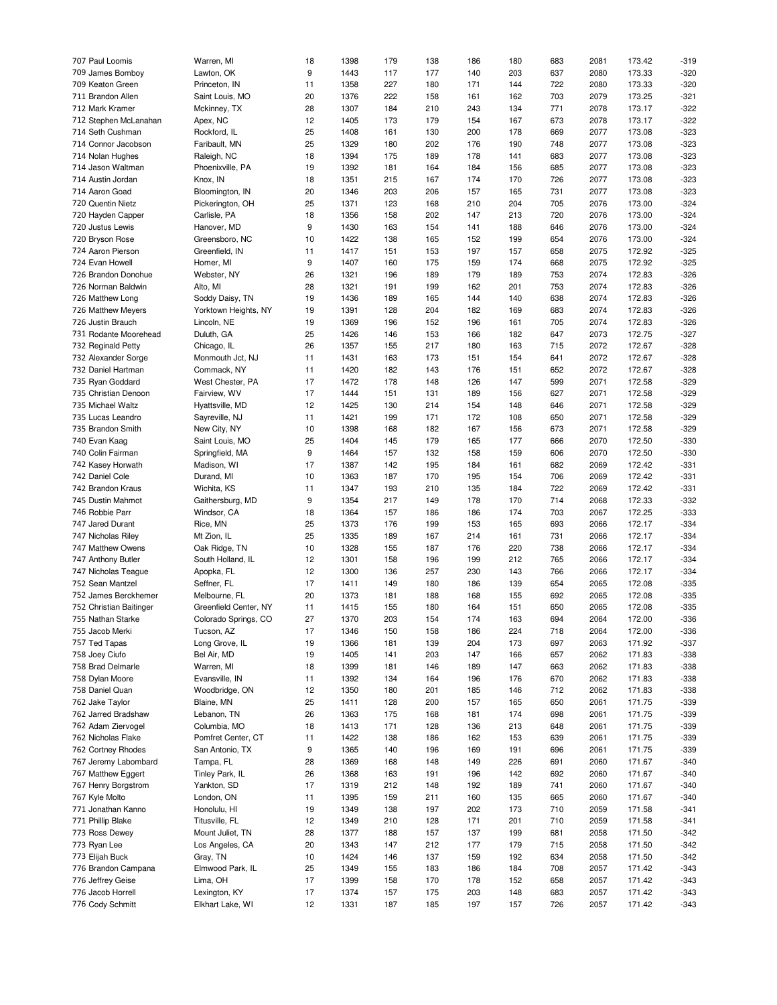| 707 Paul Loomis         | Warren, MI            | 18 | 1398 | 179 | 138 | 186 | 180 | 683 | 2081 | 173.42 | $-319$ |
|-------------------------|-----------------------|----|------|-----|-----|-----|-----|-----|------|--------|--------|
| 709 James Bomboy        | Lawton, OK            | 9  | 1443 | 117 | 177 | 140 | 203 | 637 | 2080 | 173.33 | $-320$ |
| 709 Keaton Green        | Princeton, IN         | 11 | 1358 | 227 | 180 | 171 | 144 | 722 | 2080 | 173.33 | $-320$ |
| 711 Brandon Allen       | Saint Louis, MO       | 20 | 1376 | 222 | 158 | 161 | 162 | 703 | 2079 | 173.25 | $-321$ |
|                         |                       |    |      |     |     |     |     |     |      |        |        |
| 712 Mark Kramer         | Mckinney, TX          | 28 | 1307 | 184 | 210 | 243 | 134 | 771 | 2078 | 173.17 | $-322$ |
| 712 Stephen McLanahan   | Apex, NC              | 12 | 1405 | 173 | 179 | 154 | 167 | 673 | 2078 | 173.17 | $-322$ |
| 714 Seth Cushman        | Rockford, IL          | 25 | 1408 | 161 | 130 | 200 | 178 | 669 | 2077 | 173.08 | $-323$ |
| 714 Connor Jacobson     | Faribault, MN         | 25 | 1329 | 180 | 202 | 176 | 190 | 748 | 2077 | 173.08 | $-323$ |
| 714 Nolan Hughes        | Raleigh, NC           | 18 | 1394 | 175 | 189 | 178 | 141 | 683 | 2077 | 173.08 | $-323$ |
| 714 Jason Waltman       | Phoenixville, PA      | 19 | 1392 | 181 | 164 | 184 | 156 | 685 | 2077 | 173.08 | $-323$ |
| 714 Austin Jordan       | Knox, IN              | 18 | 1351 | 215 | 167 | 174 | 170 | 726 | 2077 | 173.08 | $-323$ |
| 714 Aaron Goad          | Bloomington, IN       | 20 | 1346 | 203 | 206 | 157 | 165 | 731 | 2077 | 173.08 | $-323$ |
| 720 Quentin Nietz       |                       |    |      |     |     |     |     |     |      |        |        |
|                         | Pickerington, OH      | 25 | 1371 | 123 | 168 | 210 | 204 | 705 | 2076 | 173.00 | $-324$ |
| 720 Hayden Capper       | Carlisle, PA          | 18 | 1356 | 158 | 202 | 147 | 213 | 720 | 2076 | 173.00 | $-324$ |
| 720 Justus Lewis        | Hanover, MD           | 9  | 1430 | 163 | 154 | 141 | 188 | 646 | 2076 | 173.00 | $-324$ |
| 720 Bryson Rose         | Greensboro, NC        | 10 | 1422 | 138 | 165 | 152 | 199 | 654 | 2076 | 173.00 | $-324$ |
| 724 Aaron Pierson       | Greenfield, IN        | 11 | 1417 | 151 | 153 | 197 | 157 | 658 | 2075 | 172.92 | $-325$ |
| 724 Evan Howell         | Homer, MI             | 9  | 1407 | 160 | 175 | 159 | 174 | 668 | 2075 | 172.92 | $-325$ |
| 726 Brandon Donohue     | Webster, NY           | 26 | 1321 | 196 | 189 | 179 | 189 | 753 | 2074 | 172.83 | $-326$ |
| 726 Norman Baldwin      | Alto, MI              | 28 | 1321 | 191 | 199 | 162 | 201 | 753 | 2074 | 172.83 | $-326$ |
| 726 Matthew Long        | Soddy Daisy, TN       | 19 | 1436 | 189 | 165 | 144 | 140 | 638 | 2074 | 172.83 | $-326$ |
|                         |                       |    |      |     |     |     |     |     |      |        |        |
| 726 Matthew Meyers      | Yorktown Heights, NY  | 19 | 1391 | 128 | 204 | 182 | 169 | 683 | 2074 | 172.83 | $-326$ |
| 726 Justin Brauch       | Lincoln, NE           | 19 | 1369 | 196 | 152 | 196 | 161 | 705 | 2074 | 172.83 | $-326$ |
| 731 Rodante Moorehead   | Duluth, GA            | 25 | 1426 | 146 | 153 | 166 | 182 | 647 | 2073 | 172.75 | $-327$ |
| 732 Reginald Petty      | Chicago, IL           | 26 | 1357 | 155 | 217 | 180 | 163 | 715 | 2072 | 172.67 | $-328$ |
| 732 Alexander Sorge     | Monmouth Jct, NJ      | 11 | 1431 | 163 | 173 | 151 | 154 | 641 | 2072 | 172.67 | $-328$ |
| 732 Daniel Hartman      | Commack, NY           | 11 | 1420 | 182 | 143 | 176 | 151 | 652 | 2072 | 172.67 | $-328$ |
| 735 Ryan Goddard        | West Chester, PA      | 17 | 1472 | 178 | 148 | 126 | 147 | 599 | 2071 | 172.58 | $-329$ |
| 735 Christian Denoon    | Fairview, WV          | 17 | 1444 | 151 | 131 | 189 | 156 | 627 | 2071 | 172.58 | $-329$ |
|                         |                       |    |      |     |     |     |     |     |      |        |        |
| 735 Michael Waltz       | Hyattsville, MD       | 12 | 1425 | 130 | 214 | 154 | 148 | 646 | 2071 | 172.58 | $-329$ |
| 735 Lucas Leandro       | Sayreville, NJ        | 11 | 1421 | 199 | 171 | 172 | 108 | 650 | 2071 | 172.58 | $-329$ |
| 735 Brandon Smith       | New City, NY          | 10 | 1398 | 168 | 182 | 167 | 156 | 673 | 2071 | 172.58 | $-329$ |
| 740 Evan Kaag           | Saint Louis, MO       | 25 | 1404 | 145 | 179 | 165 | 177 | 666 | 2070 | 172.50 | $-330$ |
| 740 Colin Fairman       | Springfield, MA       | 9  | 1464 | 157 | 132 | 158 | 159 | 606 | 2070 | 172.50 | $-330$ |
| 742 Kasey Horwath       | Madison, WI           | 17 | 1387 | 142 | 195 | 184 | 161 | 682 | 2069 | 172.42 | $-331$ |
| 742 Daniel Cole         | Durand, MI            | 10 | 1363 | 187 | 170 | 195 | 154 | 706 | 2069 | 172.42 | $-331$ |
| 742 Brandon Kraus       | Wichita, KS           | 11 | 1347 | 193 | 210 | 135 | 184 | 722 | 2069 | 172.42 | $-331$ |
|                         |                       |    |      |     |     |     |     |     |      |        |        |
| 745 Dustin Mahmot       | Gaithersburg, MD      | 9  | 1354 | 217 | 149 | 178 | 170 | 714 | 2068 | 172.33 | $-332$ |
| 746 Robbie Parr         | Windsor, CA           | 18 | 1364 | 157 | 186 | 186 | 174 | 703 | 2067 | 172.25 | $-333$ |
| 747 Jared Durant        | Rice, MN              | 25 | 1373 | 176 | 199 | 153 | 165 | 693 | 2066 | 172.17 | $-334$ |
| 747 Nicholas Riley      | Mt Zion, IL           | 25 | 1335 | 189 | 167 | 214 | 161 | 731 | 2066 | 172.17 | $-334$ |
| 747 Matthew Owens       | Oak Ridge, TN         | 10 | 1328 | 155 | 187 | 176 | 220 | 738 | 2066 | 172.17 | $-334$ |
| 747 Anthony Butler      | South Holland, IL     | 12 | 1301 | 158 | 196 | 199 | 212 | 765 | 2066 | 172.17 | $-334$ |
| 747 Nicholas Teague     | Apopka, FL            | 12 | 1300 | 136 | 257 | 230 | 143 | 766 | 2066 | 172.17 | $-334$ |
| 752 Sean Mantzel        | Seffner, FL           | 17 | 1411 | 149 | 180 | 186 | 139 | 654 | 2065 | 172.08 | $-335$ |
|                         |                       |    |      |     |     |     |     |     |      |        |        |
| 752 James Berckhemer    | Melbourne, FL         | 20 | 1373 | 181 | 188 | 168 | 155 | 692 | 2065 | 172.08 | $-335$ |
| 752 Christian Baitinger | Greenfield Center, NY | 11 | 1415 | 155 | 180 | 164 | 151 | 650 | 2065 | 172.08 | $-335$ |
| 755 Nathan Starke       | Colorado Springs, CO  | 27 | 1370 | 203 | 154 | 174 | 163 | 694 | 2064 | 172.00 | $-336$ |
| 755 Jacob Merki         | Tucson, AZ            | 17 | 1346 | 150 | 158 | 186 | 224 | 718 | 2064 | 172.00 | $-336$ |
| 757 Ted Tapas           | Long Grove, IL        | 19 | 1366 | 181 | 139 | 204 | 173 | 697 | 2063 | 171.92 | $-337$ |
| 758 Joey Ciufo          | Bel Air, MD           | 19 | 1405 | 141 | 203 | 147 | 166 | 657 | 2062 | 171.83 | $-338$ |
| 758 Brad Delmarle       | Warren, MI            | 18 | 1399 | 181 | 146 | 189 | 147 | 663 | 2062 | 171.83 | $-338$ |
| 758 Dylan Moore         | Evansville, IN        | 11 | 1392 | 134 | 164 | 196 | 176 | 670 | 2062 | 171.83 | $-338$ |
|                         |                       |    |      |     |     |     |     |     |      |        |        |
| 758 Daniel Quan         | Woodbridge, ON        | 12 | 1350 | 180 | 201 | 185 | 146 | 712 | 2062 | 171.83 | $-338$ |
| 762 Jake Taylor         | Blaine, MN            | 25 | 1411 | 128 | 200 | 157 | 165 | 650 | 2061 | 171.75 | $-339$ |
| 762 Jarred Bradshaw     | Lebanon, TN           | 26 | 1363 | 175 | 168 | 181 | 174 | 698 | 2061 | 171.75 | $-339$ |
| 762 Adam Ziervogel      | Columbia, MO          | 18 | 1413 | 171 | 128 | 136 | 213 | 648 | 2061 | 171.75 | $-339$ |
| 762 Nicholas Flake      | Pomfret Center, CT    | 11 | 1422 | 138 | 186 | 162 | 153 | 639 | 2061 | 171.75 | $-339$ |
| 762 Cortney Rhodes      | San Antonio, TX       | 9  | 1365 | 140 | 196 | 169 | 191 | 696 | 2061 | 171.75 | $-339$ |
| 767 Jeremy Labombard    | Tampa, FL             | 28 | 1369 | 168 | 148 | 149 | 226 | 691 | 2060 | 171.67 | $-340$ |
| 767 Matthew Eggert      | Tinley Park, IL       | 26 | 1368 |     | 191 | 196 | 142 | 692 | 2060 | 171.67 | $-340$ |
|                         |                       |    |      | 163 |     |     |     |     |      |        |        |
| 767 Henry Borgstrom     | Yankton, SD           | 17 | 1319 | 212 | 148 | 192 | 189 | 741 | 2060 | 171.67 | $-340$ |
| 767 Kyle Molto          | London, ON            | 11 | 1395 | 159 | 211 | 160 | 135 | 665 | 2060 | 171.67 | $-340$ |
| 771 Jonathan Kanno      | Honolulu, HI          | 19 | 1349 | 138 | 197 | 202 | 173 | 710 | 2059 | 171.58 | $-341$ |
| 771 Phillip Blake       | Titusville, FL        | 12 | 1349 | 210 | 128 | 171 | 201 | 710 | 2059 | 171.58 | $-341$ |
| 773 Ross Dewey          | Mount Juliet, TN      | 28 | 1377 | 188 | 157 | 137 | 199 | 681 | 2058 | 171.50 | $-342$ |
| 773 Ryan Lee            | Los Angeles, CA       | 20 | 1343 | 147 | 212 | 177 | 179 | 715 | 2058 | 171.50 | $-342$ |
| 773 Elijah Buck         |                       |    |      |     |     |     |     |     |      |        |        |
|                         | Gray, TN              | 10 | 1424 | 146 | 137 | 159 | 192 | 634 | 2058 | 171.50 | $-342$ |
| 776 Brandon Campana     | Elmwood Park, IL      | 25 | 1349 | 155 | 183 | 186 | 184 | 708 | 2057 | 171.42 | $-343$ |
| 776 Jeffrey Geise       | Lima, OH              | 17 | 1399 | 158 | 170 | 178 | 152 | 658 | 2057 | 171.42 | $-343$ |
| 776 Jacob Horrell       | Lexington, KY         | 17 | 1374 | 157 | 175 | 203 | 148 | 683 | 2057 | 171.42 | $-343$ |
| 776 Cody Schmitt        | Elkhart Lake, WI      | 12 | 1331 | 187 | 185 | 197 | 157 | 726 | 2057 | 171.42 | $-343$ |
|                         |                       |    |      |     |     |     |     |     |      |        |        |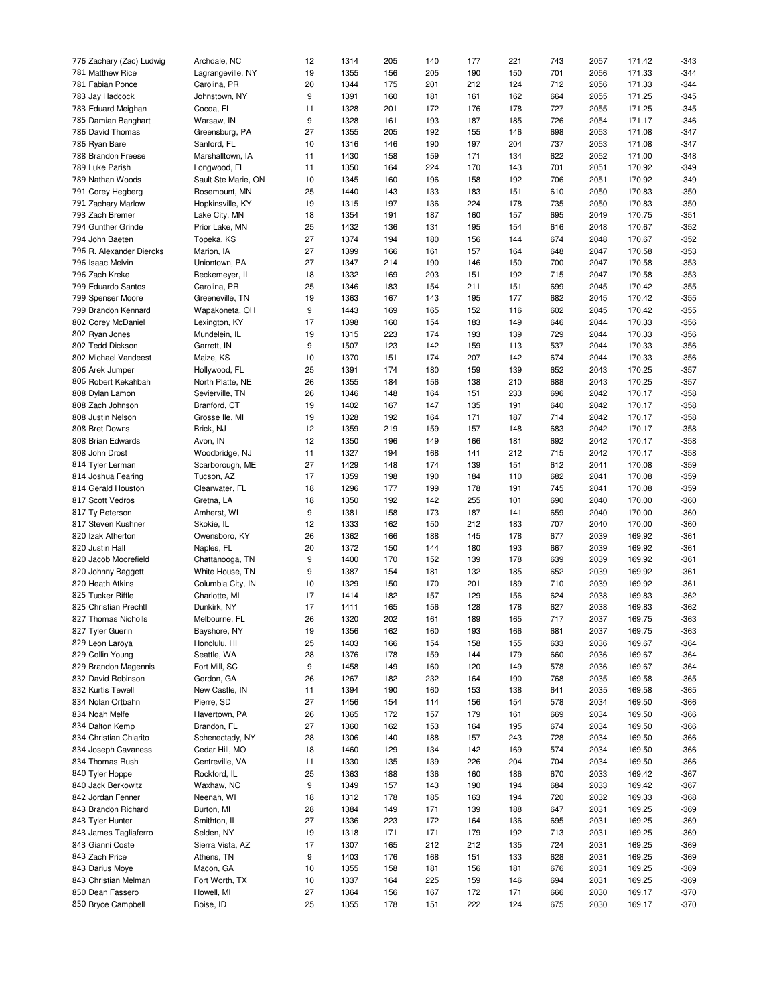| 776 Zachary (Zac) Ludwig | Archdale, NC        | 12 | 1314 | 205 | 140 | 177 | 221 | 743 | 2057 | 171.42 | $-343$ |
|--------------------------|---------------------|----|------|-----|-----|-----|-----|-----|------|--------|--------|
| 781 Matthew Rice         | Lagrangeville, NY   | 19 | 1355 | 156 | 205 | 190 | 150 | 701 | 2056 | 171.33 | $-344$ |
| 781 Fabian Ponce         | Carolina, PR        | 20 | 1344 | 175 | 201 | 212 | 124 | 712 | 2056 | 171.33 | $-344$ |
| 783 Jay Hadcock          | Johnstown, NY       | 9  | 1391 | 160 | 181 | 161 | 162 | 664 | 2055 | 171.25 | $-345$ |
|                          |                     |    |      |     |     |     |     |     |      |        |        |
| 783 Eduard Meighan       | Cocoa, FL           | 11 | 1328 | 201 | 172 | 176 | 178 | 727 | 2055 | 171.25 | $-345$ |
| 785 Damian Banghart      | Warsaw, IN          | 9  | 1328 | 161 | 193 | 187 | 185 | 726 | 2054 | 171.17 | $-346$ |
| 786 David Thomas         | Greensburg, PA      | 27 | 1355 | 205 | 192 | 155 | 146 | 698 | 2053 | 171.08 | $-347$ |
| 786 Ryan Bare            | Sanford, FL         | 10 | 1316 | 146 | 190 | 197 | 204 | 737 | 2053 | 171.08 | $-347$ |
| 788 Brandon Freese       | Marshalltown, IA    | 11 | 1430 | 158 | 159 | 171 | 134 | 622 | 2052 | 171.00 | $-348$ |
| 789 Luke Parish          | Longwood, FL        | 11 | 1350 | 164 | 224 | 170 | 143 | 701 | 2051 | 170.92 | $-349$ |
| 789 Nathan Woods         | Sault Ste Marie, ON | 10 | 1345 | 160 | 196 | 158 | 192 | 706 | 2051 | 170.92 | $-349$ |
|                          |                     | 25 | 1440 | 143 |     | 183 | 151 |     | 2050 | 170.83 | $-350$ |
| 791 Corey Hegberg        | Rosemount, MN       |    |      |     | 133 |     |     | 610 |      |        |        |
| 791 Zachary Marlow       | Hopkinsville, KY    | 19 | 1315 | 197 | 136 | 224 | 178 | 735 | 2050 | 170.83 | $-350$ |
| 793 Zach Bremer          | Lake City, MN       | 18 | 1354 | 191 | 187 | 160 | 157 | 695 | 2049 | 170.75 | $-351$ |
| 794 Gunther Grinde       | Prior Lake, MN      | 25 | 1432 | 136 | 131 | 195 | 154 | 616 | 2048 | 170.67 | $-352$ |
| 794 John Baeten          | Topeka, KS          | 27 | 1374 | 194 | 180 | 156 | 144 | 674 | 2048 | 170.67 | $-352$ |
| 796 R. Alexander Diercks | Marion, IA          | 27 | 1399 | 166 | 161 | 157 | 164 | 648 | 2047 | 170.58 | $-353$ |
| 796 Isaac Melvin         | Uniontown, PA       | 27 | 1347 | 214 | 190 | 146 | 150 | 700 | 2047 | 170.58 | $-353$ |
| 796 Zach Kreke           |                     | 18 | 1332 | 169 | 203 | 151 | 192 | 715 | 2047 | 170.58 | $-353$ |
|                          | Beckemeyer, IL      |    |      |     |     |     |     |     |      |        |        |
| 799 Eduardo Santos       | Carolina, PR        | 25 | 1346 | 183 | 154 | 211 | 151 | 699 | 2045 | 170.42 | $-355$ |
| 799 Spenser Moore        | Greeneville, TN     | 19 | 1363 | 167 | 143 | 195 | 177 | 682 | 2045 | 170.42 | $-355$ |
| 799 Brandon Kennard      | Wapakoneta, OH      | 9  | 1443 | 169 | 165 | 152 | 116 | 602 | 2045 | 170.42 | $-355$ |
| 802 Corey McDaniel       | Lexington, KY       | 17 | 1398 | 160 | 154 | 183 | 149 | 646 | 2044 | 170.33 | $-356$ |
| 802 Ryan Jones           | Mundelein, IL       | 19 | 1315 | 223 | 174 | 193 | 139 | 729 | 2044 | 170.33 | $-356$ |
| 802 Tedd Dickson         | Garrett, IN         | 9  | 1507 | 123 | 142 | 159 | 113 | 537 | 2044 | 170.33 | $-356$ |
| 802 Michael Vandeest     | Maize, KS           | 10 | 1370 | 151 | 174 | 207 | 142 | 674 | 2044 | 170.33 | $-356$ |
|                          |                     |    |      |     |     |     |     |     |      |        |        |
| 806 Arek Jumper          | Hollywood, FL       | 25 | 1391 | 174 | 180 | 159 | 139 | 652 | 2043 | 170.25 | $-357$ |
| 806 Robert Kekahbah      | North Platte, NE    | 26 | 1355 | 184 | 156 | 138 | 210 | 688 | 2043 | 170.25 | $-357$ |
| 808 Dylan Lamon          | Sevierville, TN     | 26 | 1346 | 148 | 164 | 151 | 233 | 696 | 2042 | 170.17 | $-358$ |
| 808 Zach Johnson         | Branford, CT        | 19 | 1402 | 167 | 147 | 135 | 191 | 640 | 2042 | 170.17 | $-358$ |
| 808 Justin Nelson        | Grosse Ile, MI      | 19 | 1328 | 192 | 164 | 171 | 187 | 714 | 2042 | 170.17 | $-358$ |
| 808 Bret Downs           | Brick, NJ           | 12 | 1359 | 219 | 159 | 157 | 148 | 683 | 2042 | 170.17 | $-358$ |
| 808 Brian Edwards        | Avon, IN            | 12 | 1350 | 196 | 149 | 166 | 181 | 692 | 2042 | 170.17 | $-358$ |
|                          |                     |    |      |     |     |     |     |     |      |        |        |
| 808 John Drost           | Woodbridge, NJ      | 11 | 1327 | 194 | 168 | 141 | 212 | 715 | 2042 | 170.17 | $-358$ |
| 814 Tyler Lerman         | Scarborough, ME     | 27 | 1429 | 148 | 174 | 139 | 151 | 612 | 2041 | 170.08 | $-359$ |
| 814 Joshua Fearing       | Tucson, AZ          | 17 | 1359 | 198 | 190 | 184 | 110 | 682 | 2041 | 170.08 | $-359$ |
| 814 Gerald Houston       | Clearwater, FL      | 18 | 1296 | 177 | 199 | 178 | 191 | 745 | 2041 | 170.08 | $-359$ |
| 817 Scott Vedros         | Gretna, LA          | 18 | 1350 | 192 | 142 | 255 | 101 | 690 | 2040 | 170.00 | $-360$ |
| 817 Ty Peterson          | Amherst, WI         | 9  | 1381 | 158 | 173 | 187 | 141 | 659 | 2040 | 170.00 | $-360$ |
| 817 Steven Kushner       | Skokie, IL          | 12 | 1333 | 162 | 150 | 212 | 183 | 707 | 2040 | 170.00 | $-360$ |
| 820 Izak Atherton        | Owensboro, KY       | 26 | 1362 | 166 | 188 | 145 | 178 | 677 | 2039 | 169.92 | $-361$ |
|                          |                     |    |      |     |     |     |     |     |      |        |        |
| 820 Justin Hall          | Naples, FL          | 20 | 1372 | 150 | 144 | 180 | 193 | 667 | 2039 | 169.92 | $-361$ |
| 820 Jacob Moorefield     | Chattanooga, TN     | 9  | 1400 | 170 | 152 | 139 | 178 | 639 | 2039 | 169.92 | $-361$ |
| 820 Johnny Baggett       | White House, TN     | 9  | 1387 | 154 | 181 | 132 | 185 | 652 | 2039 | 169.92 | $-361$ |
| 820 Heath Atkins         | Columbia City, IN   | 10 | 1329 | 150 | 170 | 201 | 189 | 710 | 2039 | 169.92 | $-361$ |
| 825 Tucker Riffle        | Charlotte, MI       | 17 | 1414 | 182 | 157 | 129 | 156 | 624 | 2038 | 169.83 | $-362$ |
| 825 Christian Prechtl    | Dunkirk, NY         | 17 | 1411 | 165 | 156 | 128 | 178 | 627 | 2038 | 169.83 | $-362$ |
| 827 Thomas Nicholls      | Melbourne, FL       | 26 | 1320 | 202 | 161 | 189 | 165 | 717 | 2037 | 169.75 | -363   |
|                          |                     |    |      |     |     |     |     |     |      |        |        |
| 827 Tyler Guerin         | Bayshore, NY        | 19 | 1356 | 162 | 160 | 193 | 166 | 681 | 2037 | 169.75 | -363   |
| 829 Leon Laroya          | Honolulu, HI        | 25 | 1403 | 166 | 154 | 158 | 155 | 633 | 2036 | 169.67 | $-364$ |
| 829 Collin Young         | Seattle, WA         | 28 | 1376 | 178 | 159 | 144 | 179 | 660 | 2036 | 169.67 | $-364$ |
| 829 Brandon Magennis     | Fort Mill, SC       | 9  | 1458 | 149 | 160 | 120 | 149 | 578 | 2036 | 169.67 | $-364$ |
| 832 David Robinson       | Gordon, GA          | 26 | 1267 | 182 | 232 | 164 | 190 | 768 | 2035 | 169.58 | $-365$ |
| 832 Kurtis Tewell        | New Castle, IN      | 11 | 1394 | 190 | 160 | 153 | 138 | 641 | 2035 | 169.58 | $-365$ |
| 834 Nolan Ortbahn        | Pierre, SD          | 27 | 1456 | 154 | 114 | 156 | 154 | 578 | 2034 | 169.50 | $-366$ |
|                          |                     |    |      |     |     |     |     |     |      |        |        |
| 834 Noah Melfe           | Havertown, PA       | 26 | 1365 | 172 | 157 | 179 | 161 | 669 | 2034 | 169.50 | $-366$ |
| 834 Dalton Kemp          | Brandon, FL         | 27 | 1360 | 162 | 153 | 164 | 195 | 674 | 2034 | 169.50 | $-366$ |
| 834 Christian Chiarito   | Schenectady, NY     | 28 | 1306 | 140 | 188 | 157 | 243 | 728 | 2034 | 169.50 | $-366$ |
| 834 Joseph Cavaness      | Cedar Hill, MO      | 18 | 1460 | 129 | 134 | 142 | 169 | 574 | 2034 | 169.50 | $-366$ |
| 834 Thomas Rush          | Centreville, VA     | 11 | 1330 | 135 | 139 | 226 | 204 | 704 | 2034 | 169.50 | $-366$ |
| 840 Tyler Hoppe          | Rockford, IL        | 25 | 1363 | 188 | 136 | 160 | 186 | 670 | 2033 | 169.42 | $-367$ |
| 840 Jack Berkowitz       | Waxhaw, NC          | 9  | 1349 | 157 | 143 | 190 | 194 | 684 | 2033 | 169.42 | $-367$ |
|                          |                     |    |      |     |     |     |     |     |      |        |        |
| 842 Jordan Fenner        | Neenah, WI          | 18 | 1312 | 178 | 185 | 163 | 194 | 720 | 2032 | 169.33 | $-368$ |
| 843 Brandon Richard      | Burton, MI          | 28 | 1384 | 149 | 171 | 139 | 188 | 647 | 2031 | 169.25 | $-369$ |
| 843 Tyler Hunter         | Smithton, IL        | 27 | 1336 | 223 | 172 | 164 | 136 | 695 | 2031 | 169.25 | $-369$ |
| 843 James Tagliaferro    | Selden, NY          | 19 | 1318 | 171 | 171 | 179 | 192 | 713 | 2031 | 169.25 | $-369$ |
| 843 Gianni Coste         | Sierra Vista, AZ    | 17 | 1307 | 165 | 212 | 212 | 135 | 724 | 2031 | 169.25 | $-369$ |
| 843 Zach Price           | Athens, TN          | 9  | 1403 | 176 | 168 | 151 | 133 | 628 | 2031 | 169.25 | $-369$ |
|                          |                     |    |      |     |     |     |     |     |      |        |        |
| 843 Darius Moye          | Macon, GA           | 10 | 1355 | 158 | 181 | 156 | 181 | 676 | 2031 | 169.25 | $-369$ |
| 843 Christian Melman     | Fort Worth, TX      | 10 | 1337 | 164 | 225 | 159 | 146 | 694 | 2031 | 169.25 | $-369$ |
| 850 Dean Fassero         | Howell, MI          | 27 | 1364 | 156 | 167 | 172 | 171 | 666 | 2030 | 169.17 | $-370$ |
| 850 Bryce Campbell       | Boise, ID           | 25 | 1355 | 178 | 151 | 222 | 124 | 675 | 2030 | 169.17 | $-370$ |
|                          |                     |    |      |     |     |     |     |     |      |        |        |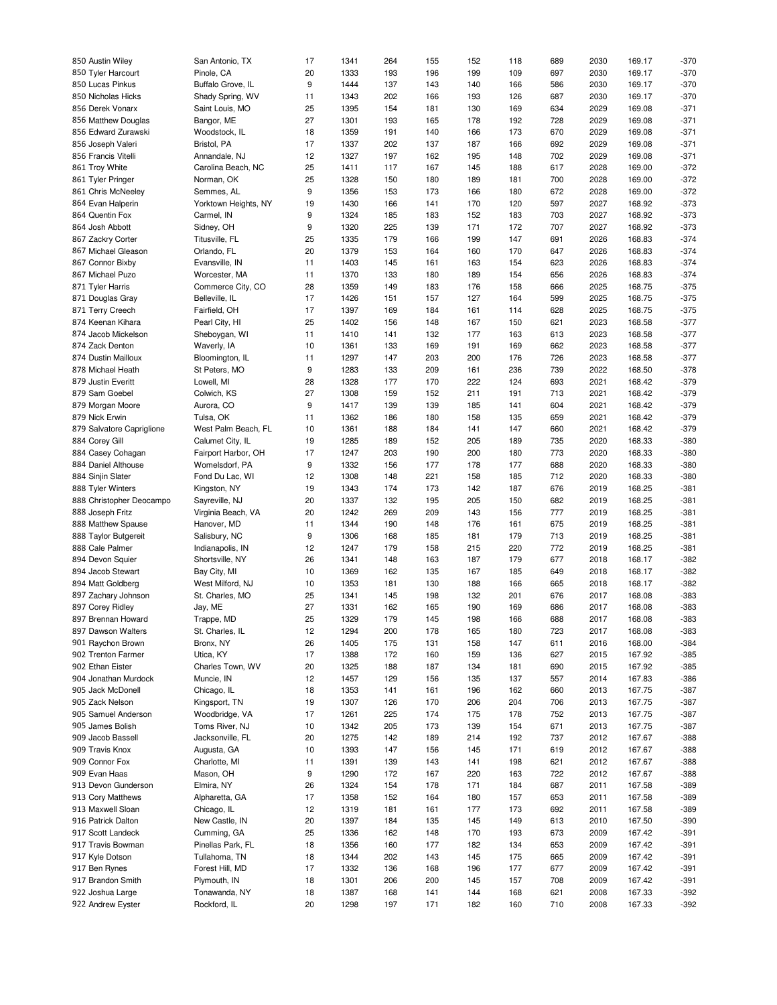| 850 Austin Wiley          | San Antonio, TX      | 17 | 1341 | 264 | 155 | 152 | 118 | 689 | 2030 | 169.17 | $-370$ |
|---------------------------|----------------------|----|------|-----|-----|-----|-----|-----|------|--------|--------|
| 850 Tyler Harcourt        | Pinole, CA           | 20 | 1333 | 193 | 196 | 199 | 109 | 697 | 2030 | 169.17 | $-370$ |
| 850 Lucas Pinkus          | Buffalo Grove, IL    | 9  | 1444 | 137 | 143 | 140 | 166 | 586 | 2030 | 169.17 | $-370$ |
| 850 Nicholas Hicks        | Shady Spring, WV     | 11 | 1343 | 202 | 166 | 193 | 126 | 687 | 2030 | 169.17 | $-370$ |
| 856 Derek Vonarx          | Saint Louis, MO      | 25 | 1395 | 154 | 181 | 130 | 169 | 634 | 2029 | 169.08 | $-371$ |
| 856 Matthew Douglas       | Bangor, ME           | 27 | 1301 | 193 | 165 | 178 | 192 | 728 | 2029 | 169.08 | $-371$ |
|                           |                      |    | 1359 |     |     | 166 |     | 670 | 2029 | 169.08 | $-371$ |
| 856 Edward Zurawski       | Woodstock, IL        | 18 |      | 191 | 140 |     | 173 |     |      |        |        |
| 856 Joseph Valeri         | Bristol, PA          | 17 | 1337 | 202 | 137 | 187 | 166 | 692 | 2029 | 169.08 | $-371$ |
| 856 Francis Vitelli       | Annandale, NJ        | 12 | 1327 | 197 | 162 | 195 | 148 | 702 | 2029 | 169.08 | $-371$ |
| 861 Troy White            | Carolina Beach, NC   | 25 | 1411 | 117 | 167 | 145 | 188 | 617 | 2028 | 169.00 | $-372$ |
| 861 Tyler Pringer         | Norman, OK           | 25 | 1328 | 150 | 180 | 189 | 181 | 700 | 2028 | 169.00 | $-372$ |
| 861 Chris McNeeley        | Semmes, AL           | 9  | 1356 | 153 | 173 | 166 | 180 | 672 | 2028 | 169.00 | $-372$ |
| 864 Evan Halperin         | Yorktown Heights, NY | 19 | 1430 | 166 | 141 | 170 | 120 | 597 | 2027 | 168.92 | $-373$ |
| 864 Quentin Fox           | Carmel, IN           | 9  | 1324 | 185 | 183 | 152 | 183 | 703 | 2027 | 168.92 | $-373$ |
| 864 Josh Abbott           | Sidney, OH           | 9  | 1320 | 225 | 139 | 171 | 172 | 707 | 2027 | 168.92 | $-373$ |
| 867 Zackry Corter         | Titusville, FL       | 25 | 1335 | 179 | 166 | 199 | 147 | 691 | 2026 | 168.83 | $-374$ |
| 867 Michael Gleason       | Orlando, FL          | 20 | 1379 | 153 | 164 | 160 | 170 | 647 | 2026 | 168.83 | $-374$ |
|                           |                      |    |      |     |     |     |     |     |      |        |        |
| 867 Connor Bixby          | Evansville, IN       | 11 | 1403 | 145 | 161 | 163 | 154 | 623 | 2026 | 168.83 | $-374$ |
| 867 Michael Puzo          | Worcester, MA        | 11 | 1370 | 133 | 180 | 189 | 154 | 656 | 2026 | 168.83 | $-374$ |
| 871 Tyler Harris          | Commerce City, CO    | 28 | 1359 | 149 | 183 | 176 | 158 | 666 | 2025 | 168.75 | $-375$ |
| 871 Douglas Gray          | Belleville, IL       | 17 | 1426 | 151 | 157 | 127 | 164 | 599 | 2025 | 168.75 | $-375$ |
| 871 Terry Creech          | Fairfield, OH        | 17 | 1397 | 169 | 184 | 161 | 114 | 628 | 2025 | 168.75 | $-375$ |
| 874 Keenan Kihara         | Pearl City, HI       | 25 | 1402 | 156 | 148 | 167 | 150 | 621 | 2023 | 168.58 | $-377$ |
| 874 Jacob Mickelson       | Sheboygan, WI        | 11 | 1410 | 141 | 132 | 177 | 163 | 613 | 2023 | 168.58 | $-377$ |
| 874 Zack Denton           | Waverly, IA          | 10 | 1361 | 133 | 169 | 191 | 169 | 662 | 2023 | 168.58 | $-377$ |
| 874 Dustin Mailloux       | Bloomington, IL      | 11 | 1297 | 147 | 203 | 200 | 176 | 726 | 2023 | 168.58 | $-377$ |
| 878 Michael Heath         | St Peters, MO        | 9  | 1283 | 133 | 209 | 161 | 236 | 739 | 2022 | 168.50 | $-378$ |
| 879 Justin Everitt        | Lowell, MI           | 28 | 1328 | 177 | 170 | 222 | 124 | 693 | 2021 | 168.42 | $-379$ |
| 879 Sam Goebel            | Colwich, KS          | 27 | 1308 | 159 | 152 | 211 | 191 | 713 | 2021 | 168.42 | $-379$ |
|                           |                      |    |      |     |     |     |     |     |      |        |        |
| 879 Morgan Moore          | Aurora, CO           | 9  | 1417 | 139 | 139 | 185 | 141 | 604 | 2021 | 168.42 | $-379$ |
| 879 Nick Erwin            | Tulsa, OK            | 11 | 1362 | 186 | 180 | 158 | 135 | 659 | 2021 | 168.42 | $-379$ |
| 879 Salvatore Capriglione | West Palm Beach, FL  | 10 | 1361 | 188 | 184 | 141 | 147 | 660 | 2021 | 168.42 | $-379$ |
| 884 Corey Gill            | Calumet City, IL     | 19 | 1285 | 189 | 152 | 205 | 189 | 735 | 2020 | 168.33 | $-380$ |
| 884 Casey Cohagan         | Fairport Harbor, OH  | 17 | 1247 | 203 | 190 | 200 | 180 | 773 | 2020 | 168.33 | $-380$ |
| 884 Daniel Althouse       | Womelsdorf, PA       | 9  | 1332 | 156 | 177 | 178 | 177 | 688 | 2020 | 168.33 | $-380$ |
| 884 Sinjin Slater         | Fond Du Lac, WI      | 12 | 1308 | 148 | 221 | 158 | 185 | 712 | 2020 | 168.33 | $-380$ |
| 888 Tyler Winters         | Kingston, NY         | 19 | 1343 | 174 | 173 | 142 | 187 | 676 | 2019 | 168.25 | $-381$ |
| 888 Christopher Deocampo  | Sayreville, NJ       | 20 | 1337 | 132 | 195 | 205 | 150 | 682 | 2019 | 168.25 | $-381$ |
| 888 Joseph Fritz          | Virginia Beach, VA   | 20 | 1242 | 269 | 209 | 143 | 156 | 777 | 2019 | 168.25 | $-381$ |
| 888 Matthew Spause        | Hanover, MD          | 11 | 1344 | 190 | 148 | 176 | 161 | 675 | 2019 | 168.25 | $-381$ |
|                           |                      |    |      |     |     |     |     |     |      |        |        |
| 888 Taylor Butgereit      | Salisbury, NC        | 9  | 1306 | 168 | 185 | 181 | 179 | 713 | 2019 | 168.25 | $-381$ |
| 888 Cale Palmer           | Indianapolis, IN     | 12 | 1247 | 179 | 158 | 215 | 220 | 772 | 2019 | 168.25 | $-381$ |
| 894 Devon Squier          | Shortsville, NY      | 26 | 1341 | 148 | 163 | 187 | 179 | 677 | 2018 | 168.17 | $-382$ |
| 894 Jacob Stewart         | Bay City, MI         | 10 | 1369 | 162 | 135 | 167 | 185 | 649 | 2018 | 168.17 | $-382$ |
| 894 Matt Goldberg         | West Milford, NJ     | 10 | 1353 | 181 | 130 | 188 | 166 | 665 | 2018 | 168.17 | $-382$ |
| 897 Zachary Johnson       | St. Charles, MO      | 25 | 1341 | 145 | 198 | 132 | 201 | 676 | 2017 | 168.08 | $-383$ |
| 897 Corey Ridley          | Jay, ME              | 27 | 1331 | 162 | 165 | 190 | 169 | 686 | 2017 | 168.08 | $-383$ |
| 897 Brennan Howard        | Trappe, MD           | 25 | 1329 | 179 | 145 | 198 | 166 | 688 | 2017 | 168.08 | -383   |
| 897 Dawson Walters        | St. Charles, IL      | 12 | 1294 | 200 | 178 | 165 | 180 | 723 | 2017 | 168.08 | -383   |
| 901 Raychon Brown         | Bronx, NY            | 26 | 1405 | 175 | 131 | 158 | 147 | 611 | 2016 | 168.00 | $-384$ |
| 902 Trenton Farmer        | Utica, KY            | 17 | 1388 | 172 | 160 | 159 | 136 | 627 | 2015 | 167.92 | $-385$ |
| 902 Ethan Eister          | Charles Town, WV     | 20 | 1325 | 188 | 187 | 134 | 181 | 690 | 2015 | 167.92 | $-385$ |
|                           |                      |    |      |     |     |     |     |     |      |        |        |
| 904 Jonathan Murdock      | Muncie, IN           | 12 | 1457 | 129 | 156 | 135 | 137 | 557 | 2014 | 167.83 | $-386$ |
| 905 Jack McDonell         | Chicago, IL          | 18 | 1353 | 141 | 161 | 196 | 162 | 660 | 2013 | 167.75 | $-387$ |
| 905 Zack Nelson           | Kingsport, TN        | 19 | 1307 | 126 | 170 | 206 | 204 | 706 | 2013 | 167.75 | $-387$ |
| 905 Samuel Anderson       | Woodbridge, VA       | 17 | 1261 | 225 | 174 | 175 | 178 | 752 | 2013 | 167.75 | $-387$ |
| 905 James Bolish          | Toms River, NJ       | 10 | 1342 | 205 | 173 | 139 | 154 | 671 | 2013 | 167.75 | $-387$ |
| 909 Jacob Bassell         | Jacksonville, FL     | 20 | 1275 | 142 | 189 | 214 | 192 | 737 | 2012 | 167.67 | $-388$ |
| 909 Travis Knox           | Augusta, GA          | 10 | 1393 | 147 | 156 | 145 | 171 | 619 | 2012 | 167.67 | $-388$ |
| 909 Connor Fox            | Charlotte, MI        | 11 | 1391 | 139 | 143 | 141 | 198 | 621 | 2012 | 167.67 | $-388$ |
| 909 Evan Haas             | Mason, OH            | 9  | 1290 | 172 | 167 | 220 | 163 | 722 | 2012 | 167.67 | $-388$ |
| 913 Devon Gunderson       | Elmira, NY           | 26 | 1324 | 154 | 178 | 171 | 184 | 687 | 2011 | 167.58 | $-389$ |
| 913 Cory Matthews         | Alpharetta, GA       | 17 | 1358 | 152 | 164 | 180 | 157 | 653 | 2011 | 167.58 | $-389$ |
|                           |                      |    |      |     |     |     |     |     |      |        |        |
| 913 Maxwell Sloan         | Chicago, IL          | 12 | 1319 | 181 | 161 | 177 | 173 | 692 | 2011 | 167.58 | $-389$ |
| 916 Patrick Dalton        | New Castle, IN       | 20 | 1397 | 184 | 135 | 145 | 149 | 613 | 2010 | 167.50 | $-390$ |
| 917 Scott Landeck         | Cumming, GA          | 25 | 1336 | 162 | 148 | 170 | 193 | 673 | 2009 | 167.42 | $-391$ |
| 917 Travis Bowman         | Pinellas Park, FL    | 18 | 1356 | 160 | 177 | 182 | 134 | 653 | 2009 | 167.42 | $-391$ |
| 917 Kyle Dotson           | Tullahoma, TN        | 18 | 1344 | 202 | 143 | 145 | 175 | 665 | 2009 | 167.42 | $-391$ |
| 917 Ben Rynes             | Forest Hill, MD      | 17 | 1332 | 136 | 168 | 196 | 177 | 677 | 2009 | 167.42 | $-391$ |
| 917 Brandon Smith         | Plymouth, IN         | 18 | 1301 | 206 | 200 | 145 | 157 | 708 | 2009 | 167.42 | $-391$ |
| 922 Joshua Large          | Tonawanda, NY        | 18 | 1387 | 168 | 141 | 144 | 168 | 621 | 2008 | 167.33 | $-392$ |
| 922 Andrew Eyster         | Rockford, IL         | 20 | 1298 | 197 | 171 | 182 | 160 | 710 | 2008 | 167.33 | $-392$ |
|                           |                      |    |      |     |     |     |     |     |      |        |        |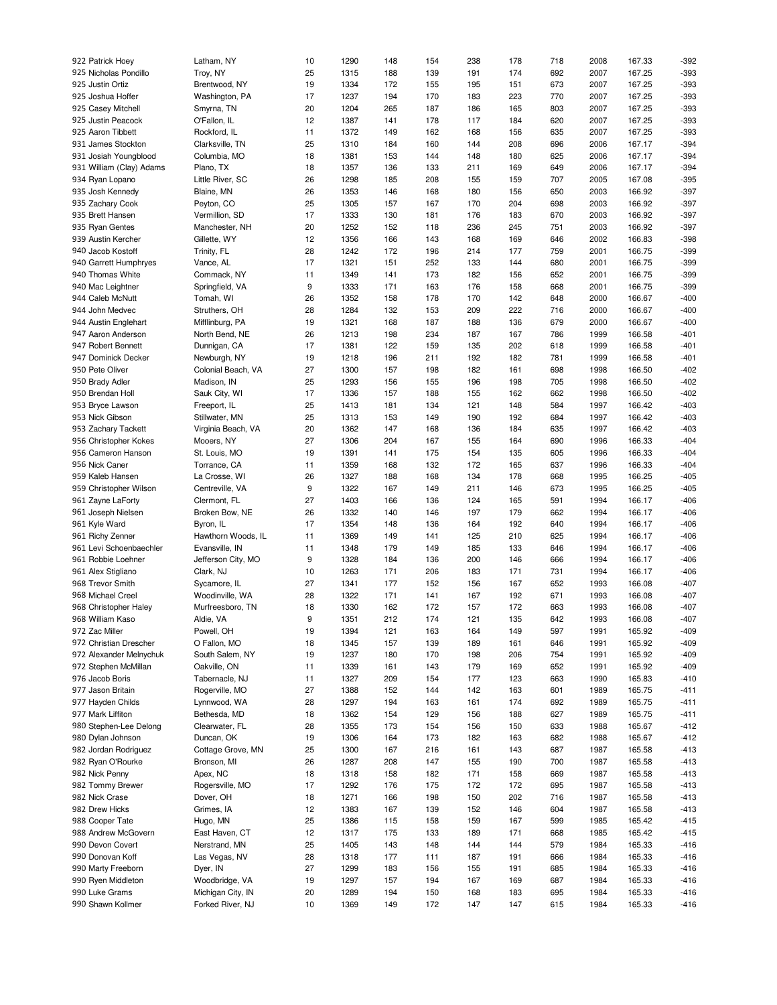| 922 Patrick Hoey         | Latham, NY         | 10 | 1290 | 148 | 154 | 238 | 178 | 718 | 2008 | 167.33 | $-392$ |
|--------------------------|--------------------|----|------|-----|-----|-----|-----|-----|------|--------|--------|
| 925 Nicholas Pondillo    | Troy, NY           | 25 | 1315 | 188 | 139 | 191 | 174 | 692 | 2007 | 167.25 | $-393$ |
| 925 Justin Ortiz         | Brentwood, NY      | 19 | 1334 | 172 | 155 | 195 | 151 | 673 | 2007 | 167.25 | $-393$ |
| 925 Joshua Hoffer        | Washington, PA     | 17 | 1237 | 194 | 170 | 183 | 223 | 770 | 2007 | 167.25 | $-393$ |
| 925 Casey Mitchell       | Smyrna, TN         | 20 | 1204 | 265 | 187 | 186 | 165 | 803 | 2007 | 167.25 | $-393$ |
|                          |                    |    |      |     |     |     |     |     |      |        |        |
| 925 Justin Peacock       | O'Fallon, IL       | 12 | 1387 | 141 | 178 | 117 | 184 | 620 | 2007 | 167.25 | $-393$ |
| 925 Aaron Tibbett        | Rockford, IL       | 11 | 1372 | 149 | 162 | 168 | 156 | 635 | 2007 | 167.25 | $-393$ |
| 931 James Stockton       | Clarksville, TN    | 25 | 1310 | 184 | 160 | 144 | 208 | 696 | 2006 | 167.17 | $-394$ |
| 931 Josiah Youngblood    | Columbia, MO       | 18 | 1381 | 153 | 144 | 148 | 180 | 625 | 2006 | 167.17 | $-394$ |
| 931 William (Clay) Adams | Plano, TX          | 18 | 1357 | 136 | 133 | 211 | 169 | 649 | 2006 | 167.17 | $-394$ |
| 934 Ryan Lopano          | Little River, SC   | 26 | 1298 | 185 | 208 | 155 | 159 | 707 | 2005 | 167.08 | $-395$ |
| 935 Josh Kennedy         | Blaine, MN         | 26 | 1353 | 146 | 168 | 180 | 156 | 650 | 2003 | 166.92 | $-397$ |
|                          |                    |    |      |     |     |     |     |     |      |        |        |
| 935 Zachary Cook         | Peyton, CO         | 25 | 1305 | 157 | 167 | 170 | 204 | 698 | 2003 | 166.92 | $-397$ |
| 935 Brett Hansen         | Vermillion, SD     | 17 | 1333 | 130 | 181 | 176 | 183 | 670 | 2003 | 166.92 | $-397$ |
| 935 Ryan Gentes          | Manchester, NH     | 20 | 1252 | 152 | 118 | 236 | 245 | 751 | 2003 | 166.92 | $-397$ |
| 939 Austin Kercher       | Gillette, WY       | 12 | 1356 | 166 | 143 | 168 | 169 | 646 | 2002 | 166.83 | $-398$ |
| 940 Jacob Kostoff        | Trinity, FL        | 28 | 1242 | 172 | 196 | 214 | 177 | 759 | 2001 | 166.75 | $-399$ |
| 940 Garrett Humphryes    | Vance, AL          | 17 | 1321 | 151 | 252 | 133 | 144 | 680 | 2001 | 166.75 | $-399$ |
| 940 Thomas White         | Commack, NY        | 11 | 1349 | 141 | 173 | 182 | 156 | 652 | 2001 | 166.75 | $-399$ |
|                          |                    | 9  | 1333 | 171 |     | 176 |     |     |      | 166.75 | $-399$ |
| 940 Mac Leightner        | Springfield, VA    |    |      |     | 163 |     | 158 | 668 | 2001 |        |        |
| 944 Caleb McNutt         | Tomah, WI          | 26 | 1352 | 158 | 178 | 170 | 142 | 648 | 2000 | 166.67 | $-400$ |
| 944 John Medvec          | Struthers, OH      | 28 | 1284 | 132 | 153 | 209 | 222 | 716 | 2000 | 166.67 | $-400$ |
| 944 Austin Englehart     | Mifflinburg, PA    | 19 | 1321 | 168 | 187 | 188 | 136 | 679 | 2000 | 166.67 | $-400$ |
| 947 Aaron Anderson       | North Bend, NE     | 26 | 1213 | 198 | 234 | 187 | 167 | 786 | 1999 | 166.58 | $-401$ |
| 947 Robert Bennett       | Dunnigan, CA       | 17 | 1381 | 122 | 159 | 135 | 202 | 618 | 1999 | 166.58 | $-401$ |
| 947 Dominick Decker      | Newburgh, NY       | 19 | 1218 | 196 | 211 | 192 | 182 | 781 | 1999 | 166.58 | $-401$ |
| 950 Pete Oliver          | Colonial Beach, VA | 27 | 1300 | 157 | 198 | 182 | 161 | 698 | 1998 | 166.50 | $-402$ |
| 950 Brady Adler          | Madison, IN        | 25 | 1293 | 156 | 155 | 196 | 198 | 705 | 1998 | 166.50 | $-402$ |
|                          |                    |    |      |     |     |     |     |     |      |        |        |
| 950 Brendan Holl         | Sauk City, WI      | 17 | 1336 | 157 | 188 | 155 | 162 | 662 | 1998 | 166.50 | $-402$ |
| 953 Bryce Lawson         | Freeport, IL       | 25 | 1413 | 181 | 134 | 121 | 148 | 584 | 1997 | 166.42 | $-403$ |
| 953 Nick Gibson          | Stillwater, MN     | 25 | 1313 | 153 | 149 | 190 | 192 | 684 | 1997 | 166.42 | $-403$ |
| 953 Zachary Tackett      | Virginia Beach, VA | 20 | 1362 | 147 | 168 | 136 | 184 | 635 | 1997 | 166.42 | $-403$ |
| 956 Christopher Kokes    | Mooers, NY         | 27 | 1306 | 204 | 167 | 155 | 164 | 690 | 1996 | 166.33 | $-404$ |
| 956 Cameron Hanson       | St. Louis, MO      | 19 | 1391 | 141 | 175 | 154 | 135 | 605 | 1996 | 166.33 | $-404$ |
| 956 Nick Caner           | Torrance, CA       | 11 | 1359 | 168 | 132 | 172 | 165 | 637 | 1996 | 166.33 | $-404$ |
|                          |                    |    |      |     |     |     |     |     |      |        |        |
| 959 Kaleb Hansen         | La Crosse, WI      | 26 | 1327 | 188 | 168 | 134 | 178 | 668 | 1995 | 166.25 | $-405$ |
| 959 Christopher Wilson   | Centreville, VA    | 9  | 1322 | 167 | 149 | 211 | 146 | 673 | 1995 | 166.25 | $-405$ |
| 961 Zayne LaForty        | Clermont, FL       | 27 | 1403 | 166 | 136 | 124 | 165 | 591 | 1994 | 166.17 | $-406$ |
| 961 Joseph Nielsen       | Broken Bow, NE     | 26 | 1332 | 140 | 146 | 197 | 179 | 662 | 1994 | 166.17 | $-406$ |
| 961 Kyle Ward            | Byron, IL          | 17 | 1354 | 148 | 136 | 164 | 192 | 640 | 1994 | 166.17 | $-406$ |
| 961 Richy Zenner         | Hawthorn Woods, IL | 11 | 1369 | 149 | 141 | 125 | 210 | 625 | 1994 | 166.17 | $-406$ |
| 961 Levi Schoenbaechler  | Evansville, IN     | 11 | 1348 | 179 | 149 | 185 | 133 | 646 | 1994 | 166.17 | $-406$ |
| 961 Robbie Loehner       | Jefferson City, MO | 9  | 1328 | 184 | 136 | 200 | 146 | 666 | 1994 | 166.17 | $-406$ |
|                          |                    |    |      |     |     |     |     |     |      | 166.17 |        |
| 961 Alex Stigliano       | Clark, NJ          | 10 | 1263 | 171 | 206 | 183 | 171 | 731 | 1994 |        | $-406$ |
| 968 Trevor Smith         | Sycamore, IL       | 27 | 1341 | 177 | 152 | 156 | 167 | 652 | 1993 | 166.08 | $-407$ |
| 968 Michael Creel        | Woodinville, WA    | 28 | 1322 | 171 | 141 | 167 | 192 | 671 | 1993 | 166.08 | $-407$ |
| 968 Christopher Haley    | Murfreesboro, TN   | 18 | 1330 | 162 | 172 | 157 | 172 | 663 | 1993 | 166.08 | $-407$ |
| 968 William Kaso         | Aldie, VA          | 9  | 1351 | 212 | 174 | 121 | 135 | 642 | 1993 | 166.08 | $-407$ |
| 972 Zac Miller           | Powell, OH         | 19 | 1394 | 121 | 163 | 164 | 149 | 597 | 1991 | 165.92 | $-409$ |
| 972 Christian Drescher   | O Fallon, MO       | 18 | 1345 | 157 | 139 | 189 | 161 | 646 | 1991 | 165.92 | $-409$ |
| 972 Alexander Melnychuk  | South Salem, NY    | 19 | 1237 | 180 | 170 | 198 | 206 | 754 | 1991 | 165.92 | $-409$ |
| 972 Stephen McMillan     | Oakville, ON       | 11 | 1339 | 161 | 143 | 179 | 169 | 652 | 1991 | 165.92 | $-409$ |
|                          |                    |    |      |     |     |     |     |     |      |        |        |
| 976 Jacob Boris          | Tabernacle, NJ     | 11 | 1327 | 209 | 154 | 177 | 123 | 663 | 1990 | 165.83 | $-410$ |
| 977 Jason Britain        | Rogerville, MO     | 27 | 1388 | 152 | 144 | 142 | 163 | 601 | 1989 | 165.75 | $-411$ |
| 977 Hayden Childs        | Lynnwood, WA       | 28 | 1297 | 194 | 163 | 161 | 174 | 692 | 1989 | 165.75 | $-411$ |
| 977 Mark Liffiton        | Bethesda, MD       | 18 | 1362 | 154 | 129 | 156 | 188 | 627 | 1989 | 165.75 | $-411$ |
| 980 Stephen-Lee Delong   | Clearwater, FL     | 28 | 1355 | 173 | 154 | 156 | 150 | 633 | 1988 | 165.67 | $-412$ |
| 980 Dylan Johnson        | Duncan, OK         | 19 | 1306 | 164 | 173 | 182 | 163 | 682 | 1988 | 165.67 | $-412$ |
| 982 Jordan Rodriguez     | Cottage Grove, MN  | 25 | 1300 | 167 | 216 | 161 | 143 | 687 | 1987 | 165.58 | $-413$ |
|                          |                    |    |      |     |     |     |     |     |      |        |        |
| 982 Ryan O'Rourke        | Bronson, MI        | 26 | 1287 | 208 | 147 | 155 | 190 | 700 | 1987 | 165.58 | $-413$ |
| 982 Nick Penny           | Apex, NC           | 18 | 1318 | 158 | 182 | 171 | 158 | 669 | 1987 | 165.58 | $-413$ |
| 982 Tommy Brewer         | Rogersville, MO    | 17 | 1292 | 176 | 175 | 172 | 172 | 695 | 1987 | 165.58 | $-413$ |
| 982 Nick Crase           | Dover, OH          | 18 | 1271 | 166 | 198 | 150 | 202 | 716 | 1987 | 165.58 | $-413$ |
| 982 Drew Hicks           | Grimes, IA         | 12 | 1383 | 167 | 139 | 152 | 146 | 604 | 1987 | 165.58 | $-413$ |
| 988 Cooper Tate          | Hugo, MN           | 25 | 1386 | 115 | 158 | 159 | 167 | 599 | 1985 | 165.42 | $-415$ |
| 988 Andrew McGovern      | East Haven, CT     | 12 | 1317 | 175 | 133 | 189 | 171 | 668 | 1985 | 165.42 | $-415$ |
|                          |                    | 25 |      |     |     |     |     |     |      |        |        |
| 990 Devon Covert         | Nerstrand, MN      |    | 1405 | 143 | 148 | 144 | 144 | 579 | 1984 | 165.33 | $-416$ |
| 990 Donovan Koff         | Las Vegas, NV      | 28 | 1318 | 177 | 111 | 187 | 191 | 666 | 1984 | 165.33 | $-416$ |
| 990 Marty Freeborn       | Dyer, IN           | 27 | 1299 | 183 | 156 | 155 | 191 | 685 | 1984 | 165.33 | $-416$ |
| 990 Ryen Middleton       | Woodbridge, VA     | 19 | 1297 | 157 | 194 | 167 | 169 | 687 | 1984 | 165.33 | $-416$ |
| 990 Luke Grams           | Michigan City, IN  | 20 | 1289 | 194 | 150 | 168 | 183 | 695 | 1984 | 165.33 | $-416$ |
| 990 Shawn Kollmer        | Forked River, NJ   | 10 | 1369 | 149 | 172 | 147 | 147 | 615 | 1984 | 165.33 | $-416$ |
|                          |                    |    |      |     |     |     |     |     |      |        |        |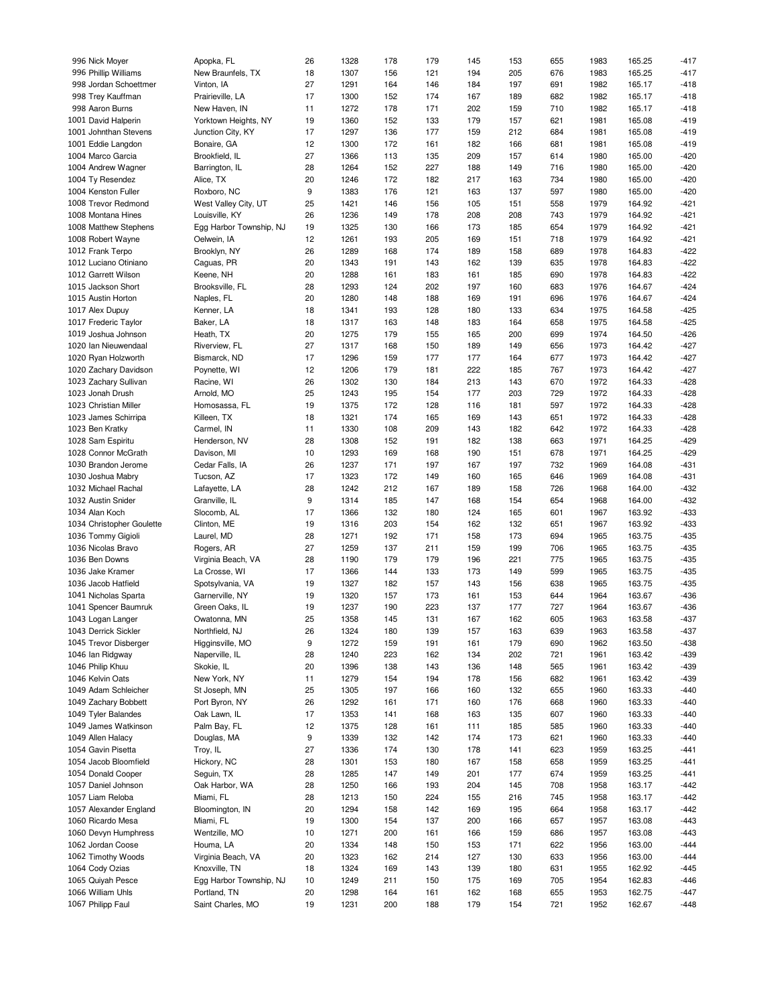| 996 Nick Moyer            | Apopka, FL              | 26 | 1328 | 178 | 179 | 145 | 153 | 655 | 1983 | 165.25 | $-417$ |
|---------------------------|-------------------------|----|------|-----|-----|-----|-----|-----|------|--------|--------|
| 996 Phillip Williams      | New Braunfels, TX       | 18 | 1307 | 156 | 121 | 194 | 205 | 676 | 1983 | 165.25 | $-417$ |
| 998 Jordan Schoettmer     | Vinton, IA              | 27 | 1291 | 164 | 146 | 184 | 197 | 691 | 1982 | 165.17 | $-418$ |
| 998 Trey Kauffman         | Prairieville, LA        | 17 | 1300 | 152 | 174 | 167 | 189 | 682 | 1982 | 165.17 | $-418$ |
| 998 Aaron Burns           | New Haven, IN           | 11 | 1272 | 178 | 171 | 202 | 159 | 710 | 1982 | 165.17 | $-418$ |
|                           |                         |    |      |     |     |     |     |     |      |        |        |
| 1001 David Halperin       | Yorktown Heights, NY    | 19 | 1360 | 152 | 133 | 179 | 157 | 621 | 1981 | 165.08 | $-419$ |
| 1001 Johnthan Stevens     | Junction City, KY       | 17 | 1297 | 136 | 177 | 159 | 212 | 684 | 1981 | 165.08 | $-419$ |
| 1001 Eddie Langdon        | Bonaire, GA             | 12 | 1300 | 172 | 161 | 182 | 166 | 681 | 1981 | 165.08 | $-419$ |
| 1004 Marco Garcia         | Brookfield, IL          | 27 | 1366 | 113 | 135 | 209 | 157 | 614 | 1980 | 165.00 | $-420$ |
| 1004 Andrew Wagner        | Barrington, IL          | 28 | 1264 | 152 | 227 | 188 | 149 | 716 | 1980 | 165.00 | $-420$ |
| 1004 Ty Resendez          | Alice, TX               | 20 | 1246 | 172 | 182 | 217 | 163 | 734 | 1980 | 165.00 | $-420$ |
| 1004 Kenston Fuller       | Roxboro, NC             | 9  | 1383 | 176 | 121 | 163 | 137 | 597 | 1980 | 165.00 | $-420$ |
| 1008 Trevor Redmond       | West Valley City, UT    | 25 | 1421 | 146 | 156 | 105 | 151 | 558 | 1979 | 164.92 | $-421$ |
| 1008 Montana Hines        | Louisville, KY          | 26 | 1236 | 149 | 178 | 208 | 208 | 743 | 1979 | 164.92 | $-421$ |
| 1008 Matthew Stephens     | Egg Harbor Township, NJ | 19 | 1325 | 130 | 166 | 173 | 185 | 654 | 1979 | 164.92 | $-421$ |
| 1008 Robert Wayne         | Oelwein, IA             | 12 | 1261 | 193 | 205 | 169 | 151 | 718 | 1979 | 164.92 | $-421$ |
|                           |                         |    |      |     |     |     |     |     |      |        |        |
| 1012 Frank Terpo          | Brooklyn, NY            | 26 | 1289 | 168 | 174 | 189 | 158 | 689 | 1978 | 164.83 | $-422$ |
| 1012 Luciano Otiniano     | Caguas, PR              | 20 | 1343 | 191 | 143 | 162 | 139 | 635 | 1978 | 164.83 | $-422$ |
| 1012 Garrett Wilson       | Keene, NH               | 20 | 1288 | 161 | 183 | 161 | 185 | 690 | 1978 | 164.83 | $-422$ |
| 1015 Jackson Short        | Brooksville, FL         | 28 | 1293 | 124 | 202 | 197 | 160 | 683 | 1976 | 164.67 | $-424$ |
| 1015 Austin Horton        | Naples, FL              | 20 | 1280 | 148 | 188 | 169 | 191 | 696 | 1976 | 164.67 | $-424$ |
| 1017 Alex Dupuy           | Kenner, LA              | 18 | 1341 | 193 | 128 | 180 | 133 | 634 | 1975 | 164.58 | $-425$ |
| 1017 Frederic Taylor      | Baker, LA               | 18 | 1317 | 163 | 148 | 183 | 164 | 658 | 1975 | 164.58 | $-425$ |
| 1019 Joshua Johnson       | Heath, TX               | 20 | 1275 | 179 | 155 | 165 | 200 | 699 | 1974 | 164.50 | $-426$ |
| 1020 Ian Nieuwendaal      | Riverview, FL           | 27 | 1317 | 168 | 150 | 189 | 149 | 656 | 1973 | 164.42 | $-427$ |
| 1020 Ryan Holzworth       | Bismarck, ND            | 17 | 1296 | 159 | 177 | 177 | 164 | 677 | 1973 | 164.42 | $-427$ |
|                           |                         |    |      |     |     |     |     |     |      |        |        |
| 1020 Zachary Davidson     | Poynette, WI            | 12 | 1206 | 179 | 181 | 222 | 185 | 767 | 1973 | 164.42 | $-427$ |
| 1023 Zachary Sullivan     | Racine, WI              | 26 | 1302 | 130 | 184 | 213 | 143 | 670 | 1972 | 164.33 | $-428$ |
| 1023 Jonah Drush          | Arnold, MO              | 25 | 1243 | 195 | 154 | 177 | 203 | 729 | 1972 | 164.33 | $-428$ |
| 1023 Christian Miller     | Homosassa, FL           | 19 | 1375 | 172 | 128 | 116 | 181 | 597 | 1972 | 164.33 | $-428$ |
| 1023 James Schirripa      | Killeen, TX             | 18 | 1321 | 174 | 165 | 169 | 143 | 651 | 1972 | 164.33 | $-428$ |
| 1023 Ben Kratky           | Carmel, IN              | 11 | 1330 | 108 | 209 | 143 | 182 | 642 | 1972 | 164.33 | $-428$ |
| 1028 Sam Espiritu         | Henderson, NV           | 28 | 1308 | 152 | 191 | 182 | 138 | 663 | 1971 | 164.25 | $-429$ |
| 1028 Connor McGrath       | Davison, MI             | 10 | 1293 | 169 | 168 | 190 | 151 | 678 | 1971 | 164.25 | $-429$ |
| 1030 Brandon Jerome       | Cedar Falls, IA         | 26 | 1237 | 171 | 197 | 167 | 197 | 732 | 1969 | 164.08 | $-431$ |
| 1030 Joshua Mabry         | Tucson, AZ              | 17 | 1323 | 172 | 149 | 160 | 165 | 646 | 1969 | 164.08 | $-431$ |
| 1032 Michael Rachal       | Lafayette, LA           | 28 | 1242 | 212 | 167 | 189 | 158 | 726 | 1968 | 164.00 | $-432$ |
|                           |                         |    |      |     |     |     |     |     |      |        |        |
| 1032 Austin Snider        | Granville, IL           | 9  | 1314 | 185 | 147 | 168 | 154 | 654 | 1968 | 164.00 | $-432$ |
| 1034 Alan Koch            | Slocomb, AL             | 17 | 1366 | 132 | 180 | 124 | 165 | 601 | 1967 | 163.92 | $-433$ |
| 1034 Christopher Goulette | Clinton, ME             | 19 | 1316 | 203 | 154 | 162 | 132 | 651 | 1967 | 163.92 | $-433$ |
| 1036 Tommy Gigioli        | Laurel, MD              | 28 | 1271 | 192 | 171 | 158 | 173 | 694 | 1965 | 163.75 | $-435$ |
| 1036 Nicolas Bravo        | Rogers, AR              | 27 | 1259 | 137 | 211 | 159 | 199 | 706 | 1965 | 163.75 | $-435$ |
| 1036 Ben Downs            | Virginia Beach, VA      | 28 | 1190 | 179 | 179 | 196 | 221 | 775 | 1965 | 163.75 | $-435$ |
| 1036 Jake Kramer          | La Crosse, WI           | 17 | 1366 | 144 | 133 | 173 | 149 | 599 | 1965 | 163.75 | $-435$ |
| 1036 Jacob Hatfield       | Spotsylvania, VA        | 19 | 1327 | 182 | 157 | 143 | 156 | 638 | 1965 | 163.75 | $-435$ |
| 1041 Nicholas Sparta      | Garnerville, NY         | 19 | 1320 | 157 | 173 | 161 | 153 | 644 | 1964 | 163.67 | $-436$ |
| 1041 Spencer Baumruk      | Green Oaks, IL          | 19 | 1237 | 190 | 223 | 137 | 177 | 727 | 1964 | 163.67 | $-436$ |
| 1043 Logan Langer         | Owatonna, MN            | 25 | 1358 | 145 | 131 | 167 | 162 | 605 | 1963 | 163.58 | $-437$ |
|                           |                         |    |      |     |     |     |     |     |      |        |        |
| 1043 Derrick Sickler      | Northfield, NJ          | 26 | 1324 | 180 | 139 | 157 | 163 | 639 | 1963 | 163.58 | $-437$ |
| 1045 Trevor Disberger     | Higginsville, MO        | 9  | 1272 | 159 | 191 | 161 | 179 | 690 | 1962 | 163.50 | $-438$ |
| 1046 Ian Ridgway          | Naperville, IL          | 28 | 1240 | 223 | 162 | 134 | 202 | 721 | 1961 | 163.42 | -439   |
| 1046 Philip Khuu          | Skokie, IL              | 20 | 1396 | 138 | 143 | 136 | 148 | 565 | 1961 | 163.42 | $-439$ |
| 1046 Kelvin Oats          | New York, NY            | 11 | 1279 | 154 | 194 | 178 | 156 | 682 | 1961 | 163.42 | $-439$ |
| 1049 Adam Schleicher      | St Joseph, MN           | 25 | 1305 | 197 | 166 | 160 | 132 | 655 | 1960 | 163.33 | $-440$ |
| 1049 Zachary Bobbett      | Port Byron, NY          | 26 | 1292 | 161 | 171 | 160 | 176 | 668 | 1960 | 163.33 | $-440$ |
| 1049 Tyler Balandes       | Oak Lawn, IL            | 17 | 1353 | 141 | 168 | 163 | 135 | 607 | 1960 | 163.33 | $-440$ |
| 1049 James Watkinson      | Palm Bay, FL            | 12 | 1375 | 128 | 161 | 111 | 185 | 585 | 1960 | 163.33 | $-440$ |
| 1049 Allen Halacy         | Douglas, MA             | 9  | 1339 | 132 | 142 | 174 | 173 | 621 | 1960 | 163.33 | $-440$ |
|                           |                         |    |      |     |     |     |     |     |      |        |        |
| 1054 Gavin Pisetta        | Troy, IL                | 27 | 1336 | 174 | 130 | 178 | 141 | 623 | 1959 | 163.25 | $-441$ |
| 1054 Jacob Bloomfield     | Hickory, NC             | 28 | 1301 | 153 | 180 | 167 | 158 | 658 | 1959 | 163.25 | $-441$ |
| 1054 Donald Cooper        | Sequin, TX              | 28 | 1285 | 147 | 149 | 201 | 177 | 674 | 1959 | 163.25 | $-441$ |
| 1057 Daniel Johnson       | Oak Harbor, WA          | 28 | 1250 | 166 | 193 | 204 | 145 | 708 | 1958 | 163.17 | $-442$ |
| 1057 Liam Reloba          | Miami, FL               | 28 | 1213 | 150 | 224 | 155 | 216 | 745 | 1958 | 163.17 | $-442$ |
| 1057 Alexander England    | Bloomington, IN         | 20 | 1294 | 158 | 142 | 169 | 195 | 664 | 1958 | 163.17 | $-442$ |
| 1060 Ricardo Mesa         | Miami, FL               | 19 | 1300 | 154 | 137 | 200 | 166 | 657 | 1957 | 163.08 | $-443$ |
| 1060 Devyn Humphress      | Wentzille, MO           | 10 | 1271 | 200 | 161 | 166 | 159 | 686 | 1957 | 163.08 | -443   |
| 1062 Jordan Coose         | Houma, LA               | 20 | 1334 | 148 | 150 | 153 | 171 | 622 | 1956 | 163.00 | $-444$ |
| 1062 Timothy Woods        | Virginia Beach, VA      | 20 | 1323 | 162 | 214 | 127 | 130 | 633 | 1956 | 163.00 | $-444$ |
|                           |                         |    |      |     |     |     |     |     |      |        |        |
| 1064 Cody Ozias           | Knoxville, TN           | 18 | 1324 | 169 | 143 | 139 | 180 | 631 | 1955 | 162.92 | $-445$ |
| 1065 Quiyah Pesce         | Egg Harbor Township, NJ | 10 | 1249 | 211 | 150 | 175 | 169 | 705 | 1954 | 162.83 | $-446$ |
| 1066 William Uhls         | Portland, TN            | 20 | 1298 | 164 | 161 | 162 | 168 | 655 | 1953 | 162.75 | $-447$ |
| 1067 Philipp Faul         | Saint Charles, MO       | 19 | 1231 | 200 | 188 | 179 | 154 | 721 | 1952 | 162.67 | $-448$ |
|                           |                         |    |      |     |     |     |     |     |      |        |        |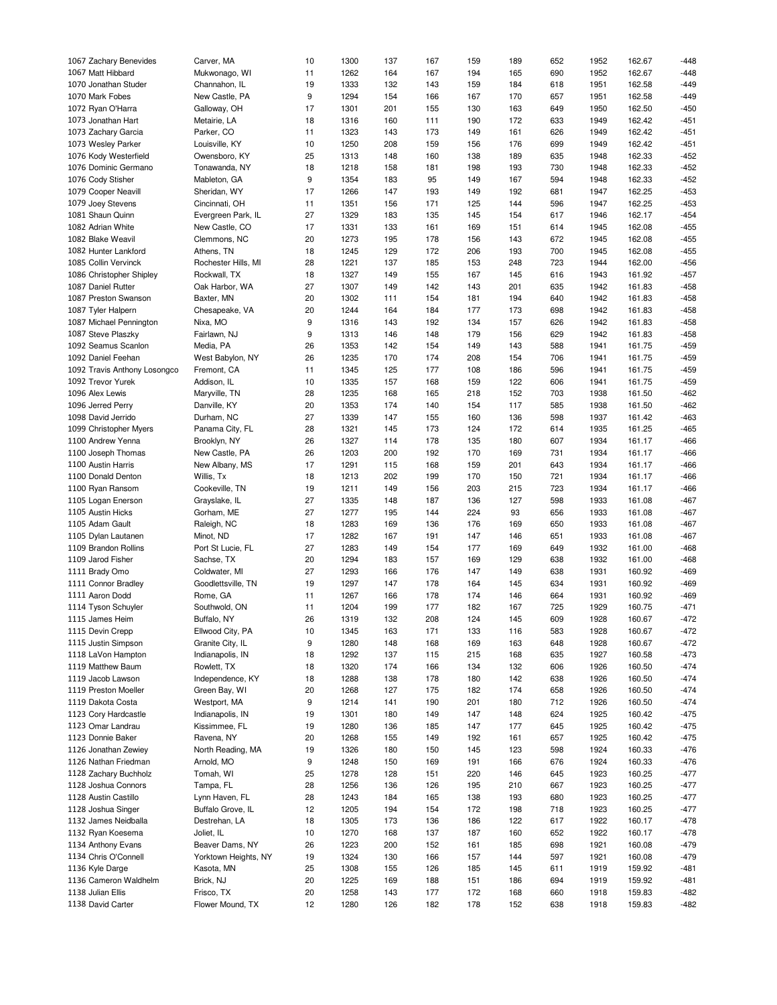| 1067 Zachary Benevides       | Carver, MA           | 10 | 1300 | 137 | 167 | 159 | 189 | 652 | 1952 | 162.67 | $-448$ |
|------------------------------|----------------------|----|------|-----|-----|-----|-----|-----|------|--------|--------|
| 1067 Matt Hibbard            | Mukwonago, WI        | 11 | 1262 | 164 | 167 | 194 | 165 | 690 | 1952 | 162.67 | $-448$ |
| 1070 Jonathan Studer         | Channahon, IL        | 19 | 1333 | 132 | 143 | 159 | 184 | 618 | 1951 | 162.58 | $-449$ |
|                              |                      |    |      |     |     |     |     |     |      |        |        |
| 1070 Mark Fobes              | New Castle, PA       | 9  | 1294 | 154 | 166 | 167 | 170 | 657 | 1951 | 162.58 | $-449$ |
| 1072 Ryan O'Harra            | Galloway, OH         | 17 | 1301 | 201 | 155 | 130 | 163 | 649 | 1950 | 162.50 | $-450$ |
| 1073 Jonathan Hart           | Metairie, LA         | 18 | 1316 | 160 | 111 | 190 | 172 | 633 | 1949 | 162.42 | $-451$ |
| 1073 Zachary Garcia          | Parker, CO           | 11 | 1323 | 143 | 173 | 149 | 161 | 626 | 1949 | 162.42 | $-451$ |
| 1073 Wesley Parker           | Louisville, KY       | 10 | 1250 | 208 | 159 | 156 | 176 | 699 | 1949 | 162.42 | $-451$ |
| 1076 Kody Westerfield        | Owensboro, KY        | 25 | 1313 | 148 | 160 | 138 | 189 | 635 | 1948 | 162.33 | $-452$ |
|                              |                      |    |      |     |     |     |     |     |      |        |        |
| 1076 Dominic Germano         | Tonawanda, NY        | 18 | 1218 | 158 | 181 | 198 | 193 | 730 | 1948 | 162.33 | $-452$ |
| 1076 Cody Stisher            | Mableton, GA         | 9  | 1354 | 183 | 95  | 149 | 167 | 594 | 1948 | 162.33 | $-452$ |
| 1079 Cooper Neavill          | Sheridan, WY         | 17 | 1266 | 147 | 193 | 149 | 192 | 681 | 1947 | 162.25 | $-453$ |
| 1079 Joey Stevens            | Cincinnati, OH       | 11 | 1351 | 156 | 171 | 125 | 144 | 596 | 1947 | 162.25 | $-453$ |
| 1081 Shaun Quinn             | Evergreen Park, IL   | 27 | 1329 | 183 | 135 | 145 | 154 | 617 | 1946 | 162.17 | $-454$ |
| 1082 Adrian White            | New Castle, CO       | 17 | 1331 | 133 | 161 | 169 | 151 | 614 | 1945 | 162.08 | $-455$ |
| 1082 Blake Weavil            | Clemmons, NC         |    | 1273 | 195 | 178 | 156 | 143 | 672 | 1945 | 162.08 | $-455$ |
|                              |                      | 20 |      |     |     |     |     |     |      |        |        |
| 1082 Hunter Lankford         | Athens, TN           | 18 | 1245 | 129 | 172 | 206 | 193 | 700 | 1945 | 162.08 | $-455$ |
| 1085 Collin Vervinck         | Rochester Hills, MI  | 28 | 1221 | 137 | 185 | 153 | 248 | 723 | 1944 | 162.00 | $-456$ |
| 1086 Christopher Shipley     | Rockwall, TX         | 18 | 1327 | 149 | 155 | 167 | 145 | 616 | 1943 | 161.92 | $-457$ |
| 1087 Daniel Rutter           | Oak Harbor, WA       | 27 | 1307 | 149 | 142 | 143 | 201 | 635 | 1942 | 161.83 | $-458$ |
| 1087 Preston Swanson         | Baxter, MN           | 20 | 1302 | 111 | 154 | 181 | 194 | 640 | 1942 | 161.83 | $-458$ |
| 1087 Tyler Halpern           | Chesapeake, VA       | 20 | 1244 | 164 | 184 | 177 | 173 | 698 | 1942 | 161.83 | $-458$ |
|                              |                      |    |      |     |     |     |     |     |      |        |        |
| 1087 Michael Pennington      | Nixa, MO             | 9  | 1316 | 143 | 192 | 134 | 157 | 626 | 1942 | 161.83 | $-458$ |
| 1087 Steve Plaszky           | Fairlawn, NJ         | 9  | 1313 | 146 | 148 | 179 | 156 | 629 | 1942 | 161.83 | $-458$ |
| 1092 Seamus Scanlon          | Media, PA            | 26 | 1353 | 142 | 154 | 149 | 143 | 588 | 1941 | 161.75 | $-459$ |
| 1092 Daniel Feehan           | West Babylon, NY     | 26 | 1235 | 170 | 174 | 208 | 154 | 706 | 1941 | 161.75 | $-459$ |
| 1092 Travis Anthony Losongco | Fremont, CA          | 11 | 1345 | 125 | 177 | 108 | 186 | 596 | 1941 | 161.75 | $-459$ |
| 1092 Trevor Yurek            | Addison, IL          | 10 | 1335 | 157 | 168 | 159 | 122 | 606 | 1941 | 161.75 | $-459$ |
|                              |                      |    |      |     |     |     |     |     |      |        |        |
| 1096 Alex Lewis              | Maryville, TN        | 28 | 1235 | 168 | 165 | 218 | 152 | 703 | 1938 | 161.50 | $-462$ |
| 1096 Jerred Perry            | Danville, KY         | 20 | 1353 | 174 | 140 | 154 | 117 | 585 | 1938 | 161.50 | $-462$ |
| 1098 David Jerrido           | Durham, NC           | 27 | 1339 | 147 | 155 | 160 | 136 | 598 | 1937 | 161.42 | $-463$ |
| 1099 Christopher Myers       | Panama City, FL      | 28 | 1321 | 145 | 173 | 124 | 172 | 614 | 1935 | 161.25 | $-465$ |
| 1100 Andrew Yenna            | Brooklyn, NY         | 26 | 1327 | 114 | 178 | 135 | 180 | 607 | 1934 | 161.17 | $-466$ |
| 1100 Joseph Thomas           | New Castle, PA       | 26 | 1203 | 200 | 192 | 170 | 169 | 731 | 1934 | 161.17 | $-466$ |
|                              |                      | 17 | 1291 |     |     | 159 |     |     |      |        |        |
| 1100 Austin Harris           | New Albany, MS       |    |      | 115 | 168 |     | 201 | 643 | 1934 | 161.17 | $-466$ |
| 1100 Donald Denton           | Willis, Tx           | 18 | 1213 | 202 | 199 | 170 | 150 | 721 | 1934 | 161.17 | $-466$ |
| 1100 Ryan Ransom             | Cookeville, TN       | 19 | 1211 | 149 | 156 | 203 | 215 | 723 | 1934 | 161.17 | $-466$ |
| 1105 Logan Enerson           | Grayslake, IL        | 27 | 1335 | 148 | 187 | 136 | 127 | 598 | 1933 | 161.08 | $-467$ |
| 1105 Austin Hicks            | Gorham, ME           | 27 | 1277 | 195 | 144 | 224 | 93  | 656 | 1933 | 161.08 | $-467$ |
| 1105 Adam Gault              | Raleigh, NC          | 18 | 1283 | 169 | 136 | 176 | 169 | 650 | 1933 | 161.08 | $-467$ |
|                              |                      | 17 | 1282 | 167 |     | 147 | 146 |     | 1933 | 161.08 | $-467$ |
| 1105 Dylan Lautanen          | Minot, ND            |    |      |     | 191 |     |     | 651 |      |        |        |
| 1109 Brandon Rollins         | Port St Lucie, FL    | 27 | 1283 | 149 | 154 | 177 | 169 | 649 | 1932 | 161.00 | $-468$ |
| 1109 Jarod Fisher            | Sachse, TX           | 20 | 1294 | 183 | 157 | 169 | 129 | 638 | 1932 | 161.00 | $-468$ |
| 1111 Brady Omo               | Coldwater, MI        | 27 | 1293 | 166 | 176 | 147 | 149 | 638 | 1931 | 160.92 | $-469$ |
| 1111 Connor Bradley          | Goodlettsville, TN   | 19 | 1297 | 147 | 178 | 164 | 145 | 634 | 1931 | 160.92 | $-469$ |
| 1111 Aaron Dodd              | Rome, GA             | 11 | 1267 | 166 | 178 | 174 | 146 | 664 | 1931 | 160.92 | $-469$ |
|                              |                      | 11 | 1204 | 199 |     | 182 | 167 | 725 | 1929 | 160.75 | $-471$ |
| 1114 Tyson Schuyler          | Southwold, ON        |    |      |     | 177 |     |     |     |      |        |        |
| 1115 James Heim              | Buffalo, NY          | 26 | 1319 | 132 | 208 | 124 | 145 | 609 | 1928 | 160.67 | $-472$ |
| 1115 Devin Crepp             | Ellwood City, PA     | 10 | 1345 | 163 | 171 | 133 | 116 | 583 | 1928 | 160.67 | $-472$ |
| 1115 Justin Simpson          | Granite City, IL     | 9  | 1280 | 148 | 168 | 169 | 163 | 648 | 1928 | 160.67 | $-472$ |
| 1118 LaVon Hampton           | Indianapolis, IN     | 18 | 1292 | 137 | 115 | 215 | 168 | 635 | 1927 | 160.58 | -473   |
| 1119 Matthew Baum            | Rowlett, TX          | 18 | 1320 | 174 | 166 | 134 | 132 | 606 | 1926 | 160.50 | $-474$ |
| 1119 Jacob Lawson            | Independence, KY     | 18 | 1288 | 138 | 178 | 180 | 142 | 638 | 1926 | 160.50 | $-474$ |
|                              |                      |    |      |     |     |     |     |     |      |        |        |
| 1119 Preston Moeller         | Green Bay, WI        | 20 | 1268 | 127 | 175 | 182 | 174 | 658 | 1926 | 160.50 | $-474$ |
| 1119 Dakota Costa            | Westport, MA         | 9  | 1214 | 141 | 190 | 201 | 180 | 712 | 1926 | 160.50 | $-474$ |
| 1123 Cory Hardcastle         | Indianapolis, IN     | 19 | 1301 | 180 | 149 | 147 | 148 | 624 | 1925 | 160.42 | $-475$ |
| 1123 Omar Landrau            | Kissimmee, FL        | 19 | 1280 | 136 | 185 | 147 | 177 | 645 | 1925 | 160.42 | $-475$ |
| 1123 Donnie Baker            | Ravena, NY           | 20 | 1268 | 155 | 149 | 192 | 161 | 657 | 1925 | 160.42 | $-475$ |
| 1126 Jonathan Zewiey         | North Reading, MA    | 19 | 1326 | 180 | 150 | 145 | 123 | 598 | 1924 | 160.33 | $-476$ |
|                              |                      |    |      |     |     |     |     |     |      |        |        |
| 1126 Nathan Friedman         | Arnold, MO           | 9  | 1248 | 150 | 169 | 191 | 166 | 676 | 1924 | 160.33 | $-476$ |
| 1128 Zachary Buchholz        | Tomah, WI            | 25 | 1278 | 128 | 151 | 220 | 146 | 645 | 1923 | 160.25 | $-477$ |
| 1128 Joshua Connors          | Tampa, FL            | 28 | 1256 | 136 | 126 | 195 | 210 | 667 | 1923 | 160.25 | $-477$ |
| 1128 Austin Castillo         | Lynn Haven, FL       | 28 | 1243 | 184 | 165 | 138 | 193 | 680 | 1923 | 160.25 | $-477$ |
| 1128 Joshua Singer           | Buffalo Grove, IL    | 12 | 1205 | 194 | 154 | 172 | 198 | 718 | 1923 | 160.25 | $-477$ |
| 1132 James Neidballa         | Destrehan, LA        | 18 | 1305 | 173 | 136 | 186 | 122 | 617 | 1922 | 160.17 | $-478$ |
|                              |                      |    |      |     |     |     |     |     |      |        |        |
| 1132 Ryan Koesema            | Joliet, IL           | 10 | 1270 | 168 | 137 | 187 | 160 | 652 | 1922 | 160.17 | -478   |
| 1134 Anthony Evans           | Beaver Dams, NY      | 26 | 1223 | 200 | 152 | 161 | 185 | 698 | 1921 | 160.08 | $-479$ |
| 1134 Chris O'Connell         | Yorktown Heights, NY | 19 | 1324 | 130 | 166 | 157 | 144 | 597 | 1921 | 160.08 | $-479$ |
| 1136 Kyle Darge              | Kasota, MN           | 25 | 1308 | 155 | 126 | 185 | 145 | 611 | 1919 | 159.92 | $-481$ |
| 1136 Cameron Waldhelm        | Brick, NJ            | 20 | 1225 | 169 | 188 | 151 | 186 | 694 | 1919 | 159.92 | $-481$ |
| 1138 Julian Ellis            | Frisco, TX           | 20 | 1258 | 143 | 177 | 172 | 168 | 660 | 1918 | 159.83 | $-482$ |
|                              |                      |    |      |     |     |     |     |     |      |        |        |
| 1138 David Carter            | Flower Mound, TX     | 12 | 1280 | 126 | 182 | 178 | 152 | 638 | 1918 | 159.83 | $-482$ |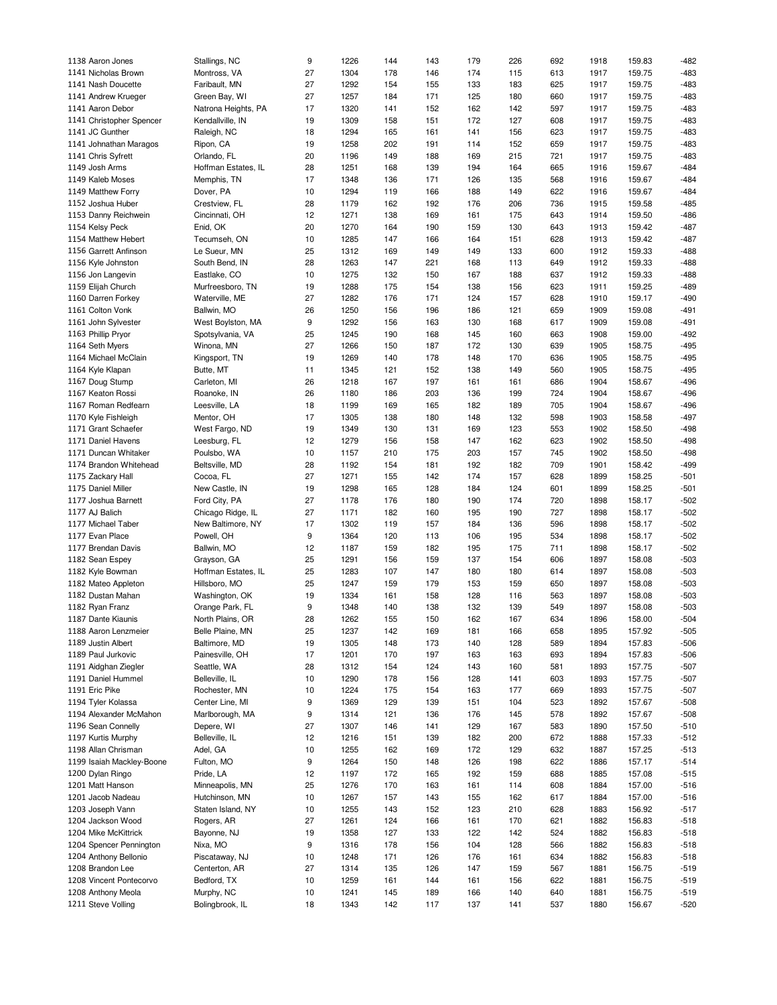| 1138 Aaron Jones          | Stallings, NC       | 9  | 1226 | 144 | 143 | 179 | 226 | 692 | 1918 | 159.83 | $-482$ |
|---------------------------|---------------------|----|------|-----|-----|-----|-----|-----|------|--------|--------|
| 1141 Nicholas Brown       | Montross, VA        | 27 | 1304 | 178 | 146 | 174 | 115 | 613 | 1917 | 159.75 | $-483$ |
| 1141 Nash Doucette        | Faribault, MN       | 27 | 1292 | 154 | 155 | 133 | 183 | 625 | 1917 | 159.75 | $-483$ |
|                           |                     |    |      |     |     |     |     |     |      |        |        |
| 1141 Andrew Krueger       | Green Bay, WI       | 27 | 1257 | 184 | 171 | 125 | 180 | 660 | 1917 | 159.75 | $-483$ |
| 1141 Aaron Debor          | Natrona Heights, PA | 17 | 1320 | 141 | 152 | 162 | 142 | 597 | 1917 | 159.75 | $-483$ |
| 1141 Christopher Spencer  | Kendallville, IN    | 19 | 1309 | 158 | 151 | 172 | 127 | 608 | 1917 | 159.75 | $-483$ |
| 1141 JC Gunther           | Raleigh, NC         | 18 | 1294 | 165 | 161 | 141 | 156 | 623 | 1917 | 159.75 | $-483$ |
| 1141 Johnathan Maragos    | Ripon, CA           | 19 | 1258 | 202 | 191 | 114 | 152 | 659 | 1917 | 159.75 | $-483$ |
|                           |                     |    |      |     |     |     |     |     |      |        |        |
| 1141 Chris Syfrett        | Orlando, FL         | 20 | 1196 | 149 | 188 | 169 | 215 | 721 | 1917 | 159.75 | $-483$ |
| 1149 Josh Arms            | Hoffman Estates, IL | 28 | 1251 | 168 | 139 | 194 | 164 | 665 | 1916 | 159.67 | $-484$ |
| 1149 Kaleb Moses          | Memphis, TN         | 17 | 1348 | 136 | 171 | 126 | 135 | 568 | 1916 | 159.67 | $-484$ |
| 1149 Matthew Forry        | Dover, PA           | 10 | 1294 | 119 | 166 | 188 | 149 | 622 | 1916 | 159.67 | $-484$ |
| 1152 Joshua Huber         | Crestview, FL       | 28 | 1179 | 162 | 192 | 176 | 206 | 736 | 1915 | 159.58 | $-485$ |
| 1153 Danny Reichwein      | Cincinnati, OH      | 12 | 1271 | 138 | 169 | 161 | 175 | 643 | 1914 | 159.50 | $-486$ |
|                           |                     |    |      |     |     |     |     |     |      |        |        |
| 1154 Kelsy Peck           | Enid, OK            | 20 | 1270 | 164 | 190 | 159 | 130 | 643 | 1913 | 159.42 | $-487$ |
| 1154 Matthew Hebert       | Tecumseh, ON        | 10 | 1285 | 147 | 166 | 164 | 151 | 628 | 1913 | 159.42 | $-487$ |
| 1156 Garrett Anfinson     | Le Sueur, MN        | 25 | 1312 | 169 | 149 | 149 | 133 | 600 | 1912 | 159.33 | $-488$ |
| 1156 Kyle Johnston        | South Bend, IN      | 28 | 1263 | 147 | 221 | 168 | 113 | 649 | 1912 | 159.33 | $-488$ |
| 1156 Jon Langevin         | Eastlake, CO        | 10 | 1275 | 132 | 150 | 167 | 188 | 637 | 1912 | 159.33 | $-488$ |
|                           |                     |    |      |     |     |     |     |     |      |        |        |
| 1159 Elijah Church        | Murfreesboro, TN    | 19 | 1288 | 175 | 154 | 138 | 156 | 623 | 1911 | 159.25 | $-489$ |
| 1160 Darren Forkey        | Waterville, ME      | 27 | 1282 | 176 | 171 | 124 | 157 | 628 | 1910 | 159.17 | $-490$ |
| 1161 Colton Vonk          | Ballwin, MO         | 26 | 1250 | 156 | 196 | 186 | 121 | 659 | 1909 | 159.08 | $-491$ |
| 1161 John Sylvester       | West Boylston, MA   | 9  | 1292 | 156 | 163 | 130 | 168 | 617 | 1909 | 159.08 | $-491$ |
| 1163 Phillip Pryor        | Spotsylvania, VA    | 25 | 1245 | 190 | 168 | 145 | 160 | 663 | 1908 | 159.00 | $-492$ |
| 1164 Seth Myers           | Winona, MN          | 27 | 1266 | 150 | 187 | 172 | 130 | 639 | 1905 | 158.75 | $-495$ |
|                           |                     |    |      |     |     |     |     |     |      |        |        |
| 1164 Michael McClain      | Kingsport, TN       | 19 | 1269 | 140 | 178 | 148 | 170 | 636 | 1905 | 158.75 | $-495$ |
| 1164 Kyle Klapan          | Butte, MT           | 11 | 1345 | 121 | 152 | 138 | 149 | 560 | 1905 | 158.75 | $-495$ |
| 1167 Doug Stump           | Carleton, MI        | 26 | 1218 | 167 | 197 | 161 | 161 | 686 | 1904 | 158.67 | $-496$ |
| 1167 Keaton Rossi         | Roanoke, IN         | 26 | 1180 | 186 | 203 | 136 | 199 | 724 | 1904 | 158.67 | $-496$ |
| 1167 Roman Redfearn       | Leesville, LA       | 18 | 1199 | 169 | 165 | 182 | 189 | 705 | 1904 | 158.67 | $-496$ |
| 1170 Kyle Fishleigh       |                     | 17 | 1305 | 138 | 180 | 148 |     | 598 | 1903 | 158.58 | $-497$ |
|                           | Mentor, OH          |    |      |     |     |     | 132 |     |      |        |        |
| 1171 Grant Schaefer       | West Fargo, ND      | 19 | 1349 | 130 | 131 | 169 | 123 | 553 | 1902 | 158.50 | $-498$ |
| 1171 Daniel Havens        | Leesburg, FL        | 12 | 1279 | 156 | 158 | 147 | 162 | 623 | 1902 | 158.50 | $-498$ |
| 1171 Duncan Whitaker      | Poulsbo, WA         | 10 | 1157 | 210 | 175 | 203 | 157 | 745 | 1902 | 158.50 | $-498$ |
| 1174 Brandon Whitehead    | Beltsville, MD      | 28 | 1192 | 154 | 181 | 192 | 182 | 709 | 1901 | 158.42 | $-499$ |
| 1175 Zackary Hall         | Cocoa, FL           | 27 | 1271 | 155 | 142 | 174 | 157 | 628 | 1899 | 158.25 | $-501$ |
|                           |                     |    |      |     |     |     |     |     |      |        |        |
| 1175 Daniel Miller        | New Castle, IN      | 19 | 1298 | 165 | 128 | 184 | 124 | 601 | 1899 | 158.25 | $-501$ |
| 1177 Joshua Barnett       | Ford City, PA       | 27 | 1178 | 176 | 180 | 190 | 174 | 720 | 1898 | 158.17 | $-502$ |
| 1177 AJ Balich            | Chicago Ridge, IL   | 27 | 1171 | 182 | 160 | 195 | 190 | 727 | 1898 | 158.17 | $-502$ |
| 1177 Michael Taber        | New Baltimore, NY   | 17 | 1302 | 119 | 157 | 184 | 136 | 596 | 1898 | 158.17 | $-502$ |
| 1177 Evan Place           | Powell, OH          | 9  | 1364 | 120 | 113 | 106 | 195 | 534 | 1898 | 158.17 | $-502$ |
|                           |                     |    |      |     |     |     |     |     |      |        |        |
| 1177 Brendan Davis        | Ballwin, MO         | 12 | 1187 | 159 | 182 | 195 | 175 | 711 | 1898 | 158.17 | $-502$ |
| 1182 Sean Espey           | Grayson, GA         | 25 | 1291 | 156 | 159 | 137 | 154 | 606 | 1897 | 158.08 | $-503$ |
| 1182 Kyle Bowman          | Hoffman Estates, IL | 25 | 1283 | 107 | 147 | 180 | 180 | 614 | 1897 | 158.08 | $-503$ |
| 1182 Mateo Appleton       | Hillsboro, MO       | 25 | 1247 | 159 | 179 | 153 | 159 | 650 | 1897 | 158.08 | $-503$ |
| 1182 Dustan Mahan         | Washington, OK      | 19 | 1334 | 161 | 158 | 128 | 116 | 563 | 1897 | 158.08 | $-503$ |
| 1182 Ryan Franz           | Orange Park, FL     | 9  | 1348 | 140 | 138 | 132 | 139 | 549 | 1897 | 158.08 | $-503$ |
|                           |                     |    |      |     |     |     |     |     |      |        |        |
| 1187 Dante Kiaunis        | North Plains, OR    | 28 | 1262 | 155 | 150 | 162 | 167 | 634 | 1896 | 158.00 | $-504$ |
| 1188 Aaron Lenzmeier      | Belle Plaine, MN    | 25 | 1237 | 142 | 169 | 181 | 166 | 658 | 1895 | 157.92 | $-505$ |
| 1189 Justin Albert        | Baltimore, MD       | 19 | 1305 | 148 | 173 | 140 | 128 | 589 | 1894 | 157.83 | $-506$ |
| 1189 Paul Jurkovic        | Painesville, OH     | 17 | 1201 | 170 | 197 | 163 | 163 | 693 | 1894 | 157.83 | $-506$ |
| 1191 Aidghan Ziegler      | Seattle, WA         | 28 | 1312 | 154 | 124 | 143 | 160 | 581 | 1893 | 157.75 | $-507$ |
| 1191 Daniel Hummel        | Belleville, IL      |    | 1290 |     |     | 128 |     |     | 1893 | 157.75 | $-507$ |
|                           |                     | 10 |      | 178 | 156 |     | 141 | 603 |      |        |        |
| 1191 Eric Pike            | Rochester, MN       | 10 | 1224 | 175 | 154 | 163 | 177 | 669 | 1893 | 157.75 | $-507$ |
| 1194 Tyler Kolassa        | Center Line, MI     | 9  | 1369 | 129 | 139 | 151 | 104 | 523 | 1892 | 157.67 | $-508$ |
| 1194 Alexander McMahon    | Marlborough, MA     | 9  | 1314 | 121 | 136 | 176 | 145 | 578 | 1892 | 157.67 | $-508$ |
| 1196 Sean Connelly        | Depere, WI          | 27 | 1307 | 146 | 141 | 129 | 167 | 583 | 1890 | 157.50 | $-510$ |
| 1197 Kurtis Murphy        | Belleville, IL      | 12 | 1216 | 151 | 139 | 182 | 200 | 672 | 1888 | 157.33 | $-512$ |
|                           |                     |    |      |     |     |     |     |     |      |        |        |
| 1198 Allan Chrisman       | Adel, GA            | 10 | 1255 | 162 | 169 | 172 | 129 | 632 | 1887 | 157.25 | $-513$ |
| 1199 Isaiah Mackley-Boone | Fulton, MO          | 9  | 1264 | 150 | 148 | 126 | 198 | 622 | 1886 | 157.17 | $-514$ |
| 1200 Dylan Ringo          | Pride, LA           | 12 | 1197 | 172 | 165 | 192 | 159 | 688 | 1885 | 157.08 | $-515$ |
| 1201 Matt Hanson          | Minneapolis, MN     | 25 | 1276 | 170 | 163 | 161 | 114 | 608 | 1884 | 157.00 | $-516$ |
| 1201 Jacob Nadeau         | Hutchinson, MN      | 10 | 1267 | 157 | 143 | 155 | 162 | 617 | 1884 | 157.00 | $-516$ |
|                           |                     |    |      |     |     |     |     |     |      |        |        |
| 1203 Joseph Vann          | Staten Island, NY   | 10 | 1255 | 143 | 152 | 123 | 210 | 628 | 1883 | 156.92 | $-517$ |
| 1204 Jackson Wood         | Rogers, AR          | 27 | 1261 | 124 | 166 | 161 | 170 | 621 | 1882 | 156.83 | $-518$ |
| 1204 Mike McKittrick      | Bayonne, NJ         | 19 | 1358 | 127 | 133 | 122 | 142 | 524 | 1882 | 156.83 | $-518$ |
| 1204 Spencer Pennington   | Nixa, MO            | 9  | 1316 | 178 | 156 | 104 | 128 | 566 | 1882 | 156.83 | $-518$ |
| 1204 Anthony Bellonio     | Piscataway, NJ      | 10 | 1248 | 171 | 126 | 176 | 161 | 634 | 1882 | 156.83 | $-518$ |
| 1208 Brandon Lee          | Centerton, AR       | 27 | 1314 | 135 | 126 | 147 | 159 | 567 | 1881 | 156.75 | $-519$ |
|                           |                     |    |      |     |     |     |     |     |      |        |        |
| 1208 Vincent Pontecorvo   | Bedford, TX         | 10 | 1259 | 161 | 144 | 161 | 156 | 622 | 1881 | 156.75 | $-519$ |
| 1208 Anthony Meola        | Murphy, NC          | 10 | 1241 | 145 | 189 | 166 | 140 | 640 | 1881 | 156.75 | $-519$ |
| 1211 Steve Volling        | Bolingbrook, IL     | 18 | 1343 | 142 | 117 | 137 | 141 | 537 | 1880 | 156.67 | $-520$ |
|                           |                     |    |      |     |     |     |     |     |      |        |        |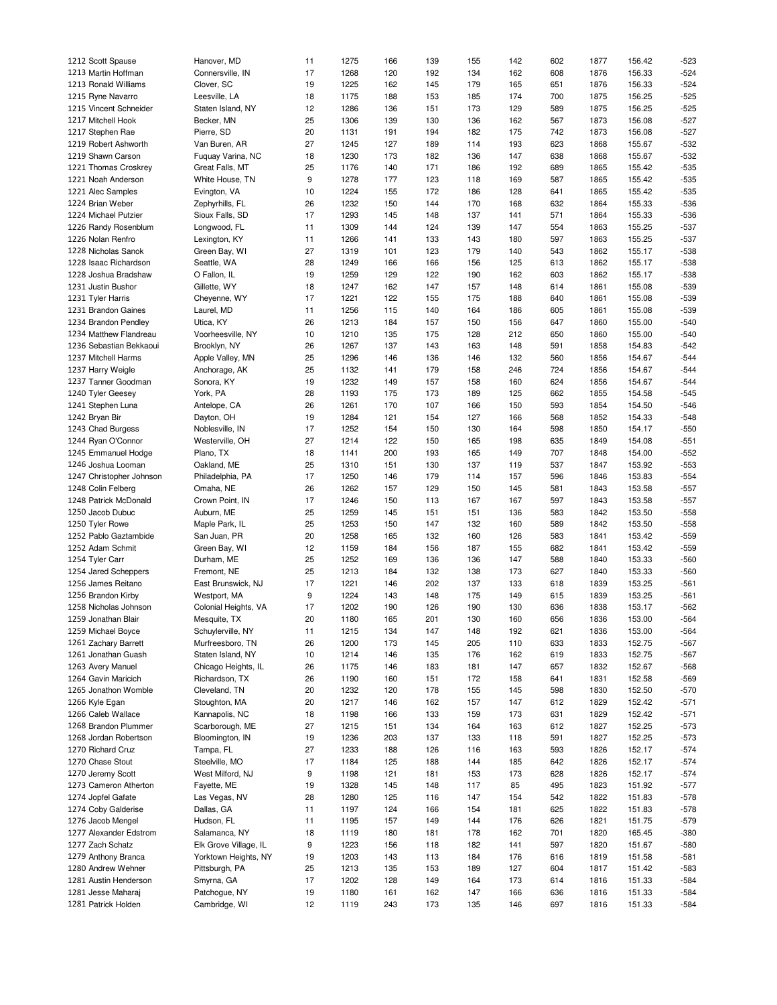| 1212 Scott Spause        | Hanover, MD           | 11 | 1275 | 166 | 139 | 155 | 142 | 602 | 1877 | 156.42 | $-523$ |
|--------------------------|-----------------------|----|------|-----|-----|-----|-----|-----|------|--------|--------|
| 1213 Martin Hoffman      | Connersville, IN      | 17 | 1268 | 120 | 192 | 134 | 162 | 608 | 1876 | 156.33 | $-524$ |
| 1213 Ronald Williams     | Clover, SC            | 19 | 1225 | 162 | 145 | 179 | 165 | 651 | 1876 | 156.33 | $-524$ |
|                          |                       |    |      |     |     |     |     |     |      |        |        |
| 1215 Ryne Navarro        | Leesville, LA         | 18 | 1175 | 188 | 153 | 185 | 174 | 700 | 1875 | 156.25 | $-525$ |
| 1215 Vincent Schneider   | Staten Island, NY     | 12 | 1286 | 136 | 151 | 173 | 129 | 589 | 1875 | 156.25 | $-525$ |
| 1217 Mitchell Hook       | Becker, MN            | 25 | 1306 | 139 | 130 | 136 | 162 | 567 | 1873 | 156.08 | $-527$ |
| 1217 Stephen Rae         | Pierre, SD            | 20 | 1131 | 191 | 194 | 182 | 175 | 742 | 1873 | 156.08 | $-527$ |
| 1219 Robert Ashworth     | Van Buren, AR         | 27 | 1245 | 127 | 189 | 114 | 193 | 623 | 1868 | 155.67 | $-532$ |
| 1219 Shawn Carson        | Fuquay Varina, NC     | 18 | 1230 | 173 | 182 | 136 | 147 | 638 | 1868 | 155.67 | $-532$ |
|                          |                       |    |      |     |     |     |     |     |      |        |        |
| 1221 Thomas Croskrey     | Great Falls, MT       | 25 | 1176 | 140 | 171 | 186 | 192 | 689 | 1865 | 155.42 | $-535$ |
| 1221 Noah Anderson       | White House, TN       | 9  | 1278 | 177 | 123 | 118 | 169 | 587 | 1865 | 155.42 | $-535$ |
| 1221 Alec Samples        | Evington, VA          | 10 | 1224 | 155 | 172 | 186 | 128 | 641 | 1865 | 155.42 | $-535$ |
| 1224 Brian Weber         | Zephyrhills, FL       | 26 | 1232 | 150 | 144 | 170 | 168 | 632 | 1864 | 155.33 | $-536$ |
| 1224 Michael Putzier     | Sioux Falls, SD       | 17 | 1293 | 145 | 148 | 137 | 141 | 571 | 1864 | 155.33 | $-536$ |
| 1226 Randy Rosenblum     | Longwood, FL          | 11 | 1309 | 144 | 124 | 139 | 147 | 554 | 1863 | 155.25 | $-537$ |
|                          |                       |    |      |     |     |     |     |     |      |        |        |
| 1226 Nolan Renfro        | Lexington, KY         | 11 | 1266 | 141 | 133 | 143 | 180 | 597 | 1863 | 155.25 | $-537$ |
| 1228 Nicholas Sanok      | Green Bay, WI         | 27 | 1319 | 101 | 123 | 179 | 140 | 543 | 1862 | 155.17 | $-538$ |
| 1228 Isaac Richardson    | Seattle, WA           | 28 | 1249 | 166 | 166 | 156 | 125 | 613 | 1862 | 155.17 | $-538$ |
| 1228 Joshua Bradshaw     | O Fallon, IL          | 19 | 1259 | 129 | 122 | 190 | 162 | 603 | 1862 | 155.17 | $-538$ |
| 1231 Justin Bushor       | Gillette, WY          | 18 | 1247 | 162 | 147 | 157 | 148 | 614 | 1861 | 155.08 | $-539$ |
| 1231 Tyler Harris        | Cheyenne, WY          | 17 | 1221 | 122 | 155 | 175 | 188 | 640 | 1861 | 155.08 | $-539$ |
|                          |                       |    | 1256 |     |     | 164 |     |     | 1861 | 155.08 | $-539$ |
| 1231 Brandon Gaines      | Laurel, MD            | 11 |      | 115 | 140 |     | 186 | 605 |      |        |        |
| 1234 Brandon Pendley     | Utica, KY             | 26 | 1213 | 184 | 157 | 150 | 156 | 647 | 1860 | 155.00 | $-540$ |
| 1234 Matthew Flandreau   | Voorheesville, NY     | 10 | 1210 | 135 | 175 | 128 | 212 | 650 | 1860 | 155.00 | $-540$ |
| 1236 Sebastian Bekkaoui  | Brooklyn, NY          | 26 | 1267 | 137 | 143 | 163 | 148 | 591 | 1858 | 154.83 | $-542$ |
| 1237 Mitchell Harms      | Apple Valley, MN      | 25 | 1296 | 146 | 136 | 146 | 132 | 560 | 1856 | 154.67 | $-544$ |
| 1237 Harry Weigle        | Anchorage, AK         | 25 | 1132 | 141 | 179 | 158 | 246 | 724 | 1856 | 154.67 | $-544$ |
| 1237 Tanner Goodman      | Sonora, KY            | 19 | 1232 | 149 | 157 | 158 | 160 | 624 | 1856 | 154.67 | $-544$ |
|                          |                       |    |      |     |     |     |     |     |      |        |        |
| 1240 Tyler Geesey        | York, PA              | 28 | 1193 | 175 | 173 | 189 | 125 | 662 | 1855 | 154.58 | $-545$ |
| 1241 Stephen Luna        | Antelope, CA          | 26 | 1261 | 170 | 107 | 166 | 150 | 593 | 1854 | 154.50 | $-546$ |
| 1242 Bryan Bir           | Dayton, OH            | 19 | 1284 | 121 | 154 | 127 | 166 | 568 | 1852 | 154.33 | $-548$ |
| 1243 Chad Burgess        | Noblesville, IN       | 17 | 1252 | 154 | 150 | 130 | 164 | 598 | 1850 | 154.17 | $-550$ |
| 1244 Ryan O'Connor       | Westerville, OH       | 27 | 1214 | 122 | 150 | 165 | 198 | 635 | 1849 | 154.08 | $-551$ |
| 1245 Emmanuel Hodge      | Plano, TX             | 18 | 1141 | 200 | 193 | 165 | 149 | 707 | 1848 | 154.00 | $-552$ |
|                          |                       |    |      |     |     |     |     |     |      |        |        |
| 1246 Joshua Looman       | Oakland, ME           | 25 | 1310 | 151 | 130 | 137 | 119 | 537 | 1847 | 153.92 | $-553$ |
| 1247 Christopher Johnson | Philadelphia, PA      | 17 | 1250 | 146 | 179 | 114 | 157 | 596 | 1846 | 153.83 | $-554$ |
| 1248 Colin Felberg       | Omaha, NE             | 26 | 1262 | 157 | 129 | 150 | 145 | 581 | 1843 | 153.58 | $-557$ |
| 1248 Patrick McDonald    | Crown Point, IN       | 17 | 1246 | 150 | 113 | 167 | 167 | 597 | 1843 | 153.58 | $-557$ |
| 1250 Jacob Dubuc         | Auburn, ME            | 25 | 1259 | 145 | 151 | 151 | 136 | 583 | 1842 | 153.50 | $-558$ |
| 1250 Tyler Rowe          | Maple Park, IL        | 25 | 1253 | 150 | 147 | 132 | 160 | 589 | 1842 | 153.50 | $-558$ |
| 1252 Pablo Gaztambide    | San Juan, PR          | 20 | 1258 | 165 | 132 | 160 | 126 | 583 | 1841 | 153.42 | $-559$ |
|                          |                       |    |      |     |     |     |     |     |      |        |        |
| 1252 Adam Schmit         | Green Bay, WI         | 12 | 1159 | 184 | 156 | 187 | 155 | 682 | 1841 | 153.42 | $-559$ |
| 1254 Tyler Carr          | Durham, ME            | 25 | 1252 | 169 | 136 | 136 | 147 | 588 | 1840 | 153.33 | $-560$ |
| 1254 Jared Scheppers     | Fremont, NE           | 25 | 1213 | 184 | 132 | 138 | 173 | 627 | 1840 | 153.33 | $-560$ |
| 1256 James Reitano       | East Brunswick, NJ    | 17 | 1221 | 146 | 202 | 137 | 133 | 618 | 1839 | 153.25 | $-561$ |
| 1256 Brandon Kirby       | Westport, MA          | 9  | 1224 | 143 | 148 | 175 | 149 | 615 | 1839 | 153.25 | $-561$ |
| 1258 Nicholas Johnson    | Colonial Heights, VA  | 17 | 1202 | 190 | 126 | 190 | 130 | 636 | 1838 | 153.17 | $-562$ |
|                          |                       |    |      |     |     |     |     |     |      |        |        |
| 1259 Jonathan Blair      | Mesquite, TX          | 20 | 1180 | 165 | 201 | 130 | 160 | 656 | 1836 | 153.00 | $-564$ |
| 1259 Michael Boyce       | Schuylerville, NY     | 11 | 1215 | 134 | 147 | 148 | 192 | 621 | 1836 | 153.00 | $-564$ |
| 1261 Zachary Barrett     | Murfreesboro, TN      | 26 | 1200 | 173 | 145 | 205 | 110 | 633 | 1833 | 152.75 | $-567$ |
| 1261 Jonathan Guash      | Staten Island, NY     | 10 | 1214 | 146 | 135 | 176 | 162 | 619 | 1833 | 152.75 | $-567$ |
| 1263 Avery Manuel        | Chicago Heights, IL   | 26 | 1175 | 146 | 183 | 181 | 147 | 657 | 1832 | 152.67 | $-568$ |
| 1264 Gavin Maricich      | Richardson, TX        | 26 | 1190 | 160 | 151 | 172 | 158 | 641 | 1831 | 152.58 | $-569$ |
|                          | Cleveland, TN         |    |      |     |     |     |     |     |      | 152.50 | $-570$ |
| 1265 Jonathon Womble     |                       | 20 | 1232 | 120 | 178 | 155 | 145 | 598 | 1830 |        |        |
| 1266 Kyle Egan           | Stoughton, MA         | 20 | 1217 | 146 | 162 | 157 | 147 | 612 | 1829 | 152.42 | $-571$ |
| 1266 Caleb Wallace       | Kannapolis, NC        | 18 | 1198 | 166 | 133 | 159 | 173 | 631 | 1829 | 152.42 | $-571$ |
| 1268 Brandon Plummer     | Scarborough, ME       | 27 | 1215 | 151 | 134 | 164 | 163 | 612 | 1827 | 152.25 | $-573$ |
| 1268 Jordan Robertson    | Bloomington, IN       | 19 | 1236 | 203 | 137 | 133 | 118 | 591 | 1827 | 152.25 | $-573$ |
| 1270 Richard Cruz        | Tampa, FL             | 27 | 1233 | 188 | 126 | 116 | 163 | 593 | 1826 | 152.17 | $-574$ |
|                          | Steelville, MO        |    |      |     |     |     |     |     |      |        |        |
| 1270 Chase Stout         |                       | 17 | 1184 | 125 | 188 | 144 | 185 | 642 | 1826 | 152.17 | $-574$ |
| 1270 Jeremy Scott        | West Milford, NJ      | 9  | 1198 | 121 | 181 | 153 | 173 | 628 | 1826 | 152.17 | $-574$ |
| 1273 Cameron Atherton    | Fayette, ME           | 19 | 1328 | 145 | 148 | 117 | 85  | 495 | 1823 | 151.92 | $-577$ |
| 1274 Jopfel Gafate       | Las Vegas, NV         | 28 | 1280 | 125 | 116 | 147 | 154 | 542 | 1822 | 151.83 | $-578$ |
| 1274 Coby Galderise      | Dallas, GA            | 11 | 1197 | 124 | 166 | 154 | 181 | 625 | 1822 | 151.83 | $-578$ |
| 1276 Jacob Mengel        | Hudson, FL            | 11 | 1195 | 157 | 149 | 144 | 176 | 626 | 1821 | 151.75 | $-579$ |
|                          |                       |    |      |     |     |     |     |     |      |        |        |
| 1277 Alexander Edstrom   | Salamanca, NY         | 18 | 1119 | 180 | 181 | 178 | 162 | 701 | 1820 | 165.45 | $-380$ |
| 1277 Zach Schatz         | Elk Grove Village, IL | 9  | 1223 | 156 | 118 | 182 | 141 | 597 | 1820 | 151.67 | -580   |
| 1279 Anthony Branca      | Yorktown Heights, NY  | 19 | 1203 | 143 | 113 | 184 | 176 | 616 | 1819 | 151.58 | $-581$ |
| 1280 Andrew Wehner       | Pittsburgh, PA        | 25 | 1213 | 135 | 153 | 189 | 127 | 604 | 1817 | 151.42 | $-583$ |
| 1281 Austin Henderson    | Smyrna, GA            | 17 | 1202 | 128 | 149 | 164 | 173 | 614 | 1816 | 151.33 | $-584$ |
| 1281 Jesse Maharaj       | Patchogue, NY         | 19 | 1180 | 161 | 162 | 147 | 166 | 636 | 1816 | 151.33 | $-584$ |
|                          |                       |    |      |     |     |     |     |     |      |        |        |
| 1281 Patrick Holden      | Cambridge, WI         | 12 | 1119 | 243 | 173 | 135 | 146 | 697 | 1816 | 151.33 | $-584$ |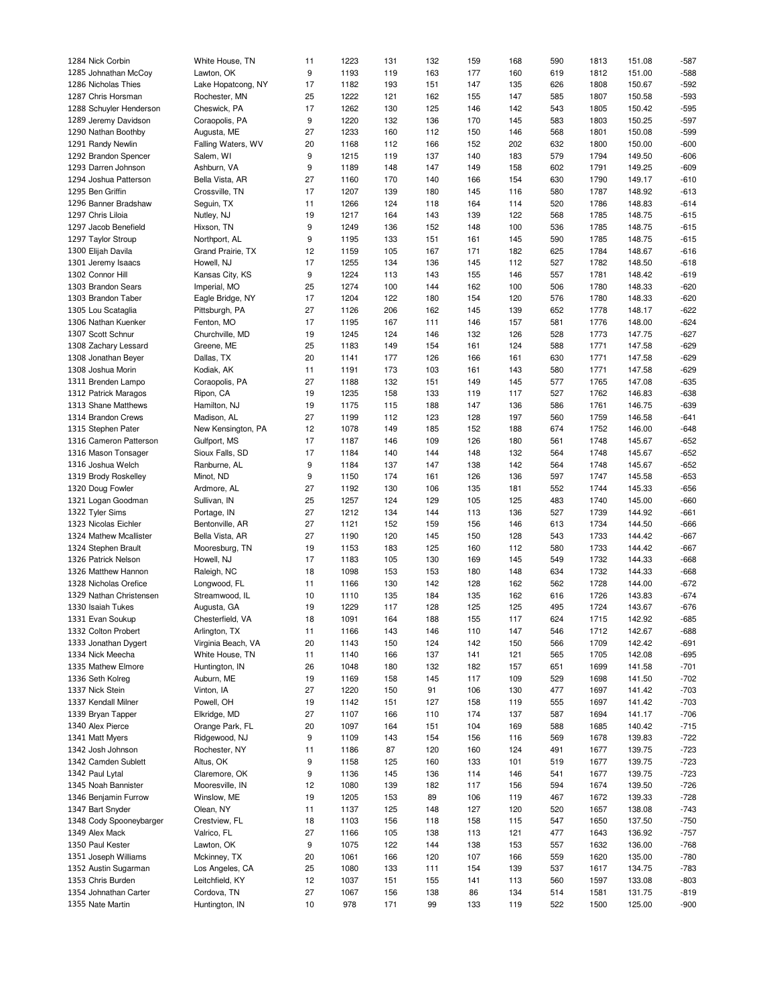| 1284 Nick Corbin        | White House, TN    | 11 | 1223 | 131 | 132 | 159 | 168 | 590 | 1813 | 151.08 | $-587$ |
|-------------------------|--------------------|----|------|-----|-----|-----|-----|-----|------|--------|--------|
| 1285 Johnathan McCoy    | Lawton, OK         | 9  | 1193 | 119 | 163 | 177 | 160 | 619 | 1812 | 151.00 | $-588$ |
| 1286 Nicholas Thies     | Lake Hopatcong, NY | 17 | 1182 | 193 | 151 | 147 | 135 | 626 | 1808 | 150.67 | $-592$ |
| 1287 Chris Horsman      | Rochester, MN      | 25 | 1222 | 121 | 162 | 155 | 147 | 585 | 1807 | 150.58 | $-593$ |
| 1288 Schuyler Henderson | Cheswick, PA       | 17 | 1262 | 130 | 125 | 146 | 142 | 543 | 1805 | 150.42 | $-595$ |
|                         |                    |    |      |     |     |     |     |     |      |        |        |
| 1289 Jeremy Davidson    | Coraopolis, PA     | 9  | 1220 | 132 | 136 | 170 | 145 | 583 | 1803 | 150.25 | $-597$ |
| 1290 Nathan Boothby     | Augusta, ME        | 27 | 1233 | 160 | 112 | 150 | 146 | 568 | 1801 | 150.08 | $-599$ |
| 1291 Randy Newlin       | Falling Waters, WV | 20 | 1168 | 112 | 166 | 152 | 202 | 632 | 1800 | 150.00 | $-600$ |
| 1292 Brandon Spencer    | Salem, WI          | 9  | 1215 | 119 | 137 | 140 | 183 | 579 | 1794 | 149.50 | $-606$ |
| 1293 Darren Johnson     | Ashburn, VA        | 9  | 1189 | 148 | 147 | 149 | 158 | 602 | 1791 | 149.25 | $-609$ |
| 1294 Joshua Patterson   | Bella Vista, AR    | 27 | 1160 | 170 | 140 | 166 | 154 | 630 | 1790 | 149.17 | $-610$ |
| 1295 Ben Griffin        | Crossville, TN     | 17 | 1207 | 139 | 180 | 145 | 116 | 580 | 1787 | 148.92 | $-613$ |
| 1296 Banner Bradshaw    | Sequin, TX         | 11 | 1266 | 124 | 118 | 164 | 114 | 520 | 1786 | 148.83 | $-614$ |
| 1297 Chris Liloia       | Nutley, NJ         | 19 | 1217 | 164 | 143 | 139 | 122 | 568 | 1785 | 148.75 | $-615$ |
| 1297 Jacob Benefield    |                    |    |      |     |     |     |     |     |      |        |        |
|                         | Hixson, TN         | 9  | 1249 | 136 | 152 | 148 | 100 | 536 | 1785 | 148.75 | $-615$ |
| 1297 Taylor Stroup      | Northport, AL      | 9  | 1195 | 133 | 151 | 161 | 145 | 590 | 1785 | 148.75 | $-615$ |
| 1300 Elijah Davila      | Grand Prairie, TX  | 12 | 1159 | 105 | 167 | 171 | 182 | 625 | 1784 | 148.67 | $-616$ |
| 1301 Jeremy Isaacs      | Howell, NJ         | 17 | 1255 | 134 | 136 | 145 | 112 | 527 | 1782 | 148.50 | $-618$ |
| 1302 Connor Hill        | Kansas City, KS    | 9  | 1224 | 113 | 143 | 155 | 146 | 557 | 1781 | 148.42 | $-619$ |
| 1303 Brandon Sears      | Imperial, MO       | 25 | 1274 | 100 | 144 | 162 | 100 | 506 | 1780 | 148.33 | $-620$ |
| 1303 Brandon Taber      | Eagle Bridge, NY   | 17 | 1204 | 122 | 180 | 154 | 120 | 576 | 1780 | 148.33 | $-620$ |
| 1305 Lou Scataglia      | Pittsburgh, PA     | 27 | 1126 | 206 | 162 | 145 | 139 | 652 | 1778 | 148.17 | $-622$ |
| 1306 Nathan Kuenker     | Fenton, MO         | 17 | 1195 | 167 | 111 | 146 | 157 | 581 | 1776 | 148.00 | $-624$ |
| 1307 Scott Schnur       | Churchville, MD    | 19 | 1245 | 124 | 146 | 132 | 126 | 528 | 1773 | 147.75 | $-627$ |
|                         |                    |    | 1183 |     |     |     |     |     |      |        | $-629$ |
| 1308 Zachary Lessard    | Greene, ME         | 25 |      | 149 | 154 | 161 | 124 | 588 | 1771 | 147.58 |        |
| 1308 Jonathan Beyer     | Dallas, TX         | 20 | 1141 | 177 | 126 | 166 | 161 | 630 | 1771 | 147.58 | $-629$ |
| 1308 Joshua Morin       | Kodiak, AK         | 11 | 1191 | 173 | 103 | 161 | 143 | 580 | 1771 | 147.58 | $-629$ |
| 1311 Brenden Lampo      | Coraopolis, PA     | 27 | 1188 | 132 | 151 | 149 | 145 | 577 | 1765 | 147.08 | $-635$ |
| 1312 Patrick Maragos    | Ripon, CA          | 19 | 1235 | 158 | 133 | 119 | 117 | 527 | 1762 | 146.83 | $-638$ |
| 1313 Shane Matthews     | Hamilton, NJ       | 19 | 1175 | 115 | 188 | 147 | 136 | 586 | 1761 | 146.75 | $-639$ |
| 1314 Brandon Crews      | Madison, AL        | 27 | 1199 | 112 | 123 | 128 | 197 | 560 | 1759 | 146.58 | $-641$ |
| 1315 Stephen Pater      | New Kensington, PA | 12 | 1078 | 149 | 185 | 152 | 188 | 674 | 1752 | 146.00 | $-648$ |
| 1316 Cameron Patterson  | Gulfport, MS       | 17 | 1187 | 146 | 109 | 126 | 180 | 561 | 1748 | 145.67 | $-652$ |
| 1316 Mason Tonsager     | Sioux Falls, SD    | 17 | 1184 | 140 | 144 | 148 | 132 | 564 | 1748 | 145.67 | $-652$ |
|                         |                    |    |      |     |     |     |     |     |      |        |        |
| 1316 Joshua Welch       | Ranburne, AL       | 9  | 1184 | 137 | 147 | 138 | 142 | 564 | 1748 | 145.67 | $-652$ |
| 1319 Brody Roskelley    | Minot, ND          | 9  | 1150 | 174 | 161 | 126 | 136 | 597 | 1747 | 145.58 | $-653$ |
| 1320 Doug Fowler        | Ardmore, AL        | 27 | 1192 | 130 | 106 | 135 | 181 | 552 | 1744 | 145.33 | $-656$ |
| 1321 Logan Goodman      | Sullivan, IN       | 25 | 1257 | 124 | 129 | 105 | 125 | 483 | 1740 | 145.00 | $-660$ |
| 1322 Tyler Sims         | Portage, IN        | 27 | 1212 | 134 | 144 | 113 | 136 | 527 | 1739 | 144.92 | $-661$ |
| 1323 Nicolas Eichler    | Bentonville, AR    | 27 | 1121 | 152 | 159 | 156 | 146 | 613 | 1734 | 144.50 | $-666$ |
| 1324 Mathew Mcallister  | Bella Vista, AR    | 27 | 1190 | 120 | 145 | 150 | 128 | 543 | 1733 | 144.42 | $-667$ |
| 1324 Stephen Brault     | Mooresburg, TN     | 19 | 1153 | 183 | 125 | 160 | 112 | 580 | 1733 | 144.42 | $-667$ |
| 1326 Patrick Nelson     | Howell, NJ         | 17 | 1183 | 105 | 130 | 169 | 145 | 549 | 1732 | 144.33 | $-668$ |
| 1326 Matthew Hannon     | Raleigh, NC        | 18 | 1098 | 153 | 153 | 180 | 148 | 634 | 1732 | 144.33 | $-668$ |
| 1328 Nicholas Orefice   | Longwood, FL       | 11 | 1166 | 130 | 142 | 128 | 162 | 562 | 1728 | 144.00 | $-672$ |
|                         |                    |    |      |     |     |     |     |     |      |        |        |
| 1329 Nathan Christensen | Streamwood, IL     | 10 | 1110 | 135 | 184 | 135 | 162 | 616 | 1726 | 143.83 | $-674$ |
| 1330 Isaiah Tukes       | Augusta, GA        | 19 | 1229 | 117 | 128 | 125 | 125 | 495 | 1724 | 143.67 | $-676$ |
| 1331 Evan Soukup        | Chesterfield, VA   | 18 | 1091 | 164 | 188 | 155 | 117 | 624 | 1715 | 142.92 | $-685$ |
| 1332 Colton Probert     | Arlington, TX      | 11 | 1166 | 143 | 146 | 110 | 147 | 546 | 1712 | 142.67 | $-688$ |
| 1333 Jonathan Dygert    | Virginia Beach, VA | 20 | 1143 | 150 | 124 | 142 | 150 | 566 | 1709 | 142.42 | $-691$ |
| 1334 Nick Meecha        | White House, TN    | 11 | 1140 | 166 | 137 | 141 | 121 | 565 | 1705 | 142.08 | $-695$ |
| 1335 Mathew Elmore      | Huntington, IN     | 26 | 1048 | 180 | 132 | 182 | 157 | 651 | 1699 | 141.58 | $-701$ |
| 1336 Seth Kolreg        | Auburn, ME         | 19 | 1169 | 158 | 145 | 117 | 109 | 529 | 1698 | 141.50 | $-702$ |
| 1337 Nick Stein         | Vinton, IA         | 27 | 1220 | 150 | 91  | 106 | 130 | 477 | 1697 | 141.42 | $-703$ |
| 1337 Kendall Milner     | Powell, OH         | 19 | 1142 | 151 | 127 | 158 | 119 | 555 | 1697 | 141.42 | $-703$ |
| 1339 Bryan Tapper       |                    | 27 | 1107 |     |     |     |     |     |      |        |        |
|                         | Elkridge, MD       |    |      | 166 | 110 | 174 | 137 | 587 | 1694 | 141.17 | $-706$ |
| 1340 Alex Pierce        | Orange Park, FL    | 20 | 1097 | 164 | 151 | 104 | 169 | 588 | 1685 | 140.42 | $-715$ |
| 1341 Matt Myers         | Ridgewood, NJ      | 9  | 1109 | 143 | 154 | 156 | 116 | 569 | 1678 | 139.83 | $-722$ |
| 1342 Josh Johnson       | Rochester, NY      | 11 | 1186 | 87  | 120 | 160 | 124 | 491 | 1677 | 139.75 | $-723$ |
| 1342 Camden Sublett     | Altus, OK          | 9  | 1158 | 125 | 160 | 133 | 101 | 519 | 1677 | 139.75 | $-723$ |
| 1342 Paul Lytal         | Claremore, OK      | 9  | 1136 | 145 | 136 | 114 | 146 | 541 | 1677 | 139.75 | $-723$ |
| 1345 Noah Bannister     | Mooresville, IN    | 12 | 1080 | 139 | 182 | 117 | 156 | 594 | 1674 | 139.50 | $-726$ |
| 1346 Benjamin Furrow    | Winslow, ME        | 19 | 1205 | 153 | 89  | 106 | 119 | 467 | 1672 | 139.33 | $-728$ |
| 1347 Bart Snyder        | Olean, NY          | 11 | 1137 | 125 | 148 | 127 | 120 | 520 | 1657 | 138.08 | $-743$ |
| 1348 Cody Spooneybarger | Crestview, FL      | 18 | 1103 | 156 | 118 | 158 | 115 | 547 | 1650 | 137.50 | $-750$ |
|                         |                    |    |      |     |     |     |     |     |      |        |        |
| 1349 Alex Mack          | Valrico, FL        | 27 | 1166 | 105 | 138 | 113 | 121 | 477 | 1643 | 136.92 | $-757$ |
| 1350 Paul Kester        | Lawton, OK         | 9  | 1075 | 122 | 144 | 138 | 153 | 557 | 1632 | 136.00 | $-768$ |
| 1351 Joseph Williams    | Mckinney, TX       | 20 | 1061 | 166 | 120 | 107 | 166 | 559 | 1620 | 135.00 | $-780$ |
| 1352 Austin Sugarman    | Los Angeles, CA    | 25 | 1080 | 133 | 111 | 154 | 139 | 537 | 1617 | 134.75 | $-783$ |
| 1353 Chris Burden       | Leitchfield, KY    | 12 | 1037 | 151 | 155 | 141 | 113 | 560 | 1597 | 133.08 | $-803$ |
| 1354 Johnathan Carter   | Cordova, TN        | 27 | 1067 | 156 | 138 | 86  | 134 | 514 | 1581 | 131.75 | $-819$ |
| 1355 Nate Martin        | Huntington, IN     | 10 | 978  | 171 | 99  | 133 | 119 | 522 | 1500 | 125.00 | $-900$ |
|                         |                    |    |      |     |     |     |     |     |      |        |        |